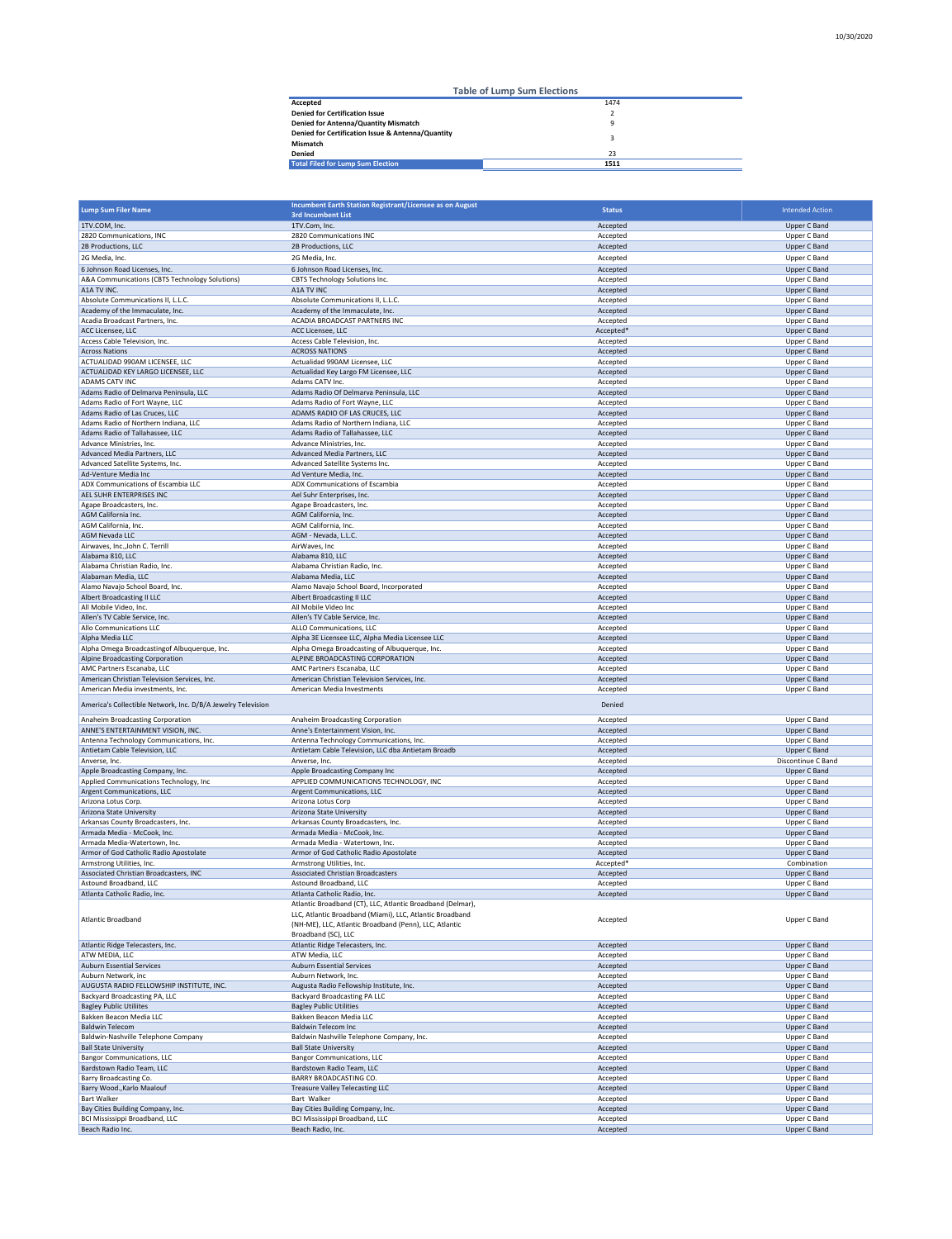|                                                                | <b>Table of Lump Sum Elections</b> |
|----------------------------------------------------------------|------------------------------------|
| Accepted                                                       | 1474                               |
| <b>Denied for Certification Issue</b>                          |                                    |
| Denied for Antenna/Quantity Mismatch                           |                                    |
| Denied for Certification Issue & Antenna/Quantity              |                                    |
|                                                                |                                    |
|                                                                | 1511                               |
| Mismatch<br>Denied<br><b>Total Filed for Lump Sum Election</b> | 23                                 |

|                                                              | Incumbent Earth Station Registrant/Licensee as on August                                                                                                                         |                       |                        |
|--------------------------------------------------------------|----------------------------------------------------------------------------------------------------------------------------------------------------------------------------------|-----------------------|------------------------|
| <b>Lump Sum Filer Name</b>                                   | <b>3rd Incumbent List</b>                                                                                                                                                        | <b>Status</b>         | <b>Intended Action</b> |
| 1TV.COM, Inc.                                                | 1TV.Com, Inc.                                                                                                                                                                    | Accepted              | Upper C Band           |
| 2820 Communications, INC                                     | 2820 Communications INC                                                                                                                                                          | Accepted              | Upper C Band           |
| 2B Productions, LLC                                          | 2B Productions, LLC                                                                                                                                                              | Accepted              | Upper C Band           |
|                                                              |                                                                                                                                                                                  |                       |                        |
| 2G Media, Inc.                                               | 2G Media, Inc.                                                                                                                                                                   | Accepted              | Upper C Band           |
| 6 Johnson Road Licenses, Inc.                                | 6 Johnson Road Licenses, Inc.                                                                                                                                                    | Accepted              | Upper C Band           |
| A&A Communications (CBTS Technology Solutions)               | CBTS Technology Solutions Inc.                                                                                                                                                   | Accepted              | Upper C Band           |
| A1A TV INC.                                                  | A1A TV INC                                                                                                                                                                       | Accepted              | <b>Upper C Band</b>    |
| Absolute Communications II, L.L.C.                           | Absolute Communications II, L.L.C.                                                                                                                                               | Accepted              | Upper C Band           |
| Academy of the Immaculate, Inc.                              | Academy of the Immaculate, Inc.                                                                                                                                                  | Accepted              | Upper C Band           |
|                                                              |                                                                                                                                                                                  |                       |                        |
| Acadia Broadcast Partners, Inc.                              | ACADIA BROADCAST PARTNERS INC                                                                                                                                                    | Accepted              | Upper C Band           |
| ACC Licensee, LLC                                            | ACC Licensee, LLC                                                                                                                                                                | Accepted*             | Upper C Band           |
| Access Cable Television, Inc.                                | Access Cable Television, Inc.                                                                                                                                                    | Accepted              | Upper C Band           |
| <b>Across Nations</b>                                        | <b>ACROSS NATIONS</b>                                                                                                                                                            | Accepted              | <b>Upper C Band</b>    |
| ACTUALIDAD 990AM LICENSEE, LLC                               | Actualidad 990AM Licensee, LLC                                                                                                                                                   | Accepted              | Upper C Band           |
| ACTUALIDAD KEY LARGO LICENSEE, LLC                           | Actualidad Key Largo FM Licensee, LLC                                                                                                                                            | Accepted              | Upper C Band           |
| ADAMS CATV INC                                               | Adams CATV Inc.                                                                                                                                                                  | Accepted              | Upper C Band           |
| Adams Radio of Delmarva Peninsula, LLC                       | Adams Radio Of Delmarva Peninsula, LLC                                                                                                                                           | Accepted              | Upper C Band           |
| Adams Radio of Fort Wayne, LLC                               | Adams Radio of Fort Wayne, LLC                                                                                                                                                   | Accepted              | Upper C Band           |
| Adams Radio of Las Cruces, LLC                               | ADAMS RADIO OF LAS CRUCES, LLC                                                                                                                                                   |                       |                        |
|                                                              |                                                                                                                                                                                  | Accepted              | Upper C Band           |
| Adams Radio of Northern Indiana, LLC                         | Adams Radio of Northern Indiana, LLC                                                                                                                                             | Accepted              | Upper C Band           |
| Adams Radio of Tallahassee, LLC                              | Adams Radio of Tallahassee, LLC                                                                                                                                                  | Accepted              | Upper C Band           |
| Advance Ministries, Inc.                                     | Advance Ministries, Inc.                                                                                                                                                         | Accepted              | Upper C Band           |
| Advanced Media Partners, LLC                                 | Advanced Media Partners, LLC                                                                                                                                                     | Accepted              | <b>Upper C Band</b>    |
| Advanced Satellite Systems, Inc.                             | Advanced Satellite Systems Inc.                                                                                                                                                  | Accepted              | Upper C Band           |
| Ad-Venture Media Inc                                         | Ad Venture Media, Inc.                                                                                                                                                           | Accepted              | Upper C Band           |
| ADX Communications of Escambia LLC                           | ADX Communications of Escambia                                                                                                                                                   | Accepted              | Upper C Band           |
| AEL SUHR ENTERPRISES INC                                     | Ael Suhr Enterprises, Inc.                                                                                                                                                       | Accepted              | Upper C Band           |
|                                                              |                                                                                                                                                                                  |                       |                        |
| Agape Broadcasters, Inc.                                     | Agape Broadcasters, Inc.                                                                                                                                                         | Accepted              | Upper C Band           |
| AGM California Inc.                                          | AGM California, Inc.                                                                                                                                                             | Accepted              | <b>Upper C Band</b>    |
| AGM California, Inc.                                         | AGM California, Inc.                                                                                                                                                             | Accepted              | Upper C Band           |
| AGM Nevada LLC                                               | AGM - Nevada, L.L.C.                                                                                                                                                             | Accepted              | Upper C Band           |
| Airwaves, Inc., John C. Terrill                              | AirWaves, Inc                                                                                                                                                                    | Accepted              | Upper C Band           |
| Alabama 810, LLC                                             | Alabama 810, LLC                                                                                                                                                                 | Accepted              | Upper C Band           |
| Alabama Christian Radio, Inc.                                | Alabama Christian Radio, Inc.                                                                                                                                                    | Accepted              | Upper C Band           |
| Alabaman Media, LLC                                          | Alabama Media, LLC                                                                                                                                                               | Accepted              | Upper C Band           |
|                                                              |                                                                                                                                                                                  |                       |                        |
| Alamo Navajo School Board, Inc.                              | Alamo Navajo School Board, Incorporated                                                                                                                                          | Accepted              | Upper C Band           |
| Albert Broadcasting II LLC                                   | Albert Broadcasting II LLC                                                                                                                                                       | Accepted              | <b>Upper C Band</b>    |
| All Mobile Video, Inc.                                       | All Mobile Video Inc                                                                                                                                                             | Accepted              | Upper C Band           |
| Allen's TV Cable Service, Inc.                               | Allen's TV Cable Service, Inc.                                                                                                                                                   | Accepted              | Upper C Band           |
| Allo Communications LLC                                      | ALLO Communications, LLC                                                                                                                                                         | Accepted              | Upper C Band           |
| Alpha Media LLC                                              | Alpha 3E Licensee LLC, Alpha Media Licensee LLC                                                                                                                                  | Accepted              | Upper C Band           |
| Alpha Omega Broadcastingof Albuquerque, Inc.                 | Alpha Omega Broadcasting of Albuquerque, Inc.                                                                                                                                    | Accepted              | Upper C Band           |
| Alpine Broadcasting Corporation                              | ALPINE BROADCASTING CORPORATION                                                                                                                                                  | Accepted              | Upper C Band           |
| AMC Partners Escanaba, LLC                                   | AMC Partners Escanaba, LLC                                                                                                                                                       | Accepted              | Upper C Band           |
|                                                              |                                                                                                                                                                                  |                       |                        |
| American Christian Television Services, Inc.                 | American Christian Television Services, Inc.                                                                                                                                     | Accepted              | <b>Upper C Band</b>    |
| American Media investments, Inc.                             | American Media Investments                                                                                                                                                       | Accepted              | Upper C Band           |
| America's Collectible Network, Inc. D/B/A Jewelry Television |                                                                                                                                                                                  | Denied                |                        |
| Anaheim Broadcasting Corporation                             | Anaheim Broadcasting Corporation                                                                                                                                                 | Accepted              | Upper C Band           |
| ANNE'S ENTERTAINMENT VISION, INC.                            | Anne's Entertainment Vision, Inc.                                                                                                                                                | Accepted              | Upper C Band           |
| Antenna Technology Communications, Inc.                      | Antenna Technology Communications, Inc.                                                                                                                                          | Accepted              | Upper C Band           |
| Antietam Cable Television, LLC                               | Antietam Cable Television, LLC dba Antietam Broadb                                                                                                                               | Accepted              | Upper C Band           |
| Anverse, Inc.                                                | Anverse, Inc.                                                                                                                                                                    |                       | Discontinue C Band     |
|                                                              |                                                                                                                                                                                  | Accepted              |                        |
| Apple Broadcasting Company, Inc.                             | Apple Broadcasting Company Inc                                                                                                                                                   | Accepted              | <b>Upper C Band</b>    |
| Applied Communications Technology, Inc                       | APPLIED COMMUNICATIONS TECHNOLOGY, INC                                                                                                                                           | Accepted              | Upper C Band           |
| Argent Communications, LLC                                   | Argent Communications, LLC                                                                                                                                                       | Accepted              | <b>Upper C Band</b>    |
| Arizona Lotus Corp.                                          | Arizona Lotus Corp                                                                                                                                                               | Accepted              | Upper C Band           |
| Arizona State University                                     | Arizona State University                                                                                                                                                         | Accepted              | Upper C Band           |
| Arkansas County Broadcasters, Inc.                           | Arkansas County Broadcasters, Inc.                                                                                                                                               | Accepted              | Upper C Band           |
| Armada Media - McCook, Inc.                                  | Armada Media - McCook, Inc.                                                                                                                                                      | Accepted              | Upper C Band           |
| Armada Media-Watertown, Inc.                                 | Armada Media - Watertown, Inc.                                                                                                                                                   | Accepted              | Upper C Band           |
|                                                              |                                                                                                                                                                                  | Accepted              |                        |
| Armor of God Catholic Radio Apostolate                       | Armor of God Catholic Radio Apostolate                                                                                                                                           |                       | Upper C Band           |
| Armstrong Utilities, Inc.                                    | Armstrong Utilities, Inc.                                                                                                                                                        | Accepted <sup>*</sup> | Combination            |
| Associated Christian Broadcasters, INC                       | <b>Associated Christian Broadcasters</b>                                                                                                                                         | Accepted              | Upper C Band           |
| Astound Broadband, LLC                                       | Astound Broadband, LLC                                                                                                                                                           | Accepted              | Upper C Band           |
| Atlanta Catholic Radio, Inc.                                 | Atlanta Catholic Radio, Inc.                                                                                                                                                     | Accepted              | Upper C Band           |
| <b>Atlantic Broadband</b>                                    | Atlantic Broadband (CT), LLC, Atlantic Broadband (Delmar),<br>LLC, Atlantic Broadband (Miami), LLC, Atlantic Broadband<br>(NH-ME), LLC, Atlantic Broadband (Penn), LLC, Atlantic | Accepted              | Upper C Band           |
|                                                              | Broadband (SC), LLC                                                                                                                                                              |                       |                        |
| Atlantic Ridge Telecasters, Inc.                             | Atlantic Ridge Telecasters, Inc.                                                                                                                                                 | Accepted              | Upper C Band           |
| ATW MEDIA, LLC                                               |                                                                                                                                                                                  |                       |                        |
|                                                              | ATW Media, LLC                                                                                                                                                                   | Accepted              | Upper C Band           |
| <b>Auburn Essential Services</b>                             | <b>Auburn Essential Services</b>                                                                                                                                                 | Accepted              | Upper C Band           |
| Auburn Network, inc.                                         | Auburn Network, Inc.                                                                                                                                                             | Accepted              | Upper C Band           |
| AUGUSTA RADIO FELLOWSHIP INSTITUTE, INC.                     | Augusta Radio Fellowship Institute, Inc.                                                                                                                                         | Accepted              | Upper C Band           |
| Backyard Broadcasting PA, LLC                                | Backyard Broadcasting PA LLC                                                                                                                                                     | Accepted              | Upper C Band           |
| <b>Bagley Public Utiliites</b>                               | <b>Bagley Public Utilities</b>                                                                                                                                                   | Accepted              | Upper C Band           |
| Bakken Beacon Media LLC                                      | Bakken Beacon Media LLC                                                                                                                                                          | Accepted              | Upper C Band           |
| <b>Baldwin Telecom</b>                                       | <b>Baldwin Telecom Inc</b>                                                                                                                                                       | Accepted              | Upper C Band           |
| Baldwin-Nashville Telephone Company                          | Baldwin Nashville Telephone Company, Inc.                                                                                                                                        | Accepted              | Upper C Band           |
|                                                              |                                                                                                                                                                                  |                       |                        |
| <b>Ball State University</b>                                 | <b>Ball State University</b>                                                                                                                                                     | Accepted              | Upper C Band           |
| <b>Bangor Communications, LLC</b>                            | <b>Bangor Communications, LLC</b>                                                                                                                                                | Accepted              | Upper C Band           |
| Bardstown Radio Team, LLC                                    | Bardstown Radio Team, LLC                                                                                                                                                        | Accepted              | Upper C Band           |
| <b>Barry Broadcasting Co.</b>                                | <b>BARRY BROADCASTING CO.</b>                                                                                                                                                    | Accepted              | Upper C Band           |
| Barry Wood., Karlo Maalouf                                   | <b>Treasure Valley Telecasting LLC</b>                                                                                                                                           | Accepted              | Upper C Band           |
| <b>Bart Walker</b>                                           | Bart Walker                                                                                                                                                                      | Accepted              | Upper C Band           |
| Bay Cities Building Company, Inc.                            | Bay Cities Building Company, Inc.                                                                                                                                                | Accepted              | Upper C Band           |
| BCI Mississippi Broadband, LLC                               | BCI Mississippi Broadband, LLC                                                                                                                                                   | Accepted              | Upper C Band           |
|                                                              | Beach Radio, Inc.                                                                                                                                                                |                       |                        |
| Beach Radio Inc.                                             |                                                                                                                                                                                  | Accepted              | Upper C Band           |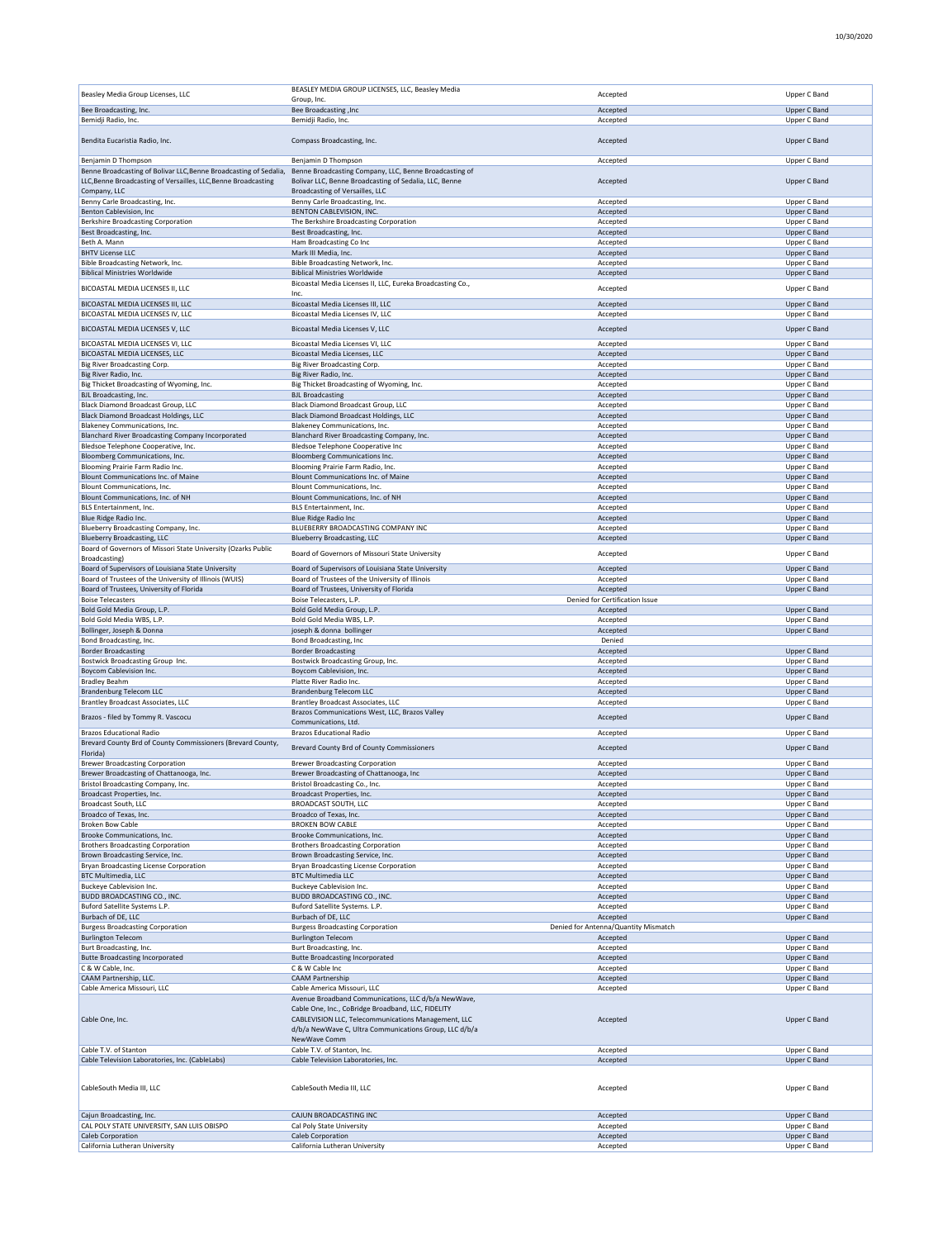10/30/2020

| Beasley Media Group Licenses, LLC                                                                   | BEASLEY MEDIA GROUP LICENSES, LLC, Beasley Media<br>Group, Inc.                                                                                                                                                            | Accepted                             | Upper C Band                        |
|-----------------------------------------------------------------------------------------------------|----------------------------------------------------------------------------------------------------------------------------------------------------------------------------------------------------------------------------|--------------------------------------|-------------------------------------|
| Bee Broadcasting, Inc.                                                                              | <b>Bee Broadcasting, Inc</b>                                                                                                                                                                                               | Accepted                             | Upper C Band                        |
| Bemidji Radio, Inc.                                                                                 | Bemidji Radio, Inc.                                                                                                                                                                                                        | Accepted                             | Upper C Band                        |
| Bendita Eucaristia Radio, Inc.                                                                      | Compass Broadcasting, Inc.                                                                                                                                                                                                 | Accepted                             | Upper C Band                        |
| Benjamin D Thompson                                                                                 | Benjamin D Thompson                                                                                                                                                                                                        | Accepted                             | Upper C Band                        |
| Benne Broadcasting of Bolivar LLC, Benne Broadcasting of Sedalia,                                   | Benne Broadcasting Company, LLC, Benne Broadcasting of                                                                                                                                                                     |                                      |                                     |
| LLC, Benne Broadcasting of Versailles, LLC, Benne Broadcasting<br>Company, LLC                      | Bolivar LLC, Benne Broadcasting of Sedalia, LLC, Benne<br>Broadcasting of Versailles, LLC                                                                                                                                  | Accepted                             | <b>Upper C Band</b>                 |
| Benny Carle Broadcasting, Inc.                                                                      | Benny Carle Broadcasting, Inc.                                                                                                                                                                                             | Accepted                             | Upper C Band                        |
| Benton Cablevision, Inc<br>Berkshire Broadcasting Corporation                                       | BENTON CABLEVISION, INC.<br>The Berkshire Broadcasting Corporation                                                                                                                                                         | Accepted<br>Accepted                 | <b>Upper C Band</b><br>Upper C Band |
| Best Broadcasting, Inc.                                                                             | Best Broadcasting, Inc.                                                                                                                                                                                                    | Accepted                             | Upper C Band                        |
| Beth A. Mann<br><b>BHTV License LLC</b>                                                             | Ham Broadcasting Co Inc<br>Mark III Media, Inc.                                                                                                                                                                            | Accepted<br>Accepted                 | Upper C Band<br>Upper C Band        |
| Bible Broadcasting Network, Inc.                                                                    | Bible Broadcasting Network, Inc.                                                                                                                                                                                           | Accepted                             | Upper C Band                        |
| <b>Biblical Ministries Worldwide</b>                                                                | <b>Biblical Ministries Worldwide</b>                                                                                                                                                                                       | Accepted                             | Upper C Band                        |
| BICOASTAL MEDIA LICENSES II, LLC                                                                    | Bicoastal Media Licenses II, LLC, Eureka Broadcasting Co.,<br>Inc.                                                                                                                                                         | Accepted                             | Upper C Band                        |
| BICOASTAL MEDIA LICENSES III. LLC                                                                   | Bicoastal Media Licenses III, LLC                                                                                                                                                                                          | Accepted                             | Upper C Band                        |
| BICOASTAL MEDIA LICENSES IV, LLC<br>BICOASTAL MEDIA LICENSES V, LLC                                 | Bicoastal Media Licenses IV, LLC<br>Bicoastal Media Licenses V, LLC                                                                                                                                                        | Accepted                             | Upper C Band                        |
|                                                                                                     |                                                                                                                                                                                                                            | Accepted                             | Upper C Band                        |
| BICOASTAL MEDIA LICENSES VI, LLC<br>BICOASTAL MEDIA LICENSES, LLC                                   | Bicoastal Media Licenses VI, LLC<br>Bicoastal Media Licenses, LLC                                                                                                                                                          | Accepted<br>Accepted                 | Upper C Band<br>Upper C Band        |
| Big River Broadcasting Corp.                                                                        | Big River Broadcasting Corp.                                                                                                                                                                                               | Accepted                             | Upper C Band                        |
| Big River Radio, Inc.<br>Big Thicket Broadcasting of Wyoming, Inc.                                  | Big River Radio, Inc.<br>Big Thicket Broadcasting of Wyoming, Inc.                                                                                                                                                         | Accepted<br>Accepted                 | Upper C Band<br>Upper C Band        |
| BJL Broadcasting, Inc.                                                                              | <b>BJL Broadcasting</b>                                                                                                                                                                                                    | Accepted                             | <b>Upper C Band</b>                 |
| Black Diamond Broadcast Group, LLC<br><b>Black Diamond Broadcast Holdings, LLC</b>                  | <b>Black Diamond Broadcast Group, LLC</b><br><b>Black Diamond Broadcast Holdings, LLC</b>                                                                                                                                  | Accepted<br>Accepted                 | Upper C Band<br><b>Upper C Band</b> |
| Blakeney Communications, Inc.                                                                       | Blakeney Communications, Inc.                                                                                                                                                                                              | Accepted                             | Upper C Band                        |
| Blanchard River Broadcasting Company Incorporated<br>Bledsoe Telephone Cooperative, Inc.            | Blanchard River Broadcasting Company, Inc.<br>Bledsoe Telephone Cooperative Inc                                                                                                                                            | Accepted<br>Accepted                 | <b>Upper C Band</b><br>Upper C Band |
| Bloomberg Communications, Inc.                                                                      | Bloomberg Communications Inc.                                                                                                                                                                                              | Accepted                             | Upper C Band                        |
| Blooming Prairie Farm Radio Inc.                                                                    | Blooming Prairie Farm Radio, Inc.                                                                                                                                                                                          | Accepted                             | Upper C Band                        |
| Blount Communications Inc. of Maine<br>Blount Communications, Inc.                                  | Blount Communications Inc. of Maine<br>Blount Communications, Inc.                                                                                                                                                         | Accepted<br>Accepted                 | Upper C Band<br>Upper C Band        |
| Blount Communications, Inc. of NH                                                                   | Blount Communications, Inc. of NH                                                                                                                                                                                          | Accepted                             | Upper C Band                        |
| BLS Entertainment, Inc.<br>Blue Ridge Radio Inc.                                                    | BLS Entertainment, Inc.<br>Blue Ridge Radio Inc                                                                                                                                                                            | Accepted<br>Accepted                 | Upper C Band<br>Upper C Band        |
| Blueberry Broadcasting Company, Inc.                                                                | BLUEBERRY BROADCASTING COMPANY INC                                                                                                                                                                                         | Accepted                             | Upper C Band                        |
| <b>Blueberry Broadcasting, LLC</b><br>Board of Governors of Missori State University (Ozarks Public | <b>Blueberry Broadcasting, LLC</b>                                                                                                                                                                                         | Accepted                             | <b>Upper C Band</b>                 |
| Broadcasting)                                                                                       | Board of Governors of Missouri State University                                                                                                                                                                            | Accepted                             | Upper C Band                        |
| Board of Supervisors of Louisiana State University                                                  | Board of Supervisors of Louisiana State University                                                                                                                                                                         | Accepted                             | Upper C Band                        |
| Board of Trustees of the University of Illinois (WUIS)<br>Board of Trustees, University of Florida  | Board of Trustees of the University of Illinois<br>Board of Trustees, University of Florida                                                                                                                                | Accepted<br>Accepted                 | Upper C Band<br><b>Upper C Band</b> |
| <b>Boise Telecasters</b>                                                                            | Boise Telecasters, L.P.                                                                                                                                                                                                    | Denied for Certification Issue       |                                     |
| Bold Gold Media Group, L.P.<br>Bold Gold Media WBS, L.P.                                            | Bold Gold Media Group, L.P.<br>Bold Gold Media WBS, L.P.                                                                                                                                                                   | Accepted<br>Accepted                 | Upper C Band<br>Upper C Band        |
| Bollinger, Joseph & Donna                                                                           | joseph & donna bollinger                                                                                                                                                                                                   | Accepted                             | Upper C Band                        |
| Bond Broadcasting, Inc.<br><b>Border Broadcasting</b>                                               | Bond Broadcasting, Inc<br><b>Border Broadcasting</b>                                                                                                                                                                       | Denied<br>Accepted                   | <b>Upper C Band</b>                 |
| Bostwick Broadcasting Group Inc.                                                                    | Bostwick Broadcasting Group, Inc.                                                                                                                                                                                          | Accepted                             | Upper C Band                        |
| Boycom Cablevision Inc.<br><b>Bradley Beahm</b>                                                     | Boycom Cablevision, Inc.<br>Platte River Radio Inc.                                                                                                                                                                        | Accepted<br>Accepted                 | <b>Upper C Band</b><br>Upper C Band |
| <b>Brandenburg Telecom LLC</b>                                                                      | <b>Brandenburg Telecom LLC</b>                                                                                                                                                                                             | Accepted                             | Upper C Band                        |
| Brantley Broadcast Associates, LLC                                                                  | Brantley Broadcast Associates, LLC                                                                                                                                                                                         | Accepted                             | Upper C Band                        |
| Brazos - filed by Tommy R. Vascocu                                                                  | Brazos Communications West, LLC, Brazos Valley<br>Communications, Ltd.                                                                                                                                                     | Accepted                             | Upper C Band                        |
| <b>Brazos Educational Radio</b>                                                                     | <b>Brazos Educational Radio</b>                                                                                                                                                                                            | Accepted                             | Upper C Band                        |
| Brevard County Brd of County Commissioners (Brevard County,<br>Florida)                             | Brevard County Brd of County Commissioners                                                                                                                                                                                 | Accepted                             | Upper C Band                        |
| <b>Brewer Broadcasting Corporation</b>                                                              | <b>Brewer Broadcasting Corporation</b>                                                                                                                                                                                     | Accepted                             | Upper C Band                        |
| Brewer Broadcasting of Chattanooga, Inc.<br>Bristol Broadcasting Company, Inc.                      | Brewer Broadcasting of Chattanooga, Inc<br>Bristol Broadcasting Co., Inc.                                                                                                                                                  | Accepted<br>Accepted                 | Upper C Band<br>Upper C Band        |
| Broadcast Properties, Inc.                                                                          | Broadcast Properties, Inc.                                                                                                                                                                                                 | Accepted                             | Upper C Band                        |
| Broadcast South, LLC<br>Broadco of Texas, Inc.                                                      | <b>BROADCAST SOUTH, LLC</b><br>Broadco of Texas, Inc.                                                                                                                                                                      | Accepted<br>Accepted                 | Upper C Band<br><b>Upper C Band</b> |
| <b>Broken Bow Cable</b>                                                                             | <b>BROKEN BOW CABLE</b>                                                                                                                                                                                                    | Accepted                             | Upper C Band                        |
| Brooke Communications, Inc.                                                                         | Brooke Communications, Inc.                                                                                                                                                                                                | Accepted                             | Upper C Band                        |
| <b>Brothers Broadcasting Corporation</b><br>Brown Broadcasting Service, Inc.                        | <b>Brothers Broadcasting Corporation</b><br>Brown Broadcasting Service, Inc.                                                                                                                                               | Accepted<br>Accepted                 | Upper C Band<br>Upper C Band        |
| Bryan Broadcasting License Corporation                                                              | Bryan Broadcasting License Corporation                                                                                                                                                                                     | Accepted                             | Upper C Band                        |
| <b>BTC Multimedia, LLC</b><br>Buckeye Cablevision Inc.                                              | <b>BTC Multimedia LLC</b><br>Buckeye Cablevision Inc.                                                                                                                                                                      | Accepted<br>Accepted                 | Upper C Band<br>Upper C Band        |
| BUDD BROADCASTING CO., INC.                                                                         | BUDD BROADCASTING CO., INC.                                                                                                                                                                                                | Accepted                             | <b>Upper C Band</b>                 |
| Buford Satellite Systems L.P.<br>Burbach of DE, LLC                                                 | Buford Satellite Systems. L.P.<br>Burbach of DE, LLC                                                                                                                                                                       | Accepted<br>Accepted                 | Upper C Band<br>Upper C Band        |
| <b>Burgess Broadcasting Corporation</b>                                                             | <b>Burgess Broadcasting Corporation</b>                                                                                                                                                                                    | Denied for Antenna/Quantity Mismatch |                                     |
| <b>Burlington Telecom</b>                                                                           | <b>Burlington Telecom</b>                                                                                                                                                                                                  | Accepted                             | Upper C Band                        |
| Burt Broadcasting, Inc.<br><b>Butte Broadcasting Incorporated</b>                                   | Burt Broadcasting, Inc.<br><b>Butte Broadcasting Incorporated</b>                                                                                                                                                          | Accepted<br>Accepted                 | Upper C Band<br>Upper C Band        |
| C & W Cable, Inc.                                                                                   | C & W Cable Inc                                                                                                                                                                                                            | Accepted                             | Upper C Band                        |
| CAAM Partnership, LLC.<br>Cable America Missouri, LLC                                               | <b>CAAM Partnership</b><br>Cable America Missouri, LLC                                                                                                                                                                     | Accepted<br>Accepted                 | Upper C Band<br>Upper C Band        |
| Cable One, Inc.                                                                                     | Avenue Broadband Communications, LLC d/b/a NewWave,<br>Cable One, Inc., CoBridge Broadband, LLC, FIDELITY<br>CABLEVISION LLC, Telecommunications Management, LLC<br>d/b/a NewWave C, Ultra Communications Group, LLC d/b/a | Accepted                             | <b>Upper C Band</b>                 |
| Cable T.V. of Stanton                                                                               | NewWave Comm<br>Cable T.V. of Stanton, Inc.                                                                                                                                                                                | Accepted                             | Upper C Band                        |
| Cable Television Laboratories, Inc. (CableLabs)                                                     | Cable Television Laboratories, Inc.                                                                                                                                                                                        | Accepted                             | <b>Upper C Band</b>                 |
| CableSouth Media III, LLC                                                                           | CableSouth Media III, LLC                                                                                                                                                                                                  | Accepted                             | Upper C Band                        |
| Cajun Broadcasting, Inc.                                                                            | CAJUN BROADCASTING INC                                                                                                                                                                                                     | Accepted                             | <b>Upper C Band</b>                 |
| CAL POLY STATE UNIVERSITY, SAN LUIS OBISPO<br>Caleb Corporation                                     | Cal Poly State University<br>Caleb Corporation                                                                                                                                                                             | Accepted<br>Accepted                 | Upper C Band<br><b>Upper C Band</b> |
| California Lutheran University                                                                      | California Lutheran University                                                                                                                                                                                             | Accepted                             | Upper C Band                        |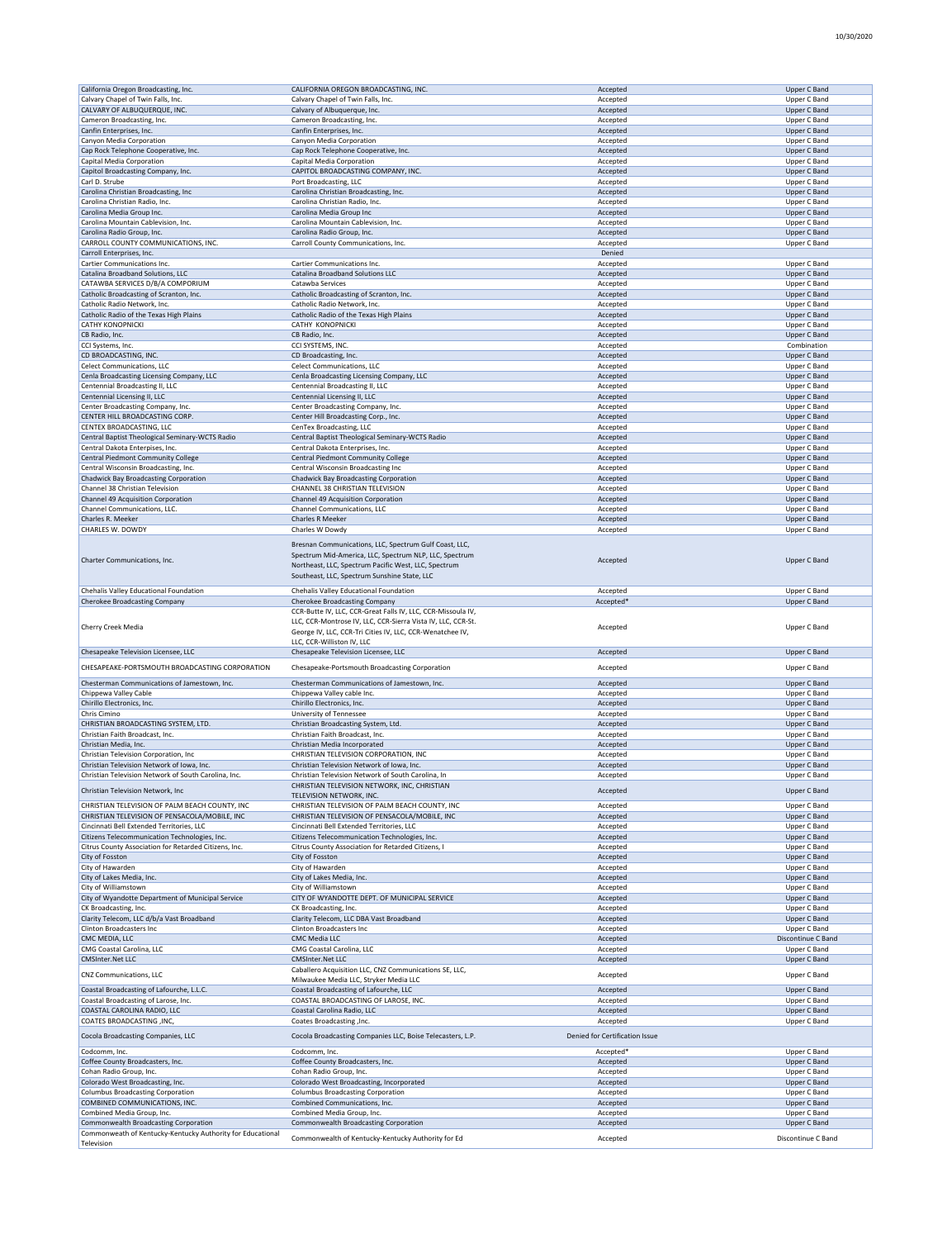| California Oregon Broadcasting, Inc.                       | CALIFORNIA OREGON BROADCASTING, INC.                                                                                                                                                                                     | Accepted                       | Upper C Band       |
|------------------------------------------------------------|--------------------------------------------------------------------------------------------------------------------------------------------------------------------------------------------------------------------------|--------------------------------|--------------------|
| Calvary Chapel of Twin Falls, Inc.                         | Calvary Chapel of Twin Falls, Inc.                                                                                                                                                                                       | Accepted                       | Upper C Band       |
| CALVARY OF ALBUQUERQUE, INC.                               | Calvary of Albuquerque, Inc.                                                                                                                                                                                             | Accepted                       | Upper C Band       |
| Cameron Broadcasting, Inc.                                 |                                                                                                                                                                                                                          |                                | Upper C Band       |
|                                                            | Cameron Broadcasting, Inc.                                                                                                                                                                                               | Accepted                       |                    |
| Canfin Enterprises, Inc.                                   | Canfin Enterprises, Inc.                                                                                                                                                                                                 | Accepted                       | Upper C Band       |
| Canyon Media Corporation                                   | Canyon Media Corporation                                                                                                                                                                                                 | Accepted                       | Upper C Band       |
| Cap Rock Telephone Cooperative, Inc.                       | Cap Rock Telephone Cooperative, Inc.                                                                                                                                                                                     | Accepted                       | Upper C Band       |
| Capital Media Corporation                                  | Capital Media Corporation                                                                                                                                                                                                | Accepted                       | Upper C Band       |
|                                                            |                                                                                                                                                                                                                          |                                |                    |
| Capitol Broadcasting Company, Inc.                         | CAPITOL BROADCASTING COMPANY, INC.                                                                                                                                                                                       | Accepted                       | Upper C Band       |
| Carl D. Strube                                             | Port Broadcasting, LLC                                                                                                                                                                                                   | Accepted                       | Upper C Band       |
| Carolina Christian Broadcasting, Inc                       | Carolina Christian Broadcasting, Inc.                                                                                                                                                                                    | Accepted                       | Upper C Band       |
| Carolina Christian Radio, Inc.                             | Carolina Christian Radio, Inc.                                                                                                                                                                                           | Accepted                       | Upper C Band       |
|                                                            |                                                                                                                                                                                                                          |                                |                    |
| Carolina Media Group Inc.                                  | Carolina Media Group Inc                                                                                                                                                                                                 | Accepted                       | Upper C Band       |
| Carolina Mountain Cablevision, Inc.                        | Carolina Mountain Cablevision, Inc.                                                                                                                                                                                      | Accepted                       | Upper C Band       |
| Carolina Radio Group, Inc.                                 | Carolina Radio Group, Inc.                                                                                                                                                                                               | Accepted                       | Upper C Band       |
| CARROLL COUNTY COMMUNICATIONS, INC.                        | Carroll County Communications, Inc.                                                                                                                                                                                      | Accepted                       | Upper C Band       |
| Carroll Enterprises, Inc.                                  |                                                                                                                                                                                                                          | Denied                         |                    |
|                                                            |                                                                                                                                                                                                                          |                                |                    |
| Cartier Communications Inc.                                | Cartier Communications Inc.                                                                                                                                                                                              | Accepted                       | Upper C Band       |
| Catalina Broadband Solutions, LLC                          | <b>Catalina Broadband Solutions LLC</b>                                                                                                                                                                                  | Accepted                       | Upper C Band       |
| CATAWBA SERVICES D/B/A COMPORIUM                           | Catawba Services                                                                                                                                                                                                         | Accepted                       | Upper C Band       |
| Catholic Broadcasting of Scranton, Inc.                    | Catholic Broadcasting of Scranton, Inc.                                                                                                                                                                                  | Accepted                       | Upper C Band       |
|                                                            |                                                                                                                                                                                                                          |                                |                    |
| Catholic Radio Network, Inc.                               | Catholic Radio Network, Inc.                                                                                                                                                                                             | Accepted                       | Upper C Band       |
| Catholic Radio of the Texas High Plains                    | Catholic Radio of the Texas High Plains                                                                                                                                                                                  | Accepted                       | Upper C Band       |
| CATHY KONOPNICKI                                           | CATHY KONOPNICKI                                                                                                                                                                                                         | Accepted                       | Upper C Band       |
| CB Radio, Inc.                                             | CB Radio, Inc.                                                                                                                                                                                                           | Accepted                       | Upper C Band       |
|                                                            |                                                                                                                                                                                                                          |                                |                    |
| CCI Systems, Inc.                                          | CCI SYSTEMS, INC.                                                                                                                                                                                                        | Accepted                       | Combination        |
| CD BROADCASTING, INC.                                      | CD Broadcasting, Inc.                                                                                                                                                                                                    | Accepted                       | Upper C Band       |
| Celect Communications, LLC                                 | Celect Communications, LLC                                                                                                                                                                                               | Accepted                       | Upper C Band       |
| Cenla Broadcasting Licensing Company, LLC                  | Cenla Broadcasting Licensing Company, LLC                                                                                                                                                                                | Accepted                       | Upper C Band       |
|                                                            |                                                                                                                                                                                                                          |                                |                    |
| Centennial Broadcasting II, LLC                            | Centennial Broadcasting II, LLC                                                                                                                                                                                          | Accepted                       | Upper C Band       |
| Centennial Licensing II, LLC                               | Centennial Licensing II, LLC                                                                                                                                                                                             | Accepted                       | Upper C Band       |
| Center Broadcasting Company, Inc.                          | Center Broadcasting Company, Inc.                                                                                                                                                                                        | Accepted                       | Upper C Band       |
| CENTER HILL BROADCASTING CORP.                             | Center Hill Broadcasting Corp., Inc.                                                                                                                                                                                     | Accepted                       | Upper C Band       |
|                                                            |                                                                                                                                                                                                                          |                                |                    |
| CENTEX BROADCASTING, LLC                                   | CenTex Broadcasting, LLC                                                                                                                                                                                                 | Accepted                       | Upper C Band       |
| Central Baptist Theological Seminary-WCTS Radio            | Central Baptist Theological Seminary-WCTS Radio                                                                                                                                                                          | Accepted                       | Upper C Band       |
| Central Dakota Enterpises, Inc.                            | Central Dakota Enterprises, Inc.                                                                                                                                                                                         | Accepted                       | Upper C Band       |
| Central Piedmont Community College                         | Central Piedmont Community College                                                                                                                                                                                       | Accepted                       | Upper C Band       |
| Central Wisconsin Broadcasting, Inc.                       |                                                                                                                                                                                                                          |                                |                    |
|                                                            | Central Wisconsin Broadcasting Inc                                                                                                                                                                                       | Accepted                       | Upper C Band       |
| Chadwick Bay Broadcasting Corporation                      | <b>Chadwick Bay Broadcasting Corporation</b>                                                                                                                                                                             | Accepted                       | Upper C Band       |
| Channel 38 Christian Television                            | CHANNEL 38 CHRISTIAN TELEVISION                                                                                                                                                                                          | Accepted                       | Upper C Band       |
| Channel 49 Acquisition Corporation                         | Channel 49 Acquisition Corporation                                                                                                                                                                                       | Accepted                       | Upper C Band       |
| Channel Communications, LLC.                               | Channel Communications, LLC                                                                                                                                                                                              | Accepted                       | Upper C Band       |
|                                                            |                                                                                                                                                                                                                          |                                |                    |
| Charles R. Meeker                                          | <b>Charles R Meeker</b>                                                                                                                                                                                                  | Accepted                       | Upper C Band       |
| CHARLES W. DOWDY                                           | Charles W Dowdy                                                                                                                                                                                                          | Accepted                       | Upper C Band       |
| Charter Communications, Inc.                               | Bresnan Communications, LLC, Spectrum Gulf Coast, LLC,<br>Spectrum Mid-America, LLC, Spectrum NLP, LLC, Spectrum<br>Northeast, LLC, Spectrum Pacific West, LLC, Spectrum<br>Southeast, LLC, Spectrum Sunshine State, LLC | Accepted                       | Upper C Band       |
| Chehalis Valley Educational Foundation                     | Chehalis Valley Educational Foundation                                                                                                                                                                                   | Accepted                       | Upper C Band       |
| Cherokee Broadcasting Company                              | Cherokee Broadcasting Company                                                                                                                                                                                            | Accepted*                      | Upper C Band       |
|                                                            |                                                                                                                                                                                                                          |                                |                    |
|                                                            |                                                                                                                                                                                                                          |                                |                    |
| Cherry Creek Media                                         | CCR-Butte IV, LLC, CCR-Great Falls IV, LLC, CCR-Missoula IV,<br>LLC, CCR-Montrose IV, LLC, CCR-Sierra Vista IV, LLC, CCR-St.<br>George IV, LLC, CCR-Tri Cities IV, LLC, CCR-Wenatchee IV,                                | Accepted                       | Upper C Band       |
|                                                            | LLC, CCR-Williston IV, LLC                                                                                                                                                                                               |                                |                    |
|                                                            | Chesapeake Television Licensee, LLC                                                                                                                                                                                      | Accepted                       | Upper C Band       |
| Chesapeake Television Licensee, LLC                        |                                                                                                                                                                                                                          |                                |                    |
| CHESAPEAKE-PORTSMOUTH BROADCASTING CORPORATION             | Chesapeake-Portsmouth Broadcasting Corporation                                                                                                                                                                           | Accepted                       | Upper C Band       |
|                                                            |                                                                                                                                                                                                                          |                                |                    |
| Chesterman Communications of Jamestown, Inc.               | Chesterman Communications of Jamestown, Inc.                                                                                                                                                                             | Accepted                       | Upper C Band       |
| Chippewa Valley Cable                                      | Chippewa Valley cable Inc.                                                                                                                                                                                               | Accepted                       | Upper C Band       |
| Chirillo Electronics, Inc.                                 | Chirillo Electronics, Inc.                                                                                                                                                                                               | Accepted                       | Upper C Band       |
|                                                            |                                                                                                                                                                                                                          |                                |                    |
| Chris Cimino                                               | University of Tennessee                                                                                                                                                                                                  | Accepted                       | Upper C Band       |
| CHRISTIAN BROADCASTING SYSTEM, LTD.                        | Christian Broadcasting System, Ltd.                                                                                                                                                                                      | Accepted                       | Upper C Band       |
| Christian Faith Broadcast, Inc.                            | Christian Faith Broadcast, Inc.                                                                                                                                                                                          | Accepted                       | Upper C Band       |
| Christian Media, Inc.                                      | Christian Media Incorporated                                                                                                                                                                                             |                                | Upper C Band       |
|                                                            |                                                                                                                                                                                                                          | Accepted                       |                    |
| Christian Television Corporation, Inc.                     | CHRISTIAN TELEVISION CORPORATION, INC                                                                                                                                                                                    | Accepted                       | Upper C Band       |
| Christian Television Network of Iowa, Inc.                 | Christian Television Network of Iowa, Inc.                                                                                                                                                                               | Accepted                       | Upper C Band       |
| Christian Television Network of South Carolina, Inc.       | Christian Television Network of South Carolina, In                                                                                                                                                                       | Accepted                       | Upper C Band       |
|                                                            | CHRISTIAN TELEVISION NETWORK, INC, CHRISTIAN                                                                                                                                                                             |                                |                    |
| Christian Television Network, Inc                          | TELEVISION NETWORK, INC.                                                                                                                                                                                                 | Accepted                       | Upper C Band       |
|                                                            |                                                                                                                                                                                                                          |                                |                    |
| CHRISTIAN TELEVISION OF PALM BEACH COUNTY, INC             | CHRISTIAN TELEVISION OF PALM BEACH COUNTY, INC                                                                                                                                                                           | Accepted                       | Upper C Band       |
| CHRISTIAN TELEVISION OF PENSACOLA/MOBILE, INC.             | CHRISTIAN TELEVISION OF PENSACOLA/MOBILE. INC                                                                                                                                                                            | Accepted                       | Upper C Band       |
| Cincinnati Bell Extended Territories, LLC                  | Cincinnati Bell Extended Territories, LLC                                                                                                                                                                                | Accepted                       | Upper C Band       |
| Citizens Telecommunication Technologies, Inc.              | Citizens Telecommunication Technologies, Inc.                                                                                                                                                                            | Accepted                       | Upper C Band       |
| Citrus County Association for Retarded Citizens, Inc.      | Citrus County Association for Retarded Citizens, I                                                                                                                                                                       | Accepted                       | Upper C Band       |
|                                                            |                                                                                                                                                                                                                          |                                |                    |
| City of Fosston                                            | City of Fosston                                                                                                                                                                                                          | Accepted                       | Upper C Band       |
| City of Hawarden                                           | City of Hawarden                                                                                                                                                                                                         | Accepted                       | Upper C Band       |
| City of Lakes Media, Inc.                                  | City of Lakes Media, Inc.                                                                                                                                                                                                | Accepted                       | Upper C Band       |
| City of Williamstown                                       | City of Williamstown                                                                                                                                                                                                     | Accepted                       | Upper C Band       |
|                                                            |                                                                                                                                                                                                                          |                                |                    |
| City of Wyandotte Department of Municipal Service          | CITY OF WYANDOTTE DEPT. OF MUNICIPAL SERVICE                                                                                                                                                                             | Accepted                       | Upper C Band       |
| CK Broadcasting, Inc.                                      | CK Broadcasting, Inc.                                                                                                                                                                                                    | Accepted                       | Upper C Band       |
| Clarity Telecom, LLC d/b/a Vast Broadband                  | Clarity Telecom, LLC DBA Vast Broadband                                                                                                                                                                                  | Accepted                       | Upper C Band       |
| Clinton Broadcasters Inc                                   | <b>Clinton Broadcasters Inc</b>                                                                                                                                                                                          | Accepted                       | Upper C Band       |
| CMC MEDIA, LLC                                             | CMC Media LLC                                                                                                                                                                                                            | Accepted                       | Discontinue C Band |
|                                                            |                                                                                                                                                                                                                          |                                |                    |
| CMG Coastal Carolina, LLC                                  | CMG Coastal Carolina, LLC                                                                                                                                                                                                | Accepted                       | Upper C Band       |
| <b>CMSInter.Net LLC</b>                                    | <b>CMSInter.Net LLC</b>                                                                                                                                                                                                  | Accepted                       | Upper C Band       |
|                                                            | Caballero Acquisition LLC, CNZ Communications SE, LLC,                                                                                                                                                                   |                                |                    |
| CNZ Communications, LLC                                    | Milwaukee Media LLC, Stryker Media LLC                                                                                                                                                                                   | Accepted                       | Upper C Band       |
| Coastal Broadcasting of Lafourche, L.L.C.                  | Coastal Broadcasting of Lafourche, LLC                                                                                                                                                                                   | Accepted                       | Upper C Band       |
|                                                            |                                                                                                                                                                                                                          |                                |                    |
| Coastal Broadcasting of Larose, Inc.                       | COASTAL BROADCASTING OF LAROSE, INC.                                                                                                                                                                                     | Accepted                       | Upper C Band       |
| COASTAL CAROLINA RADIO, LLC                                | Coastal Carolina Radio, LLC                                                                                                                                                                                              | Accepted                       | Upper C Band       |
| <b>COATES BROADCASTING ,INC,</b>                           | Coates Broadcasting, Inc.                                                                                                                                                                                                | Accepted                       | Upper C Band       |
|                                                            |                                                                                                                                                                                                                          |                                |                    |
| Cocola Broadcasting Companies, LLC                         | Cocola Broadcasting Companies LLC, Boise Telecasters, L.P.                                                                                                                                                               | Denied for Certification Issue |                    |
|                                                            |                                                                                                                                                                                                                          |                                |                    |
| Codcomm, Inc.                                              | Codcomm, Inc.                                                                                                                                                                                                            | Accepted*                      | Upper C Band       |
| Coffee County Broadcasters, Inc.                           | Coffee County Broadcasters, Inc.                                                                                                                                                                                         | Accepted                       | Upper C Band       |
| Cohan Radio Group, Inc.                                    | Cohan Radio Group, Inc.                                                                                                                                                                                                  | Accepted                       | Upper C Band       |
| Colorado West Broadcasting, Inc.                           | Colorado West Broadcasting, Incorporated                                                                                                                                                                                 | Accepted                       | Upper C Band       |
|                                                            |                                                                                                                                                                                                                          |                                |                    |
| <b>Columbus Broadcasting Corporation</b>                   | <b>Columbus Broadcasting Corporation</b>                                                                                                                                                                                 | Accepted                       | Upper C Band       |
| COMBINED COMMUNICATIONS, INC.                              | Combined Communications, Inc.                                                                                                                                                                                            | Accepted                       | Upper C Band       |
| Combined Media Group, Inc.                                 | Combined Media Group, Inc.                                                                                                                                                                                               | Accepted                       | Upper C Band       |
| Commonwealth Broadcasting Corporation                      | Commonwealth Broadcasting Corporation                                                                                                                                                                                    | Accepted                       | Upper C Band       |
| Commonweath of Kentucky-Kentucky Authority for Educational | Commonwealth of Kentucky-Kentucky Authority for Ed                                                                                                                                                                       | Accepted                       | Discontinue C Band |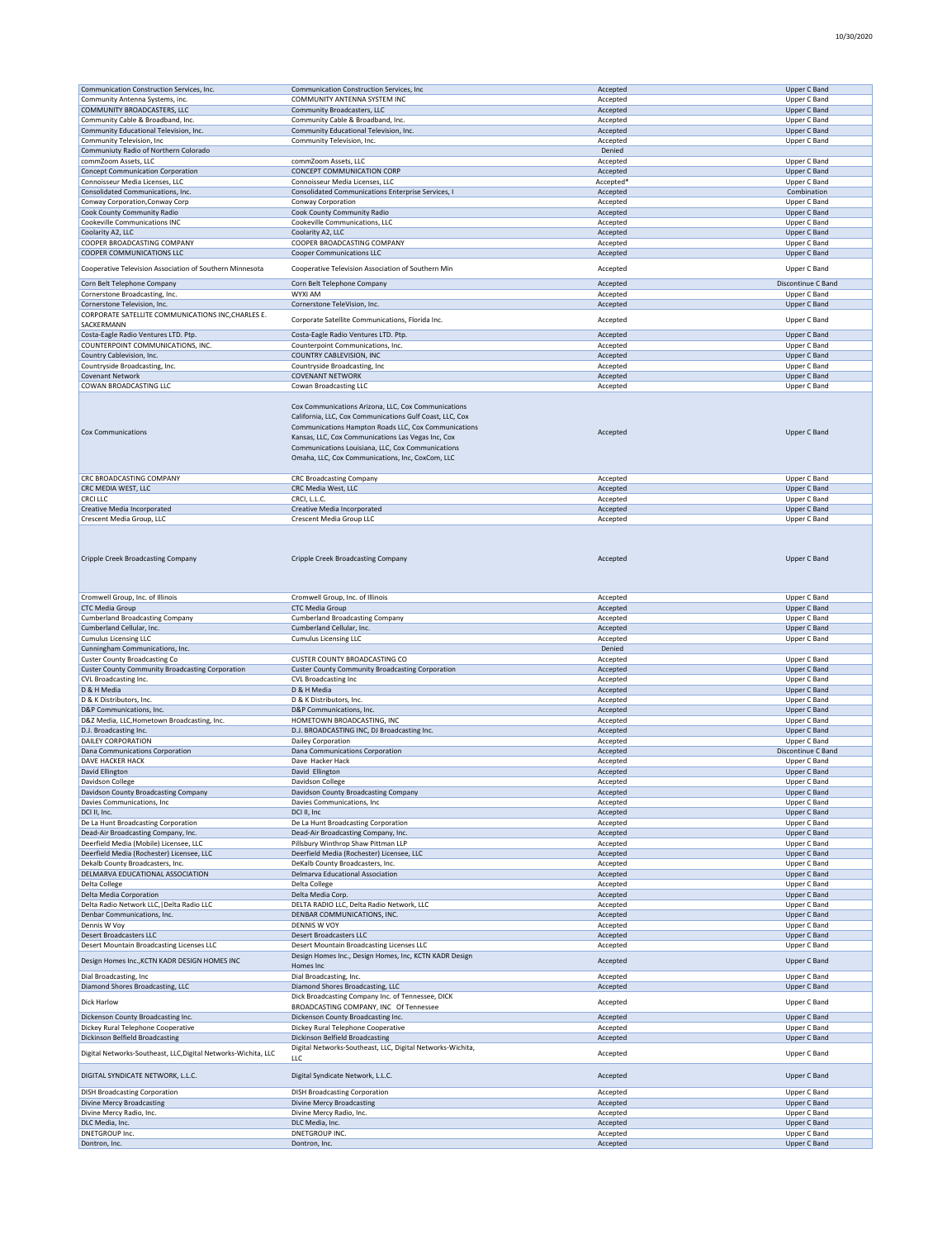| Communication Construction Services, Inc.                      | Communication Construction Services, Inc.                                                                                                                                                                                                                                                                                              | Accepted             | Upper C Band                 |
|----------------------------------------------------------------|----------------------------------------------------------------------------------------------------------------------------------------------------------------------------------------------------------------------------------------------------------------------------------------------------------------------------------------|----------------------|------------------------------|
| Community Antenna Systems, inc.                                | COMMUNITY ANTENNA SYSTEM INC                                                                                                                                                                                                                                                                                                           | Accepted             | Upper C Band                 |
| COMMUNITY BROADCASTERS, LLC                                    | Community Broadcasters, LLC                                                                                                                                                                                                                                                                                                            | Accepted             | Upper C Band                 |
|                                                                |                                                                                                                                                                                                                                                                                                                                        |                      |                              |
| Community Cable & Broadband, Inc.                              | Community Cable & Broadband, Inc.                                                                                                                                                                                                                                                                                                      | Accepted             | Upper C Band                 |
| Community Educational Television, Inc.                         | Community Educational Television, Inc.                                                                                                                                                                                                                                                                                                 | Accepted             | Upper C Band                 |
| Community Television, Inc                                      | Community Television, Inc.                                                                                                                                                                                                                                                                                                             | Accepted             | Upper C Band                 |
| Communiuty Radio of Northern Colorado                          |                                                                                                                                                                                                                                                                                                                                        | Denied               |                              |
| commZoom Assets, LLC                                           | commZoom Assets, LLC                                                                                                                                                                                                                                                                                                                   |                      |                              |
|                                                                |                                                                                                                                                                                                                                                                                                                                        | Accepted             | Upper C Band                 |
| <b>Concept Communication Corporation</b>                       | CONCEPT COMMUNICATION CORP                                                                                                                                                                                                                                                                                                             | Accepted             | Upper C Band                 |
| Connoisseur Media Licenses, LLC                                | Connoisseur Media Licenses, LLC                                                                                                                                                                                                                                                                                                        | Accepted'            | Upper C Band                 |
| Consolidated Communications, Inc.                              | Consolidated Communications Enterprise Services, I                                                                                                                                                                                                                                                                                     | Accepted             | Combination                  |
|                                                                |                                                                                                                                                                                                                                                                                                                                        |                      |                              |
| Conway Corporation, Conway Corp                                | Conway Corporation                                                                                                                                                                                                                                                                                                                     | Accepted             | Upper C Band                 |
| Cook County Community Radio                                    | Cook County Community Radio                                                                                                                                                                                                                                                                                                            | Accepted             | Upper C Band                 |
| Cookeville Communications INC                                  | Cookeville Communications, LLC                                                                                                                                                                                                                                                                                                         | Accepted             | Upper C Band                 |
|                                                                |                                                                                                                                                                                                                                                                                                                                        | Accepted             |                              |
| Coolarity A2, LLC                                              | Coolarity A2, LLC                                                                                                                                                                                                                                                                                                                      |                      | Upper C Band                 |
| COOPER BROADCASTING COMPANY                                    | COOPER BROADCASTING COMPANY                                                                                                                                                                                                                                                                                                            | Accepted             | Upper C Band                 |
| COOPER COMMUNICATIONS LLC                                      | Cooper Communications LLC                                                                                                                                                                                                                                                                                                              | Accepted             | Upper C Band                 |
|                                                                |                                                                                                                                                                                                                                                                                                                                        |                      |                              |
| Cooperative Television Association of Southern Minnesota       | Cooperative Television Association of Southern Min                                                                                                                                                                                                                                                                                     | Accepted             | Upper C Band                 |
|                                                                |                                                                                                                                                                                                                                                                                                                                        |                      |                              |
| Corn Belt Telephone Company                                    | Corn Belt Telephone Company                                                                                                                                                                                                                                                                                                            | Accepted             | Discontinue C Band           |
| Cornerstone Broadcasting, Inc.                                 | WYXI AM                                                                                                                                                                                                                                                                                                                                | Accepted             | Upper C Band                 |
| Cornerstone Television, Inc.                                   | Cornerstone TeleVision, Inc.                                                                                                                                                                                                                                                                                                           | Accepted             | Upper C Band                 |
|                                                                |                                                                                                                                                                                                                                                                                                                                        |                      |                              |
| CORPORATE SATELLITE COMMUNICATIONS INC, CHARLES E.             | Corporate Satellite Communications, Florida Inc.                                                                                                                                                                                                                                                                                       | Accepted             | Upper C Band                 |
| SACKERMANN                                                     |                                                                                                                                                                                                                                                                                                                                        |                      |                              |
| Costa-Eagle Radio Ventures LTD. Ptp.                           | Costa-Eagle Radio Ventures LTD. Ptp.                                                                                                                                                                                                                                                                                                   | Accepted             | Upper C Band                 |
| COUNTERPOINT COMMUNICATIONS, INC.                              | Counterpoint Communications, Inc.                                                                                                                                                                                                                                                                                                      | Accepted             | Upper C Band                 |
|                                                                |                                                                                                                                                                                                                                                                                                                                        |                      |                              |
| Country Cablevision, Inc.                                      | COUNTRY CABLEVISION, INC                                                                                                                                                                                                                                                                                                               | Accepted             | Upper C Band                 |
| Countryside Broadcasting, Inc.                                 | Countryside Broadcasting, Inc                                                                                                                                                                                                                                                                                                          | Accepted             | Upper C Band                 |
| Covenant Network                                               | <b>COVENANT NETWORK</b>                                                                                                                                                                                                                                                                                                                | Accepted             | Upper C Band                 |
| COWAN BROADCASTING LLC                                         | Cowan Broadcasting LLC                                                                                                                                                                                                                                                                                                                 | Accepted             | Upper C Band                 |
|                                                                |                                                                                                                                                                                                                                                                                                                                        |                      |                              |
| Cox Communications                                             | Cox Communications Arizona, LLC, Cox Communications<br>California, LLC, Cox Communications Gulf Coast, LLC, Cox<br>Communications Hampton Roads LLC, Cox Communications<br>Kansas, LLC, Cox Communications Las Vegas Inc, Cox<br>Communications Louisiana, LLC, Cox Communications<br>Omaha, LLC, Cox Communications, Inc, CoxCom, LLC | Accepted             | Upper C Band                 |
| CRC BROADCASTING COMPANY                                       |                                                                                                                                                                                                                                                                                                                                        |                      |                              |
|                                                                | <b>CRC Broadcasting Company</b>                                                                                                                                                                                                                                                                                                        | Accepted             | Upper C Band                 |
| CRC MEDIA WEST, LLC                                            | CRC Media West, LLC                                                                                                                                                                                                                                                                                                                    | Accepted             | Upper C Band                 |
| <b>CRCI LLC</b>                                                | CRCI, L.L.C.                                                                                                                                                                                                                                                                                                                           | Accepted             | Upper C Band                 |
| Creative Media Incorporated                                    | Creative Media Incorporated                                                                                                                                                                                                                                                                                                            | Accepted             | Upper C Band                 |
|                                                                |                                                                                                                                                                                                                                                                                                                                        | Accepted             |                              |
| Crescent Media Group, LLC                                      | Crescent Media Group LLC                                                                                                                                                                                                                                                                                                               |                      | Upper C Band                 |
| Cripple Creek Broadcasting Company                             | Cripple Creek Broadcasting Company                                                                                                                                                                                                                                                                                                     | Accepted             | Upper C Band                 |
| Cromwell Group, Inc. of Illinois                               | Cromwell Group, Inc. of Illinois                                                                                                                                                                                                                                                                                                       | Accepted             | Upper C Band                 |
| <b>CTC Media Group</b>                                         | <b>CTC Media Group</b>                                                                                                                                                                                                                                                                                                                 | Accepted             | Upper C Band                 |
| <b>Cumberland Broadcasting Company</b>                         | <b>Cumberland Broadcasting Company</b>                                                                                                                                                                                                                                                                                                 | Accepted             | Upper C Band                 |
|                                                                |                                                                                                                                                                                                                                                                                                                                        |                      |                              |
| Cumberland Cellular, Inc.                                      | Cumberland Cellular, Inc.                                                                                                                                                                                                                                                                                                              | Accepted             | Upper C Band                 |
| <b>Cumulus Licensing LLC</b>                                   | <b>Cumulus Licensing LLC</b>                                                                                                                                                                                                                                                                                                           | Accepted             | Upper C Band                 |
| Cunningham Communications, Inc.                                |                                                                                                                                                                                                                                                                                                                                        | Denied               |                              |
| <b>Custer County Broadcasting Co</b>                           | CUSTER COUNTY BROADCASTING CO                                                                                                                                                                                                                                                                                                          | Accepted             | Upper C Band                 |
|                                                                |                                                                                                                                                                                                                                                                                                                                        |                      |                              |
| <b>Custer County Community Broadcasting Corporation</b>        | <b>Custer County Community Broadcasting Corporation</b>                                                                                                                                                                                                                                                                                | Accepted             | Upper C Band                 |
| CVL Broadcasting Inc.                                          | CVL Broadcasting Inc                                                                                                                                                                                                                                                                                                                   | Accepted             | Upper C Band                 |
| D & H Media                                                    | D & H Media                                                                                                                                                                                                                                                                                                                            | Accepted             | Upper C Band                 |
| D & K Distributors, Inc.                                       | D & K Distributors, Inc.                                                                                                                                                                                                                                                                                                               | Accepted             | Upper C Band                 |
|                                                                |                                                                                                                                                                                                                                                                                                                                        |                      |                              |
| D&P Communications, Inc.                                       | D&P Communications, Inc.                                                                                                                                                                                                                                                                                                               | Accepted             | Upper C Band                 |
| D&Z Media, LLC, Hometown Broadcasting, Inc.                    | HOMETOWN BROADCASTING, INC                                                                                                                                                                                                                                                                                                             | Accepted             | Upper C Band                 |
| D.J. Broadcasting Inc.                                         | D.J. BROADCASTING INC, DJ Broadcasting Inc.                                                                                                                                                                                                                                                                                            | Accepted             | Upper C Band                 |
|                                                                |                                                                                                                                                                                                                                                                                                                                        |                      |                              |
| DAILEY CORPORATION                                             | Dailey Corporation                                                                                                                                                                                                                                                                                                                     | Accepted             | Upper C Band                 |
| Dana Communications Corporation                                | Dana Communications Corporation                                                                                                                                                                                                                                                                                                        | Accepted             | Discontinue C Band           |
| DAVE HACKER HACK                                               | Dave Hacker Hack                                                                                                                                                                                                                                                                                                                       | Accepted             | Upper C Band                 |
| David Ellington                                                | David Ellington                                                                                                                                                                                                                                                                                                                        | Accepted             | Upper C Band                 |
|                                                                |                                                                                                                                                                                                                                                                                                                                        |                      |                              |
| Davidson College                                               | Davidson College                                                                                                                                                                                                                                                                                                                       | Accepted             | upper C Band                 |
| Davidson County Broadcasting Company                           | Davidson County Broadcasting Company                                                                                                                                                                                                                                                                                                   | Accepted             | Upper C Band                 |
| Davies Communications, Inc.                                    | Davies Communications, Inc.                                                                                                                                                                                                                                                                                                            | Accepted             | Upper C Band                 |
| DCI II, Inc.                                                   | DCI II, Inc                                                                                                                                                                                                                                                                                                                            | Accepted             | Upper C Band                 |
| De La Hunt Broadcasting Corporation                            | De La Hunt Broadcasting Corporation                                                                                                                                                                                                                                                                                                    | Accepted             | Upper C Band                 |
|                                                                |                                                                                                                                                                                                                                                                                                                                        |                      |                              |
| Dead-Air Broadcasting Company, Inc.                            | Dead-Air Broadcasting Company, Inc.                                                                                                                                                                                                                                                                                                    | Accepted             | Upper C Band                 |
| Deerfield Media (Mobile) Licensee, LLC                         | Pillsbury Winthrop Shaw Pittman LLP                                                                                                                                                                                                                                                                                                    | Accepted             | Upper C Band                 |
| Deerfield Media (Rochester) Licensee, LLC                      | Deerfield Media (Rochester) Licensee, LLC                                                                                                                                                                                                                                                                                              | Accepted             | Upper C Band                 |
| Dekalb County Broadcasters, Inc.                               | DeKalb County Broadcasters, Inc.                                                                                                                                                                                                                                                                                                       | Accepted             | Upper C Band                 |
|                                                                |                                                                                                                                                                                                                                                                                                                                        |                      |                              |
| DELMARVA EDUCATIONAL ASSOCIATION                               | Delmarva Educational Association                                                                                                                                                                                                                                                                                                       | Accepted             | Upper C Band                 |
| Delta College                                                  | Delta College                                                                                                                                                                                                                                                                                                                          | Accepted             | Upper C Band                 |
| Delta Media Corporation                                        | Delta Media Corp.                                                                                                                                                                                                                                                                                                                      | Accepted             | Upper C Band                 |
| Delta Radio Network LLC,   Delta Radio LLC                     | DELTA RADIO LLC, Delta Radio Network, LLC                                                                                                                                                                                                                                                                                              | Accepted             | Upper C Band                 |
| Denbar Communications, Inc.                                    | DENBAR COMMUNICATIONS, INC.                                                                                                                                                                                                                                                                                                            |                      |                              |
|                                                                |                                                                                                                                                                                                                                                                                                                                        | Accepted             | Upper C Band                 |
| Dennis W Voy                                                   | DENNIS W VOY                                                                                                                                                                                                                                                                                                                           | Accepted             | Upper C Band                 |
| <b>Desert Broadcasters LLC</b>                                 | <b>Desert Broadcasters LLC</b>                                                                                                                                                                                                                                                                                                         | Accepted             | Upper C Band                 |
| Desert Mountain Broadcasting Licenses LLC                      | Desert Mountain Broadcasting Licenses LLC                                                                                                                                                                                                                                                                                              | Accepted             | Upper C Band                 |
| Design Homes Inc., KCTN KADR DESIGN HOMES INC                  | Design Homes Inc., Design Homes, Inc, KCTN KADR Design<br>Homes Inc                                                                                                                                                                                                                                                                    | Accepted             | Upper C Band                 |
| Dial Broadcasting, Inc.                                        | Dial Broadcasting, Inc.                                                                                                                                                                                                                                                                                                                | Accepted             | Upper C Band                 |
| Diamond Shores Broadcasting, LLC                               | Diamond Shores Broadcasting, LLC                                                                                                                                                                                                                                                                                                       | Accepted             | Upper C Band                 |
|                                                                | Dick Broadcasting Company Inc. of Tennessee, DICK                                                                                                                                                                                                                                                                                      |                      |                              |
| Dick Harlow                                                    |                                                                                                                                                                                                                                                                                                                                        | Accepted             | Upper C Band                 |
|                                                                | BROADCASTING COMPANY, INC Of Tennessee                                                                                                                                                                                                                                                                                                 |                      |                              |
| Dickenson County Broadcasting Inc.                             | Dickenson County Broadcasting Inc.                                                                                                                                                                                                                                                                                                     | Accepted             | Upper C Band                 |
| Dickey Rural Telephone Cooperative                             | Dickey Rural Telephone Cooperative                                                                                                                                                                                                                                                                                                     | Accepted             | Upper C Band                 |
| Dickinson Belfield Broadcasting                                | Dickinson Belfield Broadcasting                                                                                                                                                                                                                                                                                                        | Accepted             | Upper C Band                 |
|                                                                |                                                                                                                                                                                                                                                                                                                                        |                      |                              |
| Digital Networks-Southeast, LLC, Digital Networks-Wichita, LLC | Digital Networks-Southeast, LLC, Digital Networks-Wichita,                                                                                                                                                                                                                                                                             | Accepted             | Upper C Band                 |
|                                                                | LLC                                                                                                                                                                                                                                                                                                                                    |                      |                              |
|                                                                |                                                                                                                                                                                                                                                                                                                                        |                      |                              |
| DIGITAL SYNDICATE NETWORK, L.L.C.                              | Digital Syndicate Network, L.L.C.                                                                                                                                                                                                                                                                                                      | Accepted             | Upper C Band                 |
|                                                                |                                                                                                                                                                                                                                                                                                                                        |                      |                              |
| <b>DISH Broadcasting Corporation</b>                           |                                                                                                                                                                                                                                                                                                                                        |                      |                              |
|                                                                | <b>DISH Broadcasting Corporation</b>                                                                                                                                                                                                                                                                                                   | Accepted             | Upper C Band                 |
| <b>Divine Mercy Broadcasting</b>                               | <b>Divine Mercy Broadcasting</b>                                                                                                                                                                                                                                                                                                       | Accepted             | Upper C Band                 |
|                                                                |                                                                                                                                                                                                                                                                                                                                        |                      |                              |
| Divine Mercy Radio, Inc.                                       | Divine Mercy Radio, Inc.                                                                                                                                                                                                                                                                                                               | Accepted             | Upper C Band                 |
| DLC Media, Inc.                                                | DLC Media, Inc.                                                                                                                                                                                                                                                                                                                        | Accepted             | Upper C Band                 |
| DNETGROUP Inc.<br>Dontron, Inc.                                | DNETGROUP INC.<br>Dontron, Inc.                                                                                                                                                                                                                                                                                                        | Accepted<br>Accepted | Upper C Band<br>Upper C Band |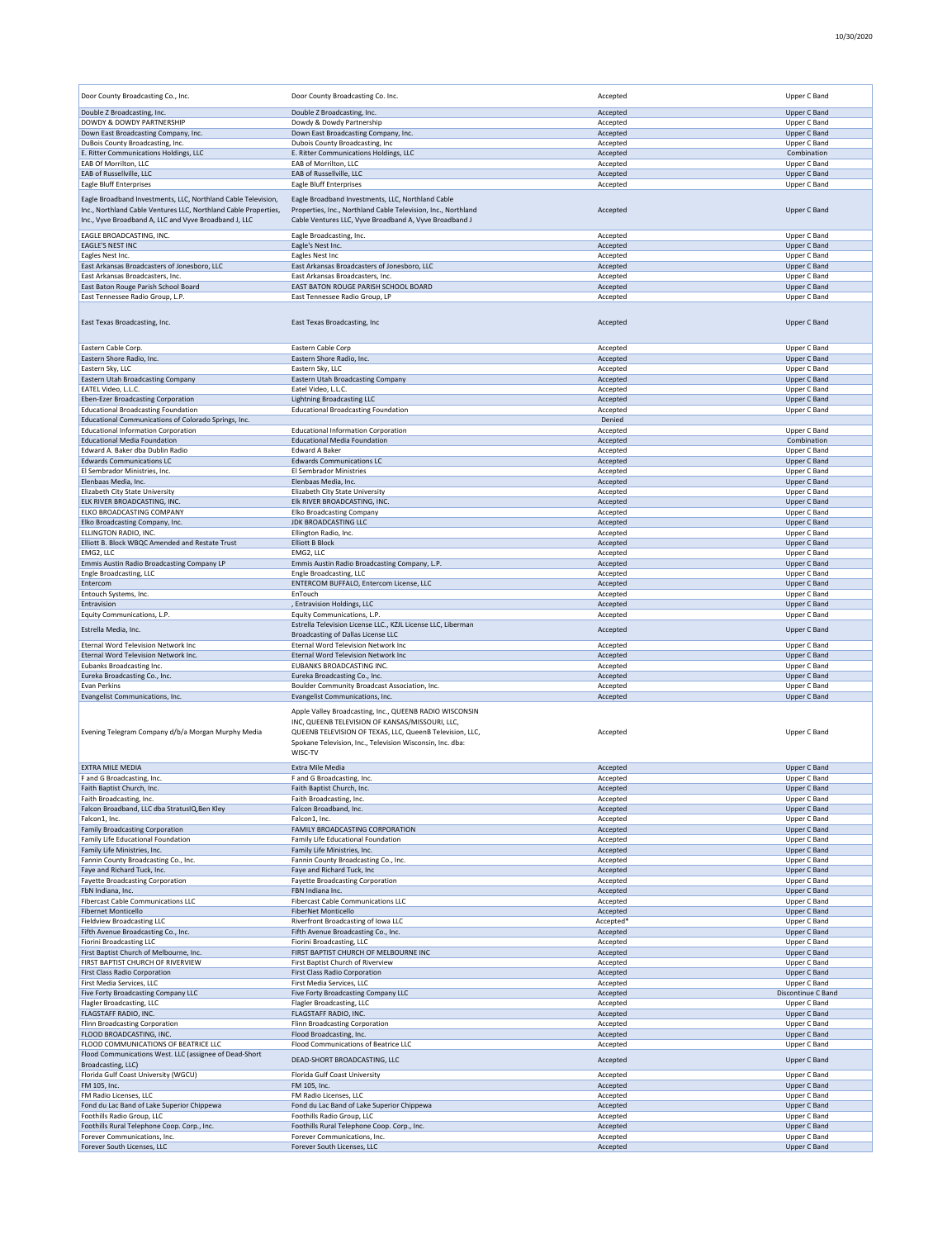| Door County Broadcasting Co., Inc.                                                                                                                                                        | Door County Broadcasting Co. Inc.                                                                                                                                                                                                              | Accepted              | Upper C Band                        |
|-------------------------------------------------------------------------------------------------------------------------------------------------------------------------------------------|------------------------------------------------------------------------------------------------------------------------------------------------------------------------------------------------------------------------------------------------|-----------------------|-------------------------------------|
| Double Z Broadcasting, Inc.                                                                                                                                                               | Double Z Broadcasting, Inc.                                                                                                                                                                                                                    | Accepted              | Upper C Band                        |
| DOWDY & DOWDY PARTNERSHIP<br>Down East Broadcasting Company, Inc.                                                                                                                         | Dowdy & Dowdy Partnership<br>Down East Broadcasting Company, Inc.                                                                                                                                                                              | Accepted<br>Accepted  | Upper C Band<br>Upper C Band        |
| DuBois County Broadcasting, Inc.                                                                                                                                                          | Dubois County Broadcasting, Inc                                                                                                                                                                                                                | Accepted              | Upper C Band                        |
| E. Ritter Communications Holdings, LLC                                                                                                                                                    | E. Ritter Communications Holdings, LLC                                                                                                                                                                                                         | Accepted              | Combination                         |
| EAB Of Morrilton, LLC                                                                                                                                                                     | EAB of Morrilton, LLC                                                                                                                                                                                                                          | Accepted              | Upper C Band                        |
| EAB of Russellville, LLC<br><b>Eagle Bluff Enterprises</b>                                                                                                                                | EAB of Russellville, LLC<br>Eagle Bluff Enterprises                                                                                                                                                                                            | Accepted<br>Accepted  | <b>Upper C Band</b><br>Upper C Band |
|                                                                                                                                                                                           |                                                                                                                                                                                                                                                |                       |                                     |
| Eagle Broadband Investments, LLC, Northland Cable Television,<br>Inc., Northland Cable Ventures LLC, Northland Cable Properties,<br>Inc., Vyve Broadband A, LLC and Vyve Broadband J, LLC | Eagle Broadband Investments, LLC, Northland Cable<br>Properties, Inc., Northland Cable Television, Inc., Northland<br>Cable Ventures LLC, Vyve Broadband A, Vyve Broadband J                                                                   | Accepted              | Upper C Band                        |
| EAGLE BROADCASTING, INC.                                                                                                                                                                  | Eagle Broadcasting, Inc.                                                                                                                                                                                                                       | Accepted              | Upper C Band                        |
| <b>EAGLE'S NEST INC</b>                                                                                                                                                                   | Eagle's Nest Inc.                                                                                                                                                                                                                              | Accepted              | Upper C Band                        |
| Eagles Nest Inc.<br>East Arkansas Broadcasters of Jonesboro, LLC                                                                                                                          | Eagles Nest Inc<br>East Arkansas Broadcasters of Jonesboro, LLC                                                                                                                                                                                | Accepted<br>Accepted  | Upper C Band<br>Upper C Band        |
| East Arkansas Broadcasters, Inc.                                                                                                                                                          | East Arkansas Broadcasters, Inc.                                                                                                                                                                                                               | Accepted              | Upper C Band                        |
| East Baton Rouge Parish School Board                                                                                                                                                      | EAST BATON ROUGE PARISH SCHOOL BOARD                                                                                                                                                                                                           | Accepted              | Upper C Band                        |
| East Tennessee Radio Group, L.P.                                                                                                                                                          | East Tennessee Radio Group, LP                                                                                                                                                                                                                 | Accepted              | Upper C Band                        |
| East Texas Broadcasting, Inc.                                                                                                                                                             | East Texas Broadcasting, Inc                                                                                                                                                                                                                   | Accepted              | Upper C Band                        |
| Eastern Cable Corp.                                                                                                                                                                       | Eastern Cable Corp                                                                                                                                                                                                                             | Accepted              | Upper C Band                        |
| Eastern Shore Radio, Inc.<br>Eastern Sky, LLC                                                                                                                                             | Eastern Shore Radio, Inc.<br>Eastern Sky, LLC                                                                                                                                                                                                  | Accepted<br>Accepted  | <b>Upper C Band</b><br>Upper C Band |
| <b>Eastern Utah Broadcasting Company</b>                                                                                                                                                  | <b>Eastern Utah Broadcasting Company</b>                                                                                                                                                                                                       | Accepted              | Upper C Band                        |
| EATEL Video, L.L.C.                                                                                                                                                                       | Eatel Video, L.L.C.                                                                                                                                                                                                                            | Accepted              | Upper C Band                        |
| Eben-Ezer Broadcasting Corporation                                                                                                                                                        | <b>Lightning Broadcasting LLC</b>                                                                                                                                                                                                              | Accepted              | Upper C Band                        |
| <b>Educational Broadcasting Foundation</b>                                                                                                                                                | <b>Educational Broadcasting Foundation</b>                                                                                                                                                                                                     | Accepted              | Upper C Band                        |
| Educational Communications of Colorado Springs, Inc.<br><b>Educational Information Corporation</b>                                                                                        | <b>Educational Information Corporation</b>                                                                                                                                                                                                     | Denied<br>Accepted    | Upper C Band                        |
| <b>Educational Media Foundation</b>                                                                                                                                                       | <b>Educational Media Foundation</b>                                                                                                                                                                                                            | Accepted              | Combination                         |
| Edward A. Baker dba Dublin Radio                                                                                                                                                          | <b>Edward A Baker</b>                                                                                                                                                                                                                          | Accepted              | Upper C Band                        |
| <b>Edwards Communications LC</b>                                                                                                                                                          | <b>Edwards Communications LC</b>                                                                                                                                                                                                               | Accepted              | Upper C Band                        |
| El Sembrador Ministries, Inc.                                                                                                                                                             | El Sembrador Ministries                                                                                                                                                                                                                        | Accepted              | Upper C Band                        |
| Elenbaas Media, Inc.                                                                                                                                                                      | Elenbaas Media, Inc.<br>Elizabeth City State University                                                                                                                                                                                        | Accepted              | Upper C Band                        |
| Elizabeth City State University<br>ELK RIVER BROADCASTING, INC.                                                                                                                           | Elk RIVER BROADCASTING, INC.                                                                                                                                                                                                                   | Accepted<br>Accepted  | Upper C Band<br>Upper C Band        |
| ELKO BROADCASTING COMPANY                                                                                                                                                                 | Elko Broadcasting Company                                                                                                                                                                                                                      | Accepted              | Upper C Band                        |
| Elko Broadcasting Company, Inc.                                                                                                                                                           | <b>JDK BROADCASTING LLC</b>                                                                                                                                                                                                                    | Accepted              | Upper C Band                        |
| ELLINGTON RADIO, INC.                                                                                                                                                                     | Ellington Radio, Inc.                                                                                                                                                                                                                          | Accepted              | Upper C Band                        |
| Elliott B. Block WBQC Amended and Restate Trust                                                                                                                                           | <b>Elliott B Block</b>                                                                                                                                                                                                                         | Accepted              | Upper C Band                        |
| EMG2, LLC<br>Emmis Austin Radio Broadcasting Company LP                                                                                                                                   | EMG2, LLC<br>Emmis Austin Radio Broadcasting Company, L.P.                                                                                                                                                                                     | Accepted<br>Accepted  | Upper C Band<br>Upper C Band        |
| Engle Broadcasting, LLC                                                                                                                                                                   | Engle Broadcasting, LLC                                                                                                                                                                                                                        | Accepted              | Upper C Band                        |
| Entercom                                                                                                                                                                                  | ENTERCOM BUFFALO, Entercom License, LLC                                                                                                                                                                                                        | Accepted              | Upper C Band                        |
| Entouch Systems, Inc.                                                                                                                                                                     | EnTouch                                                                                                                                                                                                                                        | Accepted              | Upper C Band                        |
| Entravision<br>Equity Communications, L.P.                                                                                                                                                | , Entravision Holdings, LLC<br>Equity Communications, L.P.                                                                                                                                                                                     | Accepted              | Upper C Band                        |
| Estrella Media, Inc.                                                                                                                                                                      | Estrella Television License LLC., KZJL License LLC, Liberman                                                                                                                                                                                   | Accepted<br>Accepted  | Upper C Band<br>Upper C Band        |
| Eternal Word Television Network Inc                                                                                                                                                       | Broadcasting of Dallas License LLC<br>Eternal Word Television Network Inc                                                                                                                                                                      | Accepted              | Upper C Band                        |
| Eternal Word Television Network Inc.                                                                                                                                                      | Eternal Word Television Network Inc                                                                                                                                                                                                            | Accepted              | Upper C Band                        |
| Eubanks Broadcasting Inc.                                                                                                                                                                 | EUBANKS BROADCASTING INC.                                                                                                                                                                                                                      | Accepted              | Upper C Band                        |
| Eureka Broadcasting Co., Inc.                                                                                                                                                             | Eureka Broadcasting Co., Inc.                                                                                                                                                                                                                  | Accepted              | Upper C Band                        |
| Evan Perkins                                                                                                                                                                              | Boulder Community Broadcast Association, Inc.                                                                                                                                                                                                  | Accepted              | Upper C Band                        |
| Evangelist Communications, Inc.                                                                                                                                                           | Evangelist Communications, Inc.                                                                                                                                                                                                                | Accepted              | <b>Upper C Band</b>                 |
| Evening Telegram Company d/b/a Morgan Murphy Media                                                                                                                                        | Apple Valley Broadcasting, Inc., QUEENB RADIO WISCONSIN<br>INC, QUEENB TELEVISION OF KANSAS/MISSOURI, LLC,<br>QUEENB TELEVISION OF TEXAS, LLC, QueenB Television, LLC,<br>Spokane Television, Inc., Television Wisconsin, Inc. dba:<br>WISC-TV | Accepted              | Upper C Band                        |
| EXTRA MILE MEDIA                                                                                                                                                                          | Extra Mile Media                                                                                                                                                                                                                               | Accepted              | Upper C Band                        |
| F and G Broadcasting, Inc.                                                                                                                                                                | F and G Broadcasting, Inc.                                                                                                                                                                                                                     | Accepted              | Upper C Band                        |
| Faith Baptist Church, Inc<br>Faith Broadcasting, Inc.                                                                                                                                     | Faith Baptist Church, Inc.<br>Faith Broadcasting, Inc.                                                                                                                                                                                         | Accepted<br>Accepted  | Upper C Band<br>Upper C Band        |
| Falcon Broadband, LLC dba StratusIQ, Ben Kley                                                                                                                                             | Falcon Broadband, Inc.                                                                                                                                                                                                                         | Accepted              | Upper C Band                        |
| Falcon1, Inc.                                                                                                                                                                             | Falcon1. Inc.                                                                                                                                                                                                                                  | Accepted              | Upper C Band                        |
| <b>Family Broadcasting Corporation</b>                                                                                                                                                    | FAMILY BROADCASTING CORPORATION                                                                                                                                                                                                                | Accepted              | Upper C Band                        |
| Family Life Educational Foundation<br>Family Life Ministries, Inc.                                                                                                                        | Family Life Educational Foundation<br>Family Life Ministries, Inc.                                                                                                                                                                             | Accepted<br>Accepted  | Upper C Band<br>Upper C Band        |
| Fannin County Broadcasting Co., Inc.                                                                                                                                                      | Fannin County Broadcasting Co., Inc.                                                                                                                                                                                                           | Accepted              | Upper C Band                        |
| Faye and Richard Tuck, Inc.                                                                                                                                                               | Faye and Richard Tuck, Inc.                                                                                                                                                                                                                    | Accepted              | Upper C Band                        |
| Fayette Broadcasting Corporation                                                                                                                                                          | <b>Fayette Broadcasting Corporation</b>                                                                                                                                                                                                        | Accepted              | Upper C Band                        |
| FbN Indiana, Inc.                                                                                                                                                                         | FBN Indiana Inc.                                                                                                                                                                                                                               | Accepted              | Upper C Band                        |
| <b>Fibercast Cable Communications LLC</b>                                                                                                                                                 | <b>Fibercast Cable Communications LLC</b>                                                                                                                                                                                                      | Accepted              | Upper C Band                        |
| <b>Fibernet Monticello</b><br><b>Fieldview Broadcasting LLC</b>                                                                                                                           | FiberNet Monticello<br>Riverfront Broadcasting of Iowa LLC                                                                                                                                                                                     | Accepted<br>Accepted* | Upper C Band<br>Upper C Band        |
| Fifth Avenue Broadcasting Co., Inc.                                                                                                                                                       | Fifth Avenue Broadcasting Co., Inc.                                                                                                                                                                                                            | Accepted              | Upper C Band                        |
| <b>Fiorini Broadcasting LLC</b>                                                                                                                                                           | Fiorini Broadcasting, LLC                                                                                                                                                                                                                      | Accepted              | Upper C Band                        |
| First Baptist Church of Melbourne, Inc.                                                                                                                                                   | FIRST BAPTIST CHURCH OF MELBOURNE INC                                                                                                                                                                                                          | Accepted              | Upper C Band                        |
| FIRST BAPTIST CHURCH OF RIVERVIEW                                                                                                                                                         | First Baptist Church of Riverview                                                                                                                                                                                                              | Accepted              | Upper C Band                        |
| <b>First Class Radio Corporation</b><br>First Media Services, LLC                                                                                                                         | First Class Radio Corporation<br>First Media Services, LLC                                                                                                                                                                                     | Accepted<br>Accepted  | Upper C Band<br>Upper C Band        |
| Five Forty Broadcasting Company LLC                                                                                                                                                       | Five Forty Broadcasting Company LLC                                                                                                                                                                                                            | Accepted              | Discontinue C Band                  |
| Flagler Broadcasting, LLC                                                                                                                                                                 | Flagler Broadcasting, LLC                                                                                                                                                                                                                      | Accepted              | Upper C Band                        |
| FLAGSTAFF RADIO, INC.                                                                                                                                                                     | FLAGSTAFF RADIO, INC.                                                                                                                                                                                                                          | Accepted              | Upper C Band                        |
|                                                                                                                                                                                           |                                                                                                                                                                                                                                                |                       | Upper C Band                        |
| Flinn Broadcasting Corporation                                                                                                                                                            | Flinn Broadcasting Corporation                                                                                                                                                                                                                 | Accepted              |                                     |
| FLOOD BROADCASTING, INC.                                                                                                                                                                  | Flood Broadcasting, Inc.                                                                                                                                                                                                                       | Accepted              | Upper C Band                        |
| FLOOD COMMUNICATIONS OF BEATRICE LLC<br>Flood Communications West. LLC (assignee of Dead-Short                                                                                            | Flood Communications of Beatrice LLC<br>DEAD-SHORT BROADCASTING, LLC                                                                                                                                                                           | Accepted<br>Accepted  | Upper C Band<br>Upper C Band        |
| Broadcasting, LLC)<br>Florida Gulf Coast University (WGCU)                                                                                                                                | Florida Gulf Coast University                                                                                                                                                                                                                  | Accepted              | Upper C Band                        |
| FM 105, Inc.                                                                                                                                                                              | FM 105, Inc.                                                                                                                                                                                                                                   | Accepted              | Upper C Band                        |
| FM Radio Licenses, LLC                                                                                                                                                                    | FM Radio Licenses, LLC                                                                                                                                                                                                                         | Accepted              | Upper C Band                        |
| Fond du Lac Band of Lake Superior Chippewa                                                                                                                                                | Fond du Lac Band of Lake Superior Chippewa                                                                                                                                                                                                     | Accepted              | Upper C Band                        |
| Foothills Radio Group, LLC                                                                                                                                                                | Foothills Radio Group, LLC                                                                                                                                                                                                                     | Accepted              | Upper C Band                        |
| Foothills Rural Telephone Coop. Corp., Inc.<br>Forever Communications, Inc.                                                                                                               | Foothills Rural Telephone Coop. Corp., Inc.<br>Forever Communications, Inc.                                                                                                                                                                    | Accepted<br>Accepted  | Upper C Band<br>Upper C Band        |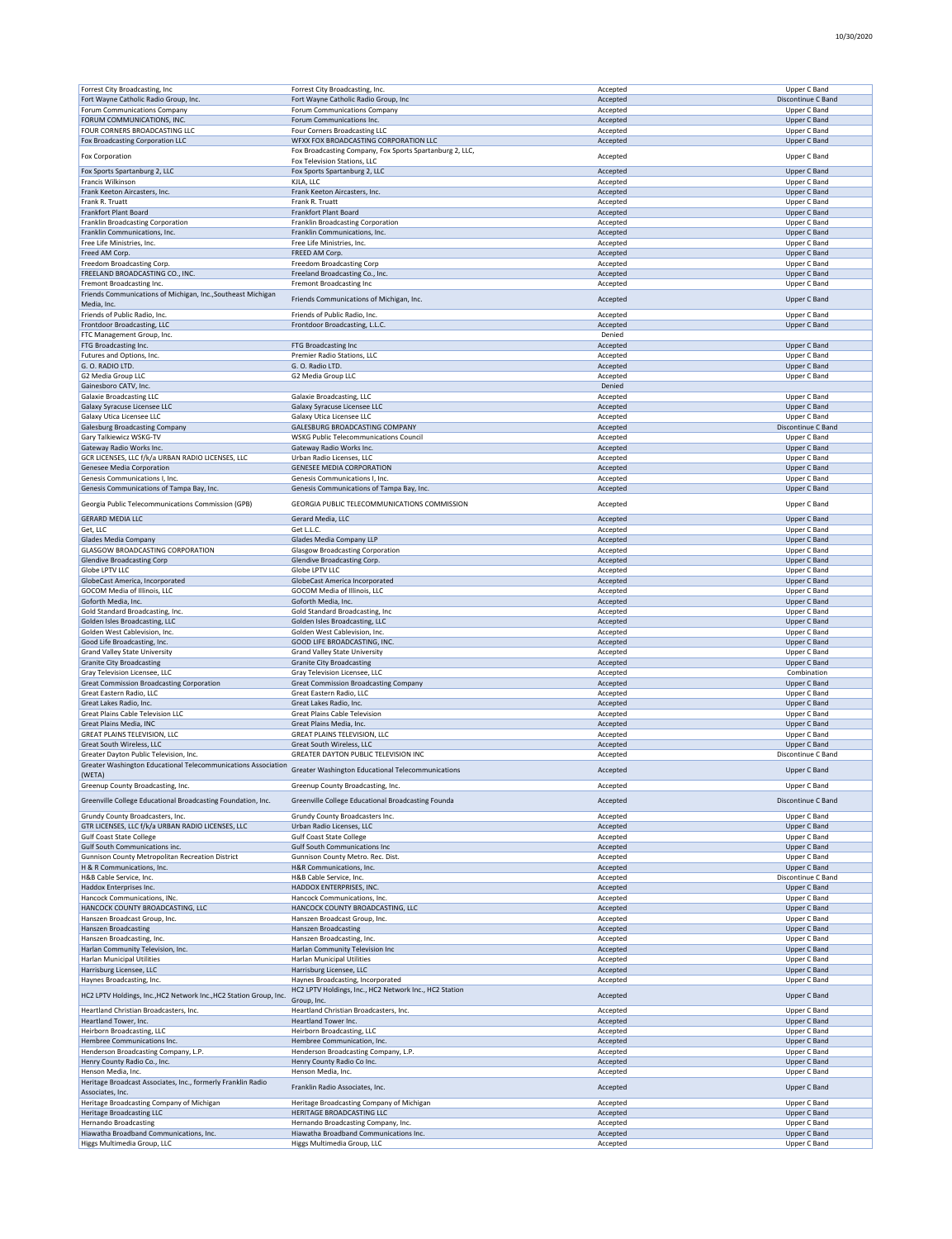| Forrest City Broadcasting, Inc                                     | Forrest City Broadcasting, Inc.                          | Accepted | Upper C Band        |
|--------------------------------------------------------------------|----------------------------------------------------------|----------|---------------------|
| Fort Wayne Catholic Radio Group, Inc.                              | Fort Wayne Catholic Radio Group, Inc                     | Accepted | Discontinue C Band  |
| Forum Communications Company                                       | Forum Communications Company                             | Accepted | Upper C Band        |
|                                                                    |                                                          |          |                     |
| FORUM COMMUNICATIONS, INC.                                         | Forum Communications Inc.                                | Accepted | <b>Upper C Band</b> |
| FOUR CORNERS BROADCASTING LLC                                      | Four Corners Broadcasting LLC                            | Accepted | Upper C Band        |
| Fox Broadcasting Corporation LLC                                   | WFXX FOX BROADCASTING CORPORATION LLC                    | Accepted | Upper C Band        |
| Fox Corporation                                                    | Fox Broadcasting Company, Fox Sports Spartanburg 2, LLC, | Accepted | Upper C Band        |
|                                                                    | Fox Television Stations, LLC                             |          |                     |
| Fox Sports Spartanburg 2, LLC                                      | Fox Sports Spartanburg 2, LLC                            | Accepted | <b>Upper C Band</b> |
| Francis Wilkinson                                                  | KJLA, LLC                                                | Accepted | Upper C Band        |
| Frank Keeton Aircasters, Inc.                                      | Frank Keeton Aircasters, Inc.                            | Accepted | <b>Upper C Band</b> |
| Frank R. Truatt                                                    | Frank R. Truatt                                          | Accepted | Upper C Band        |
| Frankfort Plant Board                                              | Frankfort Plant Board                                    | Accepted | <b>Upper C Band</b> |
|                                                                    |                                                          |          |                     |
| Franklin Broadcasting Corporation                                  | Franklin Broadcasting Corporation                        | Accepted | Upper C Band        |
| Franklin Communications, Inc.                                      | Franklin Communications, Inc.                            | Accepted | <b>Upper C Band</b> |
| Free Life Ministries, Inc.                                         | Free Life Ministries, Inc.                               | Accepted | Upper C Band        |
| Freed AM Corp.                                                     | FREED AM Corp.                                           | Accepted | Upper C Band        |
| Freedom Broadcasting Corp.                                         | Freedom Broadcasting Corp                                | Accepted | Upper C Band        |
| FREELAND BROADCASTING CO., INC.                                    | Freeland Broadcasting Co., Inc.                          | Accepted | <b>Upper C Band</b> |
|                                                                    |                                                          |          |                     |
| Fremont Broadcasting Inc.                                          | Fremont Broadcasting Inc                                 | Accepted | Upper C Band        |
| Friends Communications of Michigan, Inc., Southeast Michigan       | Friends Communications of Michigan, Inc.                 | Accepted | <b>Upper C Band</b> |
| Media, Inc.                                                        |                                                          |          |                     |
| Friends of Public Radio, Inc.                                      | Friends of Public Radio, Inc.                            | Accepted | Upper C Band        |
| Frontdoor Broadcasting, LLC                                        | Frontdoor Broadcasting, L.L.C.                           | Accepted | <b>Upper C Band</b> |
| FTC Management Group, Inc.                                         |                                                          | Denied   |                     |
|                                                                    |                                                          |          |                     |
| FTG Broadcasting Inc.                                              | FTG Broadcasting Inc                                     | Accepted | <b>Upper C Band</b> |
| Futures and Options, Inc.                                          | Premier Radio Stations, LLC                              | Accepted | Upper C Band        |
| G.O. RADIO LTD.                                                    | G. O. Radio LTD.                                         | Accepted | Upper C Band        |
| G2 Media Group LLC                                                 | G2 Media Group LLC                                       | Accepted | Upper C Band        |
| Gainesboro CATV, Inc.                                              |                                                          | Denied   |                     |
| <b>Galaxie Broadcasting LLC</b>                                    | Galaxie Broadcasting, LLC                                | Accepted | Upper C Band        |
|                                                                    |                                                          |          |                     |
| Galaxy Syracuse Licensee LLC                                       | Galaxy Syracuse Licensee LLC                             | Accepted | <b>Upper C Band</b> |
| Galaxy Utica Licensee LLC                                          | Galaxy Utica Licensee LLC                                | Accepted | Upper C Band        |
| <b>Galesburg Broadcasting Company</b>                              | GALESBURG BROADCASTING COMPANY                           | Accepted | Discontinue C Band  |
| Gary Talkiewicz WSKG-TV                                            | <b>WSKG Public Telecommunications Council</b>            | Accepted | Upper C Band        |
| Gateway Radio Works Inc.                                           | Gateway Radio Works Inc.                                 | Accepted | <b>Upper C Band</b> |
|                                                                    |                                                          |          |                     |
| GCR LICENSES, LLC f/k/a URBAN RADIO LICENSES, LLC                  | Urban Radio Licenses, LLC                                | Accepted | Upper C Band        |
| Genesee Media Corporation                                          | <b>GENESEE MEDIA CORPORATION</b>                         | Accepted | <b>Upper C Band</b> |
| Genesis Communications I, Inc.                                     | Genesis Communications I, Inc.                           | Accepted | Upper C Band        |
| Genesis Communications of Tampa Bay, Inc.                          | Genesis Communications of Tampa Bay, Inc.                | Accepted | Upper C Band        |
|                                                                    |                                                          |          |                     |
| Georgia Public Telecommunications Commission (GPB)                 | GEORGIA PUBLIC TELECOMMUNICATIONS COMMISSION             | Accepted | Upper C Band        |
|                                                                    |                                                          |          |                     |
| <b>GERARD MEDIA LLC</b>                                            | Gerard Media, LLC                                        | Accepted | Upper C Band        |
| Get, LLC                                                           | Get L.L.C.                                               | Accepted | Upper C Band        |
| Glades Media Company                                               | Glades Media Company LLP                                 | Accepted | <b>Upper C Band</b> |
| GLASGOW BROADCASTING CORPORATION                                   | <b>Glasgow Broadcasting Corporation</b>                  | Accepted | Upper C Band        |
|                                                                    |                                                          |          |                     |
| <b>Glendive Broadcasting Corp</b>                                  | Glendive Broadcasting Corp.                              | Accepted | <b>Upper C Band</b> |
| Globe LPTV LLC                                                     | Globe LPTV LLC                                           | Accepted | Upper C Band        |
| GlobeCast America, Incorporated                                    | GlobeCast America Incorporated                           | Accepted | <b>Upper C Band</b> |
| GOCOM Media of Illinois, LLC                                       | GOCOM Media of Illinois, LLC                             | Accepted | Upper C Band        |
| Goforth Media, Inc.                                                | Goforth Media, Inc.                                      | Accepted | Upper C Band        |
| Gold Standard Broadcasting, Inc.                                   | Gold Standard Broadcasting, Inc                          | Accepted | Upper C Band        |
|                                                                    |                                                          |          |                     |
| Golden Isles Broadcasting, LLC                                     | Golden Isles Broadcasting, LLC                           | Accepted | Upper C Band        |
| Golden West Cablevision, Inc.                                      | Golden West Cablevision, Inc.                            | Accepted | Upper C Band        |
| Good Life Broadcasting, Inc.                                       | GOOD LIFE BROADCASTING, INC.                             | Accepted | Upper C Band        |
| Grand Valley State University                                      | Grand Valley State University                            | Accepted | Upper C Band        |
| <b>Granite City Broadcasting</b>                                   | <b>Granite City Broadcasting</b>                         |          | <b>Upper C Band</b> |
|                                                                    |                                                          | Accepted |                     |
| Gray Television Licensee, LLC                                      | Gray Television Licensee, LLC                            | Accepted | Combination         |
| <b>Great Commission Broadcasting Corporation</b>                   | <b>Great Commission Broadcasting Company</b>             | Accepted | <b>Upper C Band</b> |
| Great Eastern Radio, LLC                                           | Great Eastern Radio, LLC                                 | Accepted | Upper C Band        |
| Great Lakes Radio, Inc.                                            | Great Lakes Radio, Inc.                                  | Accepted | Upper C Band        |
| Great Plains Cable Television LLC                                  | Great Plains Cable Television                            | Accepted | Upper C Band        |
|                                                                    |                                                          |          |                     |
| Great Plains Media, INC                                            | Great Plains Media, Inc.                                 | Accepted | <b>Upper C Band</b> |
| GREAT PLAINS TELEVISION, LLC                                       | GREAT PLAINS TELEVISION, LLC                             | Accepted | Upper C Band        |
| Great South Wireless, LLC                                          | Great South Wireless, LLC                                | Accepted | Upper C Band        |
| Greater Dayton Public Television, Inc.                             | GREATER DAYTON PUBLIC TELEVISION INC                     | Accepted | Discontinue C Band  |
| Greater Washington Educational Telecommunications Association      |                                                          |          |                     |
| (WETA)                                                             | Greater Washington Educational Telecommunications        | Accepted | <b>Upper C Band</b> |
|                                                                    |                                                          |          |                     |
| Greenup County Broadcasting, Inc.                                  | Greenup County Broadcasting, Inc                         | Accepted | Upper C Band        |
| Greenville College Educational Broadcasting Foundation, Inc.       | Greenville College Educational Broadcasting Founda       | Accepted | Discontinue C Band  |
|                                                                    |                                                          |          |                     |
| Grundy County Broadcasters, Inc.                                   | Grundy County Broadcasters Inc.                          | Accepted | Upper C Band        |
| GTR LICENSES, LLC f/k/a URBAN RADIO LICENSES, LLC                  | Urban Radio Licenses, LLC                                | Accepted | <b>Upper C Band</b> |
|                                                                    | <b>Gulf Coast State College</b>                          |          |                     |
| <b>Gulf Coast State College</b>                                    |                                                          | Accepted | Upper C Band        |
| Gulf South Communications inc.                                     | <b>Gulf South Communications Inc</b>                     | Accepted | Upper C Band        |
| Gunnison County Metropolitan Recreation District                   | Gunnison County Metro. Rec. Dist.                        | Accepted | Upper C Band        |
| H & R Communications, Inc.                                         | H&R Communications, Inc.                                 | Accepted | Upper C Band        |
| H&B Cable Service, Inc.                                            | H&B Cable Service, Inc.                                  | Accepted | Discontinue C Band  |
| Haddox Enterprises Inc.                                            | HADDOX ENTERPRISES, INC.                                 | Accepted | <b>Upper C Band</b> |
| Hancock Communications, INc.                                       | Hancock Communications, Inc.                             | Accepted | Upper C Band        |
|                                                                    |                                                          |          |                     |
| HANCOCK COUNTY BROADCASTING, LLC                                   | HANCOCK COUNTY BROADCASTING, LLC                         | Accepted | <b>Upper C Band</b> |
| Hanszen Broadcast Group, Inc.                                      | Hanszen Broadcast Group, Inc.                            | Accepted | Upper C Band        |
| Hanszen Broadcasting                                               | Hanszen Broadcasting                                     | Accepted | Upper C Band        |
| Hanszen Broadcasting, Inc.                                         | Hanszen Broadcasting, Inc.                               | Accepted | Upper C Band        |
| Harlan Community Television, Inc.                                  | Harlan Community Television Inc                          | Accepted | Upper C Band        |
|                                                                    |                                                          |          |                     |
| <b>Harlan Municipal Utilities</b>                                  | <b>Harlan Municipal Utilities</b>                        | Accepted | Upper C Band        |
| Harrisburg Licensee, LLC                                           | Harrisburg Licensee, LLC                                 | Accepted | Upper C Band        |
| Haynes Broadcasting, Inc.                                          | Haynes Broadcasting, Incorporated                        | Accepted | Upper C Band        |
|                                                                    | HC2 LPTV Holdings, Inc., HC2 Network Inc., HC2 Station   |          |                     |
| HC2 LPTV Holdings, Inc., HC2 Network Inc., HC2 Station Group, Inc. | Group, Inc.                                              | Accepted | Upper C Band        |
|                                                                    |                                                          |          |                     |
| Heartland Christian Broadcasters, Inc.                             | Heartland Christian Broadcasters, Inc.                   | Accepted | Upper C Band        |
| Heartland Tower, Inc.                                              | Heartland Tower Inc.                                     | Accepted | <b>Upper C Band</b> |
| Heirborn Broadcasting, LLC                                         | Heirborn Broadcasting, LLC                               | Accepted | Upper C Band        |
| Hembree Communications Inc.                                        | Hembree Communication, Inc.                              | Accepted | Upper C Band        |
| Henderson Broadcasting Company, L.P.                               | Henderson Broadcasting Company, L.P.                     | Accepted | Upper C Band        |
|                                                                    |                                                          |          |                     |
| Henry County Radio Co., Inc.                                       | Henry County Radio Co Inc.                               | Accepted | Upper C Band        |
| Henson Media, Inc.                                                 | Henson Media, Inc.                                       | Accepted | Upper C Band        |
| Heritage Broadcast Associates, Inc., formerly Franklin Radio       |                                                          |          |                     |
| Associates, Inc.                                                   | Franklin Radio Associates, Inc.                          | Accepted | <b>Upper C Band</b> |
| Heritage Broadcasting Company of Michigan                          | Heritage Broadcasting Company of Michigan                | Accepted | Upper C Band        |
|                                                                    |                                                          |          |                     |
| <b>Heritage Broadcasting LLC</b>                                   | HERITAGE BROADCASTING LLC                                | Accepted | Upper C Band        |
| <b>Hernando Broadcasting</b>                                       | Hernando Broadcasting Company, Inc.                      | Accepted | Upper C Band        |
| Hiawatha Broadband Communications, Inc.                            |                                                          | Accepted | Upper C Band        |
|                                                                    | Hiawatha Broadband Communications Inc.                   |          |                     |
| Higgs Multimedia Group, LLC                                        | Higgs Multimedia Group, LLC                              | Accepted | Upper C Band        |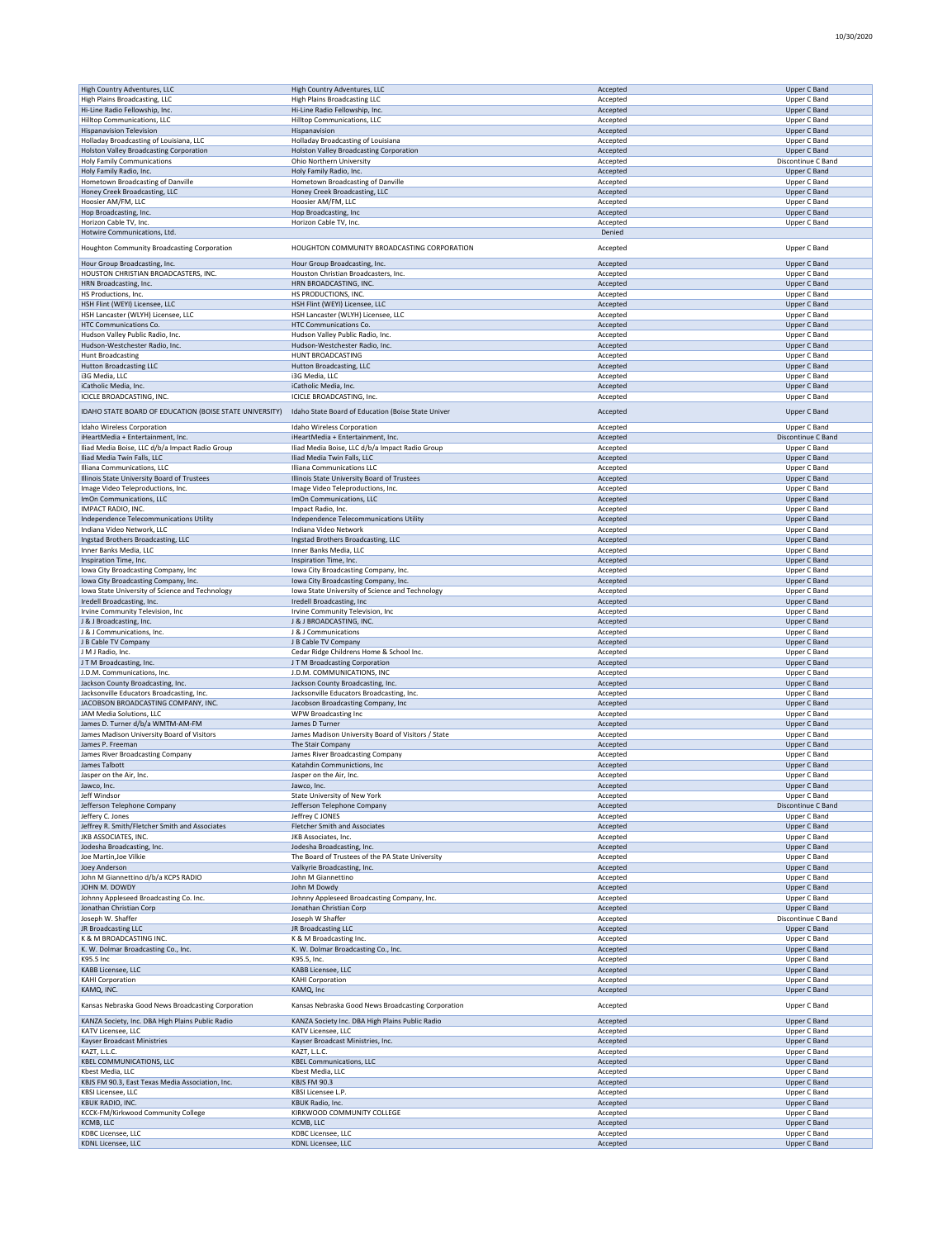| <b>High Country Adventures, LLC</b>                     | High Country Adventures, LLC                       | Accepted             | <b>Upper C Band</b>                 |
|---------------------------------------------------------|----------------------------------------------------|----------------------|-------------------------------------|
| High Plains Broadcasting, LLC                           | <b>High Plains Broadcasting LLC</b>                | Accepted             | Upper C Band                        |
| Hi-Line Radio Fellowship, Inc.                          | Hi-Line Radio Fellowship, Inc.                     | Accepted             | <b>Upper C Band</b>                 |
| Hilltop Communications, LLC                             | Hilltop Communications, LLC                        | Accepted             | Upper C Band                        |
| <b>Hispanavision Television</b>                         | Hispanavision                                      | Accepted             | Upper C Band                        |
| Holladay Broadcasting of Louisiana, LLC                 | Holladay Broadcasting of Louisiana                 | Accepted             | Upper C Band                        |
| <b>Holston Valley Broadcasting Corporation</b>          | Holston Valley Broadcasting Corporation            | Accepted             | <b>Upper C Band</b>                 |
| Holy Family Communications                              | Ohio Northern University                           | Accepted             | Discontinue C Band                  |
| Holy Family Radio, Inc.                                 | Holy Family Radio, Inc.                            | Accepted             | <b>Upper C Band</b>                 |
| Hometown Broadcasting of Danville                       | Hometown Broadcasting of Danville                  | Accepted             | Upper C Band                        |
| Honey Creek Broadcasting, LLC                           | Honey Creek Broadcasting, LLC                      | Accepted             | Upper C Band                        |
|                                                         |                                                    |                      |                                     |
| Hoosier AM/FM, LLC                                      | Hoosier AM/FM, LLC                                 | Accepted             | Upper C Band                        |
| Hop Broadcasting, Inc.                                  | Hop Broadcasting, Inc                              | Accepted             | Upper C Band                        |
| Horizon Cable TV, Inc.                                  | Horizon Cable TV, Inc.                             | Accepted             | Upper C Band                        |
| Hotwire Communications, Ltd.                            |                                                    | Denied               |                                     |
|                                                         | HOUGHTON COMMUNITY BROADCASTING CORPORATION        |                      | Upper C Band                        |
| Houghton Community Broadcasting Corporation             |                                                    | Accepted             |                                     |
| Hour Group Broadcasting, Inc.                           | Hour Group Broadcasting, Inc.                      | Accepted             | <b>Upper C Band</b>                 |
| HOUSTON CHRISTIAN BROADCASTERS, INC.                    | Houston Christian Broadcasters, Inc.               | Accepted             | Upper C Band                        |
| HRN Broadcasting, Inc.                                  | HRN BROADCASTING, INC.                             | Accepted             | Upper C Band                        |
| HS Productions, Inc.                                    | HS PRODUCTIONS, INC.                               | Accepted             | Upper C Band                        |
|                                                         |                                                    |                      |                                     |
| HSH Flint (WEYI) Licensee, LLC                          | HSH Flint (WEYI) Licensee, LLC                     | Accepted             | Upper C Band                        |
| HSH Lancaster (WLYH) Licensee, LLC                      | HSH Lancaster (WLYH) Licensee, LLC                 | Accepted             | Upper C Band                        |
| HTC Communications Co.                                  | HTC Communications Co.                             | Accepted             | Upper C Band                        |
| Hudson Valley Public Radio, Inc.                        | Hudson Valley Public Radio, Inc.                   | Accepted             | Upper C Band                        |
| Hudson-Westchester Radio, Inc.                          | Hudson-Westchester Radio, Inc.                     | Accepted             | <b>Upper C Band</b>                 |
| <b>Hunt Broadcasting</b>                                | HUNT BROADCASTING                                  | Accepted             | Upper C Band                        |
| <b>Hutton Broadcasting LLC</b>                          | Hutton Broadcasting, LLC                           | Accepted             | <b>Upper C Band</b>                 |
| i3G Media, LLC                                          | i3G Media, LLC                                     | Accepted             | Upper C Band                        |
| iCatholic Media, Inc.                                   | iCatholic Media, Inc.                              | Accepted             | <b>Upper C Band</b>                 |
|                                                         |                                                    |                      | Upper C Band                        |
| ICICLE BROADCASTING, INC.                               | ICICLE BROADCASTING, Inc.                          | Accepted             |                                     |
| IDAHO STATE BOARD OF EDUCATION (BOISE STATE UNIVERSITY) | Idaho State Board of Education (Boise State Univer | Accepted             | Upper C Band                        |
|                                                         |                                                    |                      |                                     |
| Idaho Wireless Corporation                              | Idaho Wireless Corporation                         | Accepted             | Upper C Band                        |
| iHeartMedia + Entertainment, Inc.                       | iHeartMedia + Entertainment, Inc.                  | Accepted             | Discontinue C Band                  |
| Iliad Media Boise, LLC d/b/a Impact Radio Group         | Iliad Media Boise, LLC d/b/a Impact Radio Group    | Accepted             | Upper C Band                        |
| Iliad Media Twin Falls, LLC                             | Iliad Media Twin Falls, LLC                        | Accepted             | <b>Upper C Band</b>                 |
| Illiana Communications, LLC                             | Illiana Communications LLC                         | Accepted             | Upper C Band                        |
| Illinois State University Board of Trustees             | Illinois State University Board of Trustees        | Accepted             | <b>Upper C Band</b>                 |
|                                                         |                                                    |                      |                                     |
| Image Video Teleproductions, Inc.                       | Image Video Teleproductions, Inc.                  | Accepted             | Upper C Band                        |
| ImOn Communications, LLC                                | ImOn Communications, LLC                           | Accepted             | Upper C Band                        |
| IMPACT RADIO, INC.                                      | Impact Radio, Inc.                                 | Accepted             | Upper C Band                        |
| Independence Telecommunications Utility                 | Independence Telecommunications Utility            | Accepted             | <b>Upper C Band</b>                 |
| Indiana Video Network, LLC                              | Indiana Video Network                              | Accepted             | Upper C Band                        |
| Ingstad Brothers Broadcasting, LLC                      | Ingstad Brothers Broadcasting, LLC                 | Accepted             | <b>Upper C Band</b>                 |
| Inner Banks Media, LLC                                  | Inner Banks Media, LLC                             | Accepted             | Upper C Band                        |
| Inspiration Time, Inc.                                  | Inspiration Time, Inc.                             | Accepted             | <b>Upper C Band</b>                 |
|                                                         |                                                    |                      | Upper C Band                        |
| Iowa City Broadcasting Company, Inc                     | Iowa City Broadcasting Company, Inc.               | Accepted             |                                     |
| Iowa City Broadcasting Company, Inc.                    | Iowa City Broadcasting Company, Inc.               | Accepted             | <b>Upper C Band</b>                 |
| Iowa State University of Science and Technology         | Iowa State University of Science and Technology    | Accepted             | Upper C Band                        |
| Iredell Broadcasting, Inc.                              | Iredell Broadcasting, Inc                          | Accepted             | <b>Upper C Band</b>                 |
| Irvine Community Television, Inc                        | Irvine Community Television, Inc                   | Accepted             | Upper C Band                        |
|                                                         |                                                    |                      |                                     |
|                                                         |                                                    |                      |                                     |
| J & J Broadcasting, Inc.                                | J & J BROADCASTING, INC.                           | Accepted             | Upper C Band                        |
| J & J Communications, Inc.                              | J & J Communications                               | Accepted             | Upper C Band                        |
| J B Cable TV Company                                    | J B Cable TV Company                               | Accepted             | Upper C Band                        |
| J M J Radio, Inc.                                       | Cedar Ridge Childrens Home & School Inc.           | Accepted             | Upper C Band                        |
| JTM Broadcasting, Inc.                                  | JTM Broadcasting Corporation                       | Accepted             | Upper C Band                        |
| J.D.M. Communications, Inc.                             | J.D.M. COMMUNICATIONS, INC                         | Accepted             | Upper C Band                        |
| Jackson County Broadcasting, Inc.                       | Jackson County Broadcasting, Inc.                  | Accepted             | <b>Upper C Band</b>                 |
| Jacksonville Educators Broadcasting, Inc.               | Jacksonville Educators Broadcasting, Inc.          | Accepted             | Upper C Band                        |
| JACOBSON BROADCASTING COMPANY, INC.                     | Jacobson Broadcasting Company, Inc                 | Accepted             | <b>Upper C Band</b>                 |
| JAM Media Solutions, LLC                                | WPW Broadcasting Inc                               | Accepted             | Upper C Band                        |
|                                                         |                                                    |                      |                                     |
| James D. Turner d/b/a WMTM-AM-FM                        | James D Turner                                     | Accepted             | Upper C Band                        |
| James Madison University Board of Visitors              | James Madison University Board of Visitors / State | Accepted             | Upper C Band                        |
| James P. Freeman                                        | The Stair Company                                  | Accepted             | <b>Upper C Band</b>                 |
| James River Broadcasting Company                        | James River Broadcasting Company                   | Accepted             | Upper C Band                        |
| James Talbott                                           | Katahdin Communictions, Inc.                       | Accepted             | Upper C Band                        |
| Jasper on the Air, Inc.                                 | Jasper on the Air, Inc.                            | Accepted             | Upper C Band                        |
| Jawco, Inc.                                             | Jawco, Inc.                                        | Accepted             | Upper C Band                        |
| Jeff Windsor                                            | State University of New York                       | Accepted             | Upper C Band                        |
| Jefferson Telephone Company                             | Jefferson Telephone Company                        | Accepted             | Discontinue C Band                  |
| Jeffery C. Jones                                        | Jeffrey C JONES                                    | Accepted             | Upper C Band                        |
| Jeffrey R. Smith/Fletcher Smith and Associates          | Fletcher Smith and Associates                      | Accepted             | <b>Upper C Band</b>                 |
|                                                         |                                                    |                      |                                     |
| JKB ASSOCIATES, INC.                                    | JKB Associates, Inc.                               | Accepted             | Upper C Band                        |
| Jodesha Broadcasting, Inc.                              | Jodesha Broadcasting, Inc.                         | Accepted             | Upper C Band                        |
| Joe Martin, Joe Vilkie                                  | The Board of Trustees of the PA State University   | Accepted             | Upper C Band                        |
| <b>Joey Anderson</b>                                    | Valkyrie Broadcasting, Inc.                        | Accepted             | <b>Upper C Band</b>                 |
| John M Giannettino d/b/a KCPS RADIO                     | John M Giannettino                                 | Accepted             | Upper C Band                        |
| JOHN M. DOWDY                                           | John M Dowdy                                       | Accepted             | <b>Upper C Band</b>                 |
| Johnny Appleseed Broadcasting Co. Inc.                  | Johnny Appleseed Broadcasting Company, Inc.        | Accepted             | Upper C Band                        |
| Jonathan Christian Corp                                 | Jonathan Christian Corp                            | Accepted             | Upper C Band                        |
| Joseph W. Shaffer                                       | Joseph W Shaffer                                   | Accepted             | Discontinue C Band                  |
| JR Broadcasting LLC                                     | JR Broadcasting LLC                                | Accepted             | <b>Upper C Band</b>                 |
| K & M BROADCASTING INC.                                 | K & M Broadcasting Inc.                            | Accepted             | Upper C Band                        |
|                                                         |                                                    |                      |                                     |
| K. W. Dolmar Broadcasting Co., Inc.                     | K. W. Dolmar Broadcasting Co., Inc.                | Accepted             | Upper C Band                        |
| K95.5 Inc                                               | K95.5, Inc.                                        | Accepted             | Upper C Band                        |
| KABB Licensee, LLC                                      | KABB Licensee, LLC                                 | Accepted             | Upper C Band                        |
| <b>KAHI Corporation</b>                                 | <b>KAHI Corporation</b>                            | Accepted             | Upper C Band                        |
| KAMQ, INC.                                              | KAMQ, Inc                                          | Accepted             | <b>Upper C Band</b>                 |
|                                                         |                                                    |                      |                                     |
| Kansas Nebraska Good News Broadcasting Corporation      | Kansas Nebraska Good News Broadcasting Corporation | Accepted             | Upper C Band                        |
| KANZA Society, Inc. DBA High Plains Public Radio        | KANZA Society Inc. DBA High Plains Public Radio    | Accepted             | <b>Upper C Band</b>                 |
| KATV Licensee, LLC                                      | KATV Licensee, LLC                                 | Accepted             | Upper C Band                        |
|                                                         |                                                    |                      |                                     |
| Kayser Broadcast Ministries                             | Kayser Broadcast Ministries, Inc.                  | Accepted             | Upper C Band                        |
| KAZT, L.L.C.                                            | KAZT, L.L.C.                                       | Accepted             | Upper C Band                        |
| <b>KBEL COMMUNICATIONS, LLC</b>                         | <b>KBEL Communications, LLC</b>                    | Accepted             | Upper C Band                        |
| Kbest Media, LLC                                        | Kbest Media, LLC                                   | Accepted             | Upper C Band                        |
| KBJS FM 90.3, East Texas Media Association, Inc.        | <b>KBJS FM 90.3</b>                                | Accepted             | Upper C Band                        |
| KBSI Licensee, LLC                                      | KBSI Licensee L.P.                                 | Accepted             | Upper C Band                        |
| KBUK RADIO, INC.                                        | KBUK Radio, Inc.                                   | Accepted             | <b>Upper C Band</b>                 |
| KCCK-FM/Kirkwood Community College                      | KIRKWOOD COMMUNITY COLLEGE                         | Accepted             | Upper C Band                        |
| KCMB, LLC                                               | KCMB, LLC                                          |                      |                                     |
|                                                         |                                                    | Accepted             | Upper C Band                        |
| KDBC Licensee, LLC<br><b>KDNL Licensee, LLC</b>         | KDBC Licensee, LLC<br><b>KDNL Licensee, LLC</b>    | Accepted<br>Accepted | Upper C Band<br><b>Upper C Band</b> |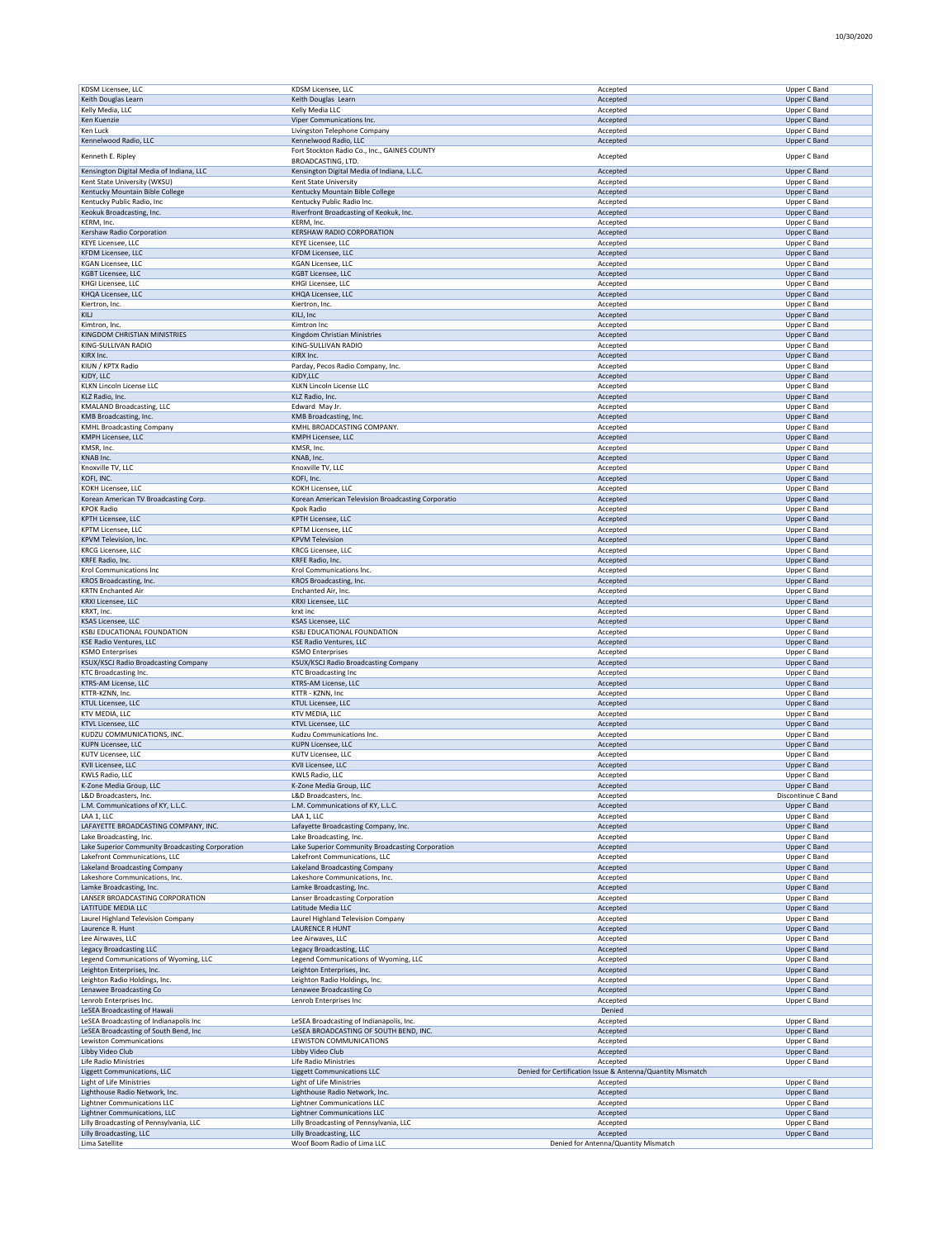| KDSM Licensee, LLC                               | KDSM Licensee, LLC                                     | Accepted                                                   | Upper C Band        |
|--------------------------------------------------|--------------------------------------------------------|------------------------------------------------------------|---------------------|
| Keith Douglas Learn                              | Keith Douglas Learn                                    | Accepted                                                   | <b>Upper C Band</b> |
| Kelly Media, LLC                                 | Kelly Media LLC                                        | Accepted                                                   | Upper C Band        |
| Ken Kuenzie                                      | Viper Communications Inc.                              | Accepted                                                   | <b>Upper C Band</b> |
| Ken Luck                                         | Livingston Telephone Company                           | Accepted                                                   | Upper C Band        |
| Kennelwood Radio, LLC                            | Kennelwood Radio, LLC                                  | Accepted                                                   | Upper C Band        |
|                                                  | Fort Stockton Radio Co., Inc., GAINES COUNTY           |                                                            |                     |
| Kenneth E. Ripley                                | BROADCASTING, LTD.                                     | Accepted                                                   | Upper C Band        |
| Kensington Digital Media of Indiana, LLC         | Kensington Digital Media of Indiana, L.L.C.            | Accepted                                                   | Upper C Band        |
| Kent State University (WKSU)                     | Kent State University                                  | Accepted                                                   | Upper C Band        |
|                                                  |                                                        |                                                            |                     |
| Kentucky Mountain Bible College                  | Kentucky Mountain Bible College                        | Accepted                                                   | Upper C Band        |
| Kentucky Public Radio, Inc                       | Kentucky Public Radio Inc.                             | Accepted                                                   | Upper C Band        |
| Keokuk Broadcasting, Inc.                        | Riverfront Broadcasting of Keokuk, Inc.                | Accepted                                                   | Upper C Band        |
| KERM, Inc.                                       | KERM, Inc.                                             | Accepted                                                   | Upper C Band        |
| Kershaw Radio Corporation                        | <b>KERSHAW RADIO CORPORATION</b>                       | Accepted                                                   | <b>Upper C Band</b> |
| <b>KEYE Licensee, LLC</b>                        | <b>KEYE Licensee, LLC</b>                              | Accepted                                                   | Upper C Band        |
|                                                  | <b>KFDM Licensee, LLC</b>                              |                                                            |                     |
| KFDM Licensee, LLC                               |                                                        | Accepted                                                   | <b>Upper C Band</b> |
| <b>KGAN Licensee, LLC</b>                        | <b>KGAN Licensee, LLC</b>                              | Accepted                                                   | Upper C Band        |
| KGBT Licensee, LLC                               | KGBT Licensee, LLC                                     | Accepted                                                   | Upper C Band        |
| KHGI Licensee, LLC                               | KHGI Licensee, LLC                                     | Accepted                                                   | Upper C Band        |
| KHQA Licensee, LLC                               | KHQA Licensee, LLC                                     | Accepted                                                   | <b>Upper C Band</b> |
| Kiertron, Inc.                                   | Kiertron, Inc.                                         | Accepted                                                   | Upper C Band        |
| KILJ                                             | KILJ, Inc                                              | Accepted                                                   | <b>Upper C Band</b> |
|                                                  |                                                        |                                                            |                     |
| Kimtron, Inc.                                    | Kimtron Inc                                            | Accepted                                                   | Upper C Band        |
| KINGDOM CHRISTIAN MINISTRIES                     | Kingdom Christian Ministries                           | Accepted                                                   | <b>Upper C Band</b> |
| KING-SULLIVAN RADIO                              | KING-SULLIVAN RADIO                                    | Accepted                                                   | Upper C Band        |
| KIRX Inc.                                        | KIRX Inc.                                              | Accepted                                                   | <b>Upper C Band</b> |
| KIUN / KPTX Radio                                | Parday, Pecos Radio Company, Inc.                      | Accepted                                                   | Upper C Band        |
| KJDY, LLC                                        | KJDY, LLC                                              | Accepted                                                   | <b>Upper C Band</b> |
|                                                  |                                                        |                                                            |                     |
| <b>KLKN Lincoln License LLC</b>                  | KLKN Lincoln License LLC                               | Accepted                                                   | Upper C Band        |
| KLZ Radio, Inc.                                  | KLZ Radio, Inc.                                        | Accepted                                                   | <b>Upper C Band</b> |
| <b>KMALAND Broadcasting, LLC</b>                 | Edward May Jr.                                         | Accepted                                                   | Upper C Band        |
| KMB Broadcasting, Inc.                           | KMB Broadcasting, Inc.                                 | Accepted                                                   | Upper C Band        |
| <b>KMHL Broadcasting Company</b>                 | KMHL BROADCASTING COMPANY.                             | Accepted                                                   | Upper C Band        |
| <b>KMPH Licensee, LLC</b>                        | KMPH Licensee, LLC                                     | Accepted                                                   | Upper C Band        |
|                                                  |                                                        |                                                            |                     |
| KMSR, Inc.                                       | KMSR, Inc.                                             | Accepted                                                   | Upper C Band        |
| KNAB Inc.                                        | KNAB, Inc.                                             | Accepted                                                   | <b>Upper C Band</b> |
| Knoxville TV, LLC                                | Knoxville TV, LLC                                      | Accepted                                                   | Upper C Band        |
| KOFI, INC.                                       | KOFI, Inc.                                             | Accepted                                                   | <b>Upper C Band</b> |
| KOKH Licensee, LLC                               | KOKH Licensee, LLC                                     | Accepted                                                   | Upper C Band        |
|                                                  |                                                        |                                                            |                     |
| Korean American TV Broadcasting Corp.            | Korean American Television Broadcasting Corporatio     | Accepted                                                   | Upper C Band        |
| <b>KPOK Radio</b>                                | Kpok Radio                                             | Accepted                                                   | Upper C Band        |
| <b>KPTH Licensee, LLC</b>                        | <b>KPTH Licensee, LLC</b>                              | Accepted                                                   | <b>Upper C Band</b> |
| <b>KPTM Licensee, LLC</b>                        | <b>KPTM Licensee, LLC</b>                              | Accepted                                                   | <b>Upper C Band</b> |
| <b>KPVM Television, Inc</b>                      | <b>KPVM Television</b>                                 | Accepted                                                   | <b>Upper C Band</b> |
| <b>KRCG Licensee, LLC</b>                        | <b>KRCG Licensee, LLC</b>                              | Accepted                                                   | Upper C Band        |
|                                                  |                                                        |                                                            |                     |
| KRFE Radio, Inc.                                 | KRFE Radio, Inc.                                       | Accepted                                                   | <b>Upper C Band</b> |
| Krol Communications Inc                          | Krol Communications Inc.                               | Accepted                                                   | Upper C Band        |
| KROS Broadcasting, Inc.                          | KROS Broadcasting, Inc.                                | Accepted                                                   | <b>Upper C Band</b> |
| <b>KRTN Enchanted Air</b>                        | Enchanted Air, Inc.                                    | Accepted                                                   | Upper C Band        |
| KRXI Licensee, LLC                               | <b>KRXI Licensee, LLC</b>                              | Accepted                                                   | <b>Upper C Band</b> |
| KRXT, Inc.                                       | krxt inc                                               | Accepted                                                   | Upper C Band        |
|                                                  |                                                        |                                                            |                     |
| KSAS Licensee, LLC                               | KSAS Licensee, LLC                                     | Accepted                                                   | <b>Upper C Band</b> |
| KSBJ EDUCATIONAL FOUNDATION                      | KSBJ EDUCATIONAL FOUNDATION                            | Accepted                                                   | Upper C Band        |
| <b>KSE Radio Ventures, LLC</b>                   | KSE Radio Ventures, LLC                                | Accepted                                                   | Upper C Band        |
| <b>KSMO Enterprises</b>                          | <b>KSMO Enterprises</b>                                | Accepted                                                   | Upper C Band        |
| KSUX/KSCJ Radio Broadcasting Company             | KSUX/KSCJ Radio Broadcasting Company                   | Accepted                                                   | Upper C Band        |
| <b>KTC Broadcasting Inc</b>                      | <b>KTC Broadcasting Inc</b>                            | Accepted                                                   | Upper C Band        |
|                                                  |                                                        |                                                            |                     |
| KTRS-AM License, LLC                             | KTRS-AM License, LLC                                   | Accepted                                                   | <b>Upper C Band</b> |
| KTTR-KZNN, Inc.                                  | KTTR - KZNN, Inc                                       | Accepted                                                   | Upper C Band        |
| KTUL Licensee, LLC                               | KTUL Licensee, LLC                                     | Accepted                                                   | <b>Upper C Band</b> |
| KTV MEDIA, LLC                                   | KTV MEDIA, LLC                                         | Accepted                                                   | Upper C Band        |
| KTVL Licensee, LLC                               | KTVL Licensee, LLC                                     | Accepted                                                   | Upper C Band        |
| KUDZU COMMUNICATIONS, INC.                       | Kudzu Communications Inc.                              | Accepted                                                   | Upper C Band        |
|                                                  |                                                        |                                                            |                     |
| KUPN Licensee, LLC                               | <b>KUPN Licensee, LLC</b>                              | Accepted                                                   | <b>Upper C Band</b> |
| <b>KUTV Licensee, LLC</b>                        | <b>KUTV Licensee, LLC</b>                              | Accepted                                                   | Upper C Band        |
| KVII Licensee, LLC                               | KVII Licensee, LLC                                     | Accepted                                                   | Upper C Band        |
| KWLS Radio, LLC                                  | <b>KWLS Radio, LLC</b>                                 | Accepted                                                   | Upper C Band        |
| K-Zone Media Group, LLC                          | K-Zone Media Group, LLC                                | Accepted                                                   | Upper C Band        |
| L&D Broadcasters, Inc.                           | L&D Broadcasters, Inc.                                 | Accepted                                                   | Discontinue C Band  |
| L.M. Communications of KY, L.L.C.                |                                                        |                                                            |                     |
|                                                  | L.M. Communications of KY, L.L.C.                      | Accepted                                                   | <b>Upper C Band</b> |
| LAA 1, LLC                                       | LAA 1, LLC                                             | Accepted                                                   | Upper C Band        |
| LAFAYETTE BROADCASTING COMPANY, INC.             | Lafayette Broadcasting Company, Inc.                   | Accepted                                                   | <b>Upper C Band</b> |
| Lake Broadcasting, Inc.                          | Lake Broadcasting, Inc.                                | Accepted                                                   | Upper C Band        |
| Lake Superior Community Broadcasting Corporation | Lake Superior Community Broadcasting Corporation       | Accepted                                                   | Upper C Band        |
| Lakefront Communications, LLC                    | Lakefront Communications, LLC                          | Accepted                                                   | Upper C Band        |
| Lakeland Broadcasting Company                    | Lakeland Broadcasting Company                          | Accepted                                                   | <b>Upper C Band</b> |
|                                                  |                                                        |                                                            | Upper C Band        |
| Lakeshore Communications, Inc.                   | Lakeshore Communications, Inc.                         | Accepted                                                   |                     |
| Lamke Broadcasting, Inc.                         | Lamke Broadcasting, Inc.                               | Accepted                                                   | <b>Upper C Band</b> |
| LANSER BROADCASTING CORPORATION                  | Lanser Broadcasting Corporation                        | Accepted                                                   | Upper C Band        |
| LATITUDE MEDIA LLC                               | Latitude Media LLC                                     | Accepted                                                   | Upper C Band        |
| Laurel Highland Television Company               | Laurel Highland Television Company                     | Accepted                                                   | Upper C Band        |
| Laurence R. Hunt                                 | <b>LAURENCE R HUNT</b>                                 | Accepted                                                   | <b>Upper C Band</b> |
| Lee Airwaves, LLC                                | Lee Airwaves, LLC                                      | Accepted                                                   | Upper C Band        |
|                                                  |                                                        |                                                            |                     |
| <b>Legacy Broadcasting LLC</b>                   | Legacy Broadcasting, LLC                               | Accepted                                                   | Upper C Band        |
| Legend Communications of Wyoming, LLC            | Legend Communications of Wyoming, LLC                  | Accepted                                                   | Upper C Band        |
| Leighton Enterprises, Inc.                       | Leighton Enterprises, Inc.                             | Accepted                                                   | Upper C Band        |
| Leighton Radio Holdings, Inc.                    | Leighton Radio Holdings, Inc.                          | Accepted                                                   | Upper C Band        |
| Lenawee Broadcasting Co                          | Lenawee Broadcasting Co                                | Accepted                                                   | <b>Upper C Band</b> |
|                                                  |                                                        |                                                            |                     |
| Lenrob Enterprises Inc.                          | Lenrob Enterprises Inc                                 | Accepted                                                   | Upper C Band        |
| LeSEA Broadcasting of Hawaii                     |                                                        | Denied                                                     |                     |
| LeSEA Broadcasting of Indianapolis Inc           | LeSEA Broadcasting of Indianapolis, Inc.               | Accepted                                                   | Upper C Band        |
| LeSEA Broadcasting of South Bend, Inc            | LeSEA BROADCASTING OF SOUTH BEND, INC.                 | Accepted                                                   | <b>Upper C Band</b> |
| Lewiston Communications                          | LEWISTON COMMUNICATIONS                                | Accepted                                                   | Upper C Band        |
| Libby Video Club                                 |                                                        |                                                            | <b>Upper C Band</b> |
|                                                  |                                                        |                                                            |                     |
| <b>Life Radio Ministries</b>                     | Libby Video Club                                       | Accepted                                                   |                     |
|                                                  | Life Radio Ministries                                  | Accepted                                                   | Upper C Band        |
| Liggett Communications, LLC                      | <b>Liggett Communications LLC</b>                      | Denied for Certification Issue & Antenna/Quantity Mismatch |                     |
| Light of Life Ministries                         | <b>Light of Life Ministries</b>                        | Accepted                                                   | Upper C Band        |
|                                                  |                                                        |                                                            |                     |
| Lighthouse Radio Network, Inc.                   | Lighthouse Radio Network, Inc.                         | Accepted                                                   | <b>Upper C Band</b> |
| <b>Lightner Communications LLC</b>               | <b>Lightner Communications LLC</b>                     | Accepted                                                   | Upper C Band        |
| Lightner Communications, LLC                     | <b>Lightner Communications LLC</b>                     | Accepted                                                   | <b>Upper C Band</b> |
| Lilly Broadcasting of Pennsylvania, LLC          | Lilly Broadcasting of Pennsylvania, LLC                | Accepted                                                   | Upper C Band        |
| Lilly Broadcasting, LLC<br>Lima Satellite        | Lilly Broadcasting, LLC<br>Woof Boom Radio of Lima LLC | Accepted<br>Denied for Antenna/Quantity Mismatch           | Upper C Band        |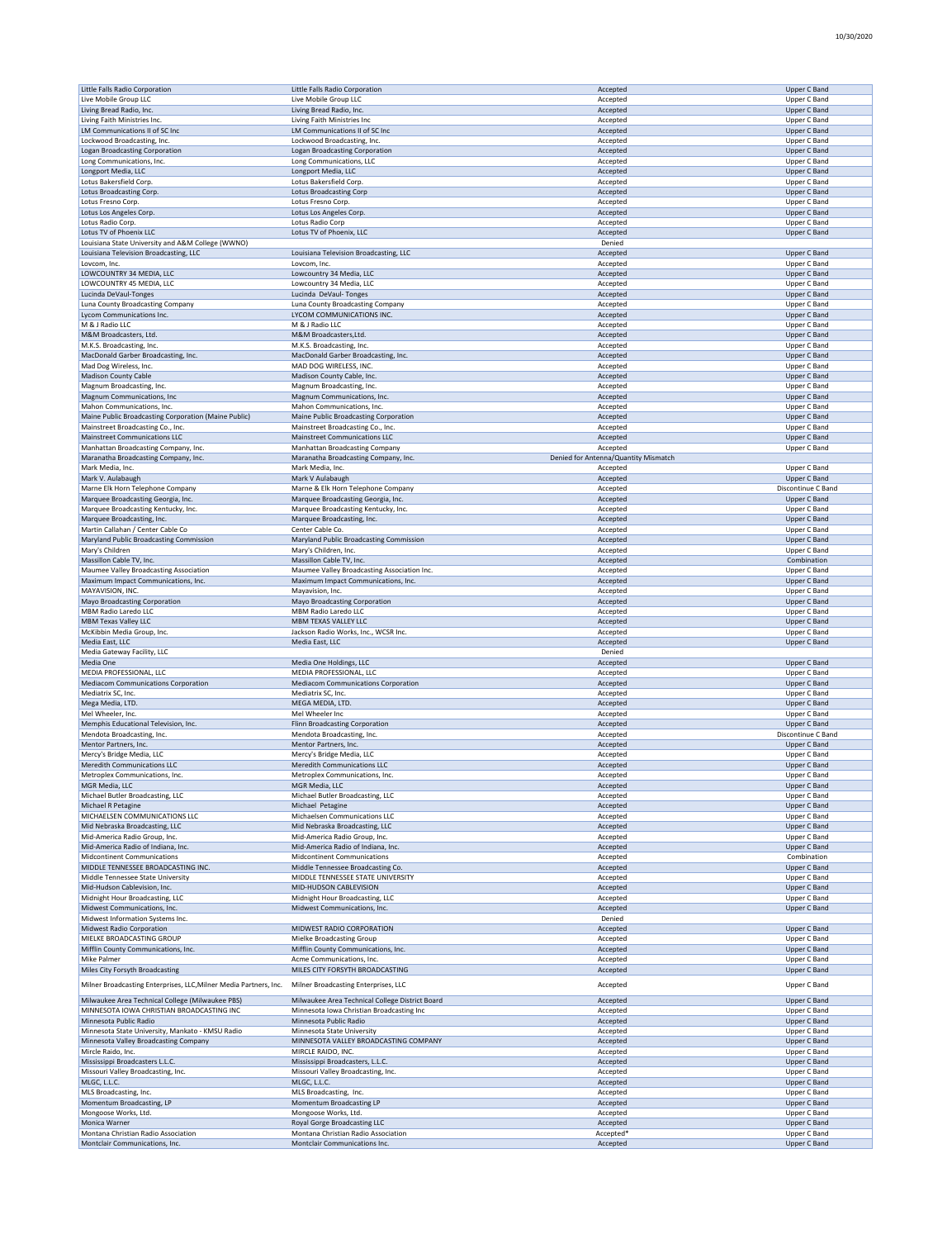| Little Falls Radio Corporation                                    | Little Falls Radio Corporation                  | Accepted                             | <b>Upper C Band</b> |
|-------------------------------------------------------------------|-------------------------------------------------|--------------------------------------|---------------------|
| Live Mobile Group LLC                                             | Live Mobile Group LLC                           | Accepted                             | Upper C Band        |
| Living Bread Radio, Inc.                                          | Living Bread Radio, Inc.                        | Accepted                             | <b>Upper C Band</b> |
| Living Faith Ministries Inc.                                      | Living Faith Ministries Inc                     | Accepted                             | Upper C Band        |
| LM Communications II of SC Inc                                    | LM Communications II of SC Inc                  | Accepted                             | <b>Upper C Band</b> |
| Lockwood Broadcasting, Inc.                                       | Lockwood Broadcasting, Inc.                     | Accepted                             | Upper C Band        |
| Logan Broadcasting Corporation                                    | <b>Logan Broadcasting Corporation</b>           | Accepted                             | <b>Upper C Band</b> |
| Long Communications, Inc.                                         | Long Communications, LLC                        | Accepted                             | Upper C Band        |
| Longport Media, LLC                                               | Longport Media, LLC                             | Accepted                             | <b>Upper C Band</b> |
| Lotus Bakersfield Corp.                                           | Lotus Bakersfield Corp.                         | Accepted                             | Upper C Band        |
| Lotus Broadcasting Corp.                                          | <b>Lotus Broadcasting Corp</b>                  | Accepted                             | <b>Upper C Band</b> |
| Lotus Fresno Corp.                                                | Lotus Fresno Corp.                              | Accepted                             | Upper C Band        |
| Lotus Los Angeles Corp                                            | Lotus Los Angeles Corp.                         | Accepted                             | Upper C Band        |
| Lotus Radio Corp.                                                 | Lotus Radio Corp                                | Accepted                             | Upper C Band        |
| Lotus TV of Phoenix LLC                                           | Lotus TV of Phoenix, LLC                        | Accepted                             | <b>Upper C Band</b> |
| Louisiana State University and A&M College (WWNO)                 |                                                 | Denied                               |                     |
| Louisiana Television Broadcasting, LLC                            | Louisiana Television Broadcasting, LLC          | Accepted                             | <b>Upper C Band</b> |
| Lovcom, Inc.                                                      | Lovcom, Inc.                                    | Accepted                             | Upper C Band        |
| LOWCOUNTRY 34 MEDIA, LLC                                          | Lowcountry 34 Media, LLC                        | Accepted                             | Upper C Band        |
| LOWCOUNTRY 45 MEDIA, LLC                                          | Lowcountry 34 Media, LLC                        | Accepted                             | Upper C Band        |
| Lucinda DeVaul-Tonges                                             | Lucinda DeVaul-Tonges                           | Accepted                             | <b>Upper C Band</b> |
| Luna County Broadcasting Company                                  | Luna County Broadcasting Company                | Accepted                             | Upper C Band        |
| Lycom Communications Inc.                                         | LYCOM COMMUNICATIONS INC.                       | Accepted                             | <b>Upper C Band</b> |
| M & J Radio LLC                                                   | M & J Radio LLC                                 | Accepted                             | Upper C Band        |
| M&M Broadcasters, Ltd.                                            | M&M Broadcasters, Ltd.                          | Accepted                             | <b>Upper C Band</b> |
| M.K.S. Broadcasting, Inc.                                         | M.K.S. Broadcasting, Inc.                       | Accepted                             | Upper C Band        |
| MacDonald Garber Broadcasting, Inc.                               | MacDonald Garber Broadcasting, Inc.             | Accepted                             | Upper C Band        |
| Mad Dog Wireless, Inc.                                            | MAD DOG WIRELESS, INC.                          | Accepted                             | Upper C Band        |
| <b>Madison County Cable</b>                                       | Madison County Cable, Inc.                      | Accepted                             | <b>Upper C Band</b> |
| Magnum Broadcasting, Inc.                                         | Magnum Broadcasting, Inc.                       | Accepted                             | Upper C Band        |
| Magnum Communications, Inc.                                       | Magnum Communications, Inc.                     | Accepted                             | Upper C Band        |
| Mahon Communications, Inc.                                        | Mahon Communications, Inc.                      | Accepted                             | Upper C Band        |
| Maine Public Broadcasting Corporation (Maine Public)              | Maine Public Broadcasting Corporation           | Accepted                             | Upper C Band        |
| Mainstreet Broadcasting Co., Inc.                                 | Mainstreet Broadcasting Co., Inc.               | Accepted                             | Upper C Band        |
| <b>Mainstreet Communications LLC</b>                              | <b>Mainstreet Communications LLC</b>            | Accepted                             | Upper C Band        |
| Manhattan Broadcasting Company, Inc.                              | Manhattan Broadcasting Company                  | Accepted                             | Upper C Band        |
| Maranatha Broadcasting Company, Inc.                              | Maranatha Broadcasting Company, Inc.            | Denied for Antenna/Quantity Mismatch |                     |
| Mark Media, Inc.                                                  | Mark Media, Inc.                                | Accepted                             | Upper C Band        |
| Mark V. Aulabaugh                                                 | Mark V Aulabaugh                                | Accepted                             | <b>Upper C Band</b> |
| Marne Elk Horn Telephone Company                                  | Marne & Elk Horn Telephone Company              | Accepted                             | Discontinue C Band  |
| Marquee Broadcasting Georgia, Inc.                                | Marquee Broadcasting Georgia, Inc.              | Accepted                             | Upper C Band        |
| Marquee Broadcasting Kentucky, Inc.                               | Marquee Broadcasting Kentucky, Inc.             | Accepted                             | Upper C Band        |
| Marquee Broadcasting, Inc.                                        | Marquee Broadcasting, Inc.                      | Accepted                             | <b>Upper C Band</b> |
| Martin Callahan / Center Cable Co                                 | Center Cable Co.                                | Accepted                             | Upper C Band        |
| Maryland Public Broadcasting Commission                           | Maryland Public Broadcasting Commission         | Accepted                             | <b>Upper C Band</b> |
| Mary's Children                                                   | Mary's Children, Inc.                           | Accepted                             | Upper C Band        |
| Massillon Cable TV, Inc.                                          | Massillon Cable TV, Inc.                        | Accepted                             | Combination         |
| Maumee Valley Broadcasting Association                            | Maumee Valley Broadcasting Association Inc.     | Accepted                             | Upper C Band        |
| Maximum Impact Communications, Inc.                               | Maximum Impact Communications, Inc.             | Accepted                             | <b>Upper C Band</b> |
| MAYAVISION, INC                                                   | Mayavision, Inc.                                | Accepted                             | Upper C Band        |
| Mayo Broadcasting Corporation                                     | Mayo Broadcasting Corporation                   | Accepted                             | <b>Upper C Band</b> |
| MBM Radio Laredo LLC                                              | MBM Radio Laredo LLC                            | Accepted                             | Upper C Band        |
| <b>MBM Texas Valley LLC</b>                                       | MBM TEXAS VALLEY LLC                            | Accepted                             | Upper C Band        |
| McKibbin Media Group, Inc.                                        | Jackson Radio Works, Inc., WCSR Inc.            | Accepted                             | Upper C Band        |
| Media East, LLC                                                   | Media East, LLC                                 | Accepted                             | Upper C Band        |
| Media Gateway Facility, LLC                                       |                                                 | Denied                               |                     |
| Media One                                                         | Media One Holdings, LLC                         | Accepted                             | <b>Upper C Band</b> |
| MEDIA PROFESSIONAL, LLC                                           | MEDIA PROFESSIONAL, LLC                         | Accepted                             | Upper C Band        |
| <b>Mediacom Communications Corporation</b>                        | Mediacom Communications Corporation             | Accepted                             | <b>Upper C Band</b> |
| Mediatrix SC, Inc.                                                | Mediatrix SC, Inc.                              | Accepted                             | Upper C Band        |
| Mega Media, LTD.                                                  | MEGA MEDIA, LTD.                                | Accepted                             | <b>Upper C Band</b> |
| Mel Wheeler, Inc.                                                 | Mel Wheeler Inc                                 | Accepted                             | Upper C Band        |
| Memphis Educational Television, Inc.                              | Flinn Broadcasting Corporation                  | Accepted                             | Upper C Band        |
| Mendota Broadcasting, Inc.                                        | Mendota Broadcasting, Inc.                      | Accepted                             | Discontinue C Band  |
| Mentor Partners, Inc.                                             | Mentor Partners, Inc.                           | Accepted                             | <b>Upper C Band</b> |
| Mercy's Bridge Media, LLC                                         | Mercy's Bridge Media, LLC                       | Accepted                             | Upper C Band        |
| <b>Meredith Communications LLC</b>                                | <b>Meredith Communications LLC</b>              | Accepted                             | Upper C Band        |
| Metroplex Communications, Inc.                                    | Metroplex Communications, Inc.                  | Accepted                             | Upper C Band        |
| MGR Media, LLC                                                    | MGR Media, LLC                                  | Accepter                             | Upper C Band        |
| Michael Butler Broadcasting, LLC                                  | Michael Butler Broadcasting, LLC                | Accepted                             | Upper C Band        |
| Michael R Petagine                                                | Michael Petagine                                | Accepted                             | <b>Upper C Band</b> |
| MICHAELSEN COMMUNICATIONS LLC                                     | Michaelsen Communications LLC                   | Accepted                             | Upper C Band        |
| Mid Nebraska Broadcasting, LLC                                    | Mid Nebraska Broadcasting, LLC                  | Accepted                             | <b>Upper C Band</b> |
| Mid-America Radio Group, Inc.                                     | Mid-America Radio Group, Inc.                   | Accepted                             | Upper C Band        |
| Mid-America Radio of Indiana, Inc.                                | Mid-America Radio of Indiana, Inc.              | Accepted                             | <b>Upper C Band</b> |
| Midcontinent Communications                                       | <b>Midcontinent Communications</b>              | Accepted                             | Combination         |
| MIDDLE TENNESSEE BROADCASTING INC.                                | Middle Tennessee Broadcasting Co.               | Accepted                             | <b>Upper C Band</b> |
| Middle Tennessee State University                                 | MIDDLE TENNESSEE STATE UNIVERSITY               | Accepted                             | Upper C Band        |
| Mid-Hudson Cablevision, Inc.                                      | MID-HUDSON CABLEVISION                          | Accepted                             | <b>Upper C Band</b> |
| Midnight Hour Broadcasting, LLC                                   | Midnight Hour Broadcasting, LLC                 | Accepted                             | Upper C Band        |
| Midwest Communications, Inc.                                      | Midwest Communications, Inc.                    | Accepted                             | Upper C Band        |
| Midwest Information Systems Inc.                                  |                                                 | Denied                               |                     |
| <b>Midwest Radio Corporation</b>                                  | MIDWEST RADIO CORPORATION                       | Accepted                             | Upper C Band        |
| MIELKE BROADCASTING GROUP                                         | Mielke Broadcasting Group                       | Accepted                             | Upper C Band        |
| Mifflin County Communications, Inc.                               | Mifflin County Communications, Inc.             | Accepted                             | Upper C Band        |
| Mike Palmer                                                       | Acme Communications, Inc.                       | Accepted                             | Upper C Band        |
| Miles City Forsyth Broadcasting                                   | MILES CITY FORSYTH BROADCASTING                 | Accepted                             | Upper C Band        |
|                                                                   |                                                 |                                      |                     |
| Milner Broadcasting Enterprises, LLC, Milner Media Partners, Inc. | Milner Broadcasting Enterprises, LLC            | Accepted                             | Upper C Band        |
| Milwaukee Area Technical College (Milwaukee PBS)                  | Milwaukee Area Technical College District Board | Accepted                             | <b>Upper C Band</b> |
| MINNESOTA IOWA CHRISTIAN BROADCASTING INC                         | Minnesota Iowa Christian Broadcasting Inc       | Accepted                             | Upper C Band        |
| Minnesota Public Radio                                            | Minnesota Public Radio                          | Accepted                             | <b>Upper C Band</b> |
| Minnesota State University, Mankato - KMSU Radio                  | Minnesota State University                      | Accepted                             | Upper C Band        |
| Minnesota Valley Broadcasting Company                             | MINNESOTA VALLEY BROADCASTING COMPANY           | Accepted                             | Upper C Band        |
| Mircle Raido, Inc.                                                | MIRCLE RAIDO, INC.                              | Accepted                             | Upper C Band        |
| Mississippi Broadcasters L.L.C.                                   | Mississippi Broadcasters, L.L.C.                | Accepted                             | Upper C Band        |
| Missouri Valley Broadcasting, Inc.                                | Missouri Valley Broadcasting, Inc.              | Accepted                             | Upper C Band        |
| MLGC, L.L.C.                                                      | MLGC, L.L.C.                                    | Accepted                             | <b>Upper C Band</b> |
| MLS Broadcasting, Inc.                                            | MLS Broadcasting, Inc.                          | Accepted                             | Upper C Band        |
| Momentum Broadcasting, LP                                         | Momentum Broadcasting LP                        | Accepted                             | <b>Upper C Band</b> |
| Mongoose Works, Ltd.                                              | Mongoose Works, Ltd.                            | Accepted                             | Upper C Band        |
| Monica Warner                                                     | Royal Gorge Broadcasting LLC                    | Accepted                             | Upper C Band        |
| Montana Christian Radio Association                               | Montana Christian Radio Association             | Accepted*                            | Upper C Band        |
| Montclair Communications, Inc.                                    | Montclair Communications Inc.                   | Accepted                             | Upper C Band        |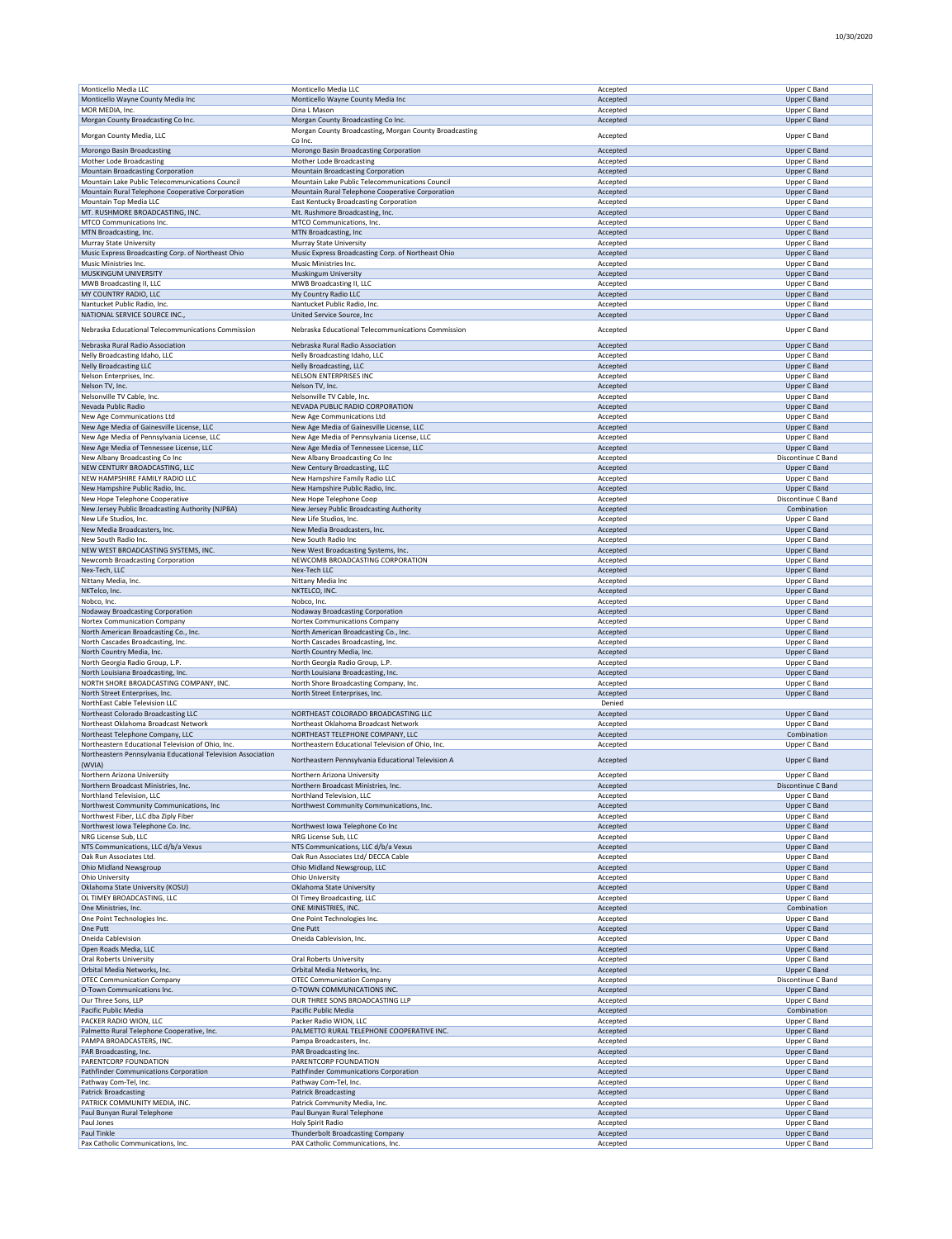| Monticello Media LLC                                         | Monticello Media LLC                                   | Accepted | Upper C Band        |
|--------------------------------------------------------------|--------------------------------------------------------|----------|---------------------|
| Monticello Wayne County Media Inc                            | Monticello Wayne County Media Inc                      | Accepted | Upper C Band        |
|                                                              |                                                        |          |                     |
| MOR MEDIA, Inc.                                              | Dina L Mason                                           | Accepted | Upper C Band        |
| Morgan County Broadcasting Co Inc.                           | Morgan County Broadcasting Co Inc.                     | Accepted | Upper C Band        |
|                                                              | Morgan County Broadcasting, Morgan County Broadcasting |          |                     |
| Morgan County Media, LLC                                     | Co Inc.                                                | Accepted | Upper C Band        |
|                                                              |                                                        |          |                     |
| Morongo Basin Broadcasting                                   | Morongo Basin Broadcasting Corporation                 | Accepted | <b>Upper C Band</b> |
| Mother Lode Broadcasting                                     | Mother Lode Broadcasting                               | Accepted | Upper C Band        |
| Mountain Broadcasting Corporation                            | <b>Mountain Broadcasting Corporation</b>               | Accepted | Upper C Band        |
| Mountain Lake Public Telecommunications Council              | Mountain Lake Public Telecommunications Council        | Accepted | Upper C Band        |
| Mountain Rural Telephone Cooperative Corporation             | Mountain Rural Telephone Cooperative Corporation       | Accepted | Upper C Band        |
|                                                              |                                                        |          |                     |
| Mountain Top Media LLC                                       | East Kentucky Broadcasting Corporation                 | Accepted | Upper C Band        |
| MT. RUSHMORE BROADCASTING, INC.                              | Mt. Rushmore Broadcasting, Inc.                        | Accepted | Upper C Band        |
| MTCO Communications Inc.                                     | MTCO Communications, Inc.                              | Accepted | Upper C Band        |
|                                                              |                                                        |          |                     |
| MTN Broadcasting, Inc.                                       | MTN Broadcasting, Inc                                  | Accepted | Upper C Band        |
| Murray State University                                      | Murray State University                                | Accepted | Upper C Band        |
| Music Express Broadcasting Corp. of Northeast Ohio           | Music Express Broadcasting Corp. of Northeast Ohio     | Accepted | Upper C Band        |
| Music Ministries Inc.                                        | Music Ministries Inc.                                  | Accepted | Upper C Band        |
|                                                              |                                                        |          |                     |
| MUSKINGUM UNIVERSITY                                         | Muskingum University                                   | Accepted | Upper C Band        |
| MWB Broadcasting II, LLC                                     | MWB Broadcasting II, LLC                               | Accepted | Upper C Band        |
| MY COUNTRY RADIO, LLC                                        | My Country Radio LLC                                   | Accepted | Upper C Band        |
| Nantucket Public Radio, Inc.                                 | Nantucket Public Radio, Inc.                           | Accepted | Upper C Band        |
|                                                              |                                                        |          |                     |
| NATIONAL SERVICE SOURCE INC.                                 | United Service Source, Inc.                            | Accepted | Upper C Band        |
| Nebraska Educational Telecommunications Commission           | Nebraska Educational Telecommunications Commission     | Accepted | Upper C Band        |
|                                                              |                                                        |          |                     |
| Nebraska Rural Radio Association                             | Nebraska Rural Radio Association                       | Accepted | Upper C Band        |
|                                                              |                                                        |          |                     |
| Nelly Broadcasting Idaho, LLC                                | Nelly Broadcasting Idaho, LLC                          | Accepted | Upper C Band        |
| <b>Nelly Broadcasting LLC</b>                                | Nelly Broadcasting, LLC                                | Accepted | Upper C Band        |
| Nelson Enterprises, Inc.                                     | NELSON ENTERPRISES INC                                 | Accepted | Upper C Band        |
| Nelson TV, Inc.                                              | Nelson TV, Inc.                                        | Accepted | Upper C Band        |
|                                                              |                                                        |          |                     |
| Nelsonville TV Cable, Inc.                                   | Nelsonville TV Cable, Inc.                             | Accepted | Upper C Band        |
| Nevada Public Radio                                          | NEVADA PUBLIC RADIO CORPORATION                        | Accepted | <b>Upper C Band</b> |
| New Age Communications Ltd                                   | New Age Communications Ltd                             | Accepted | Upper C Band        |
| New Age Media of Gainesville License, LLC                    | New Age Media of Gainesville License, LLC              | Accepted | Upper C Band        |
|                                                              |                                                        |          |                     |
| New Age Media of Pennsylvania License, LLC                   | New Age Media of Pennsylvania License, LLC             | Accepted | Upper C Band        |
| New Age Media of Tennessee License, LLC                      | New Age Media of Tennessee License, LLC                | Accepted | Upper C Band        |
| New Albany Broadcasting Co Inc                               | New Albany Broadcasting Co Inc                         | Accepted | Discontinue C Band  |
|                                                              |                                                        |          |                     |
| NEW CENTURY BROADCASTING, LLC                                | New Century Broadcasting, LLC                          | Accepted | Upper C Band        |
| NEW HAMPSHIRE FAMILY RADIO LLC                               | New Hampshire Family Radio LLC                         | Accepted | Upper C Band        |
| New Hampshire Public Radio, Inc.                             | New Hampshire Public Radio, Inc.                       | Accepted | Upper C Band        |
| New Hope Telephone Cooperative                               | New Hope Telephone Coop                                | Accepted | Discontinue C Band  |
|                                                              |                                                        |          |                     |
| New Jersey Public Broadcasting Authority (NJPBA)             | New Jersey Public Broadcasting Authority               | Accepted | Combination         |
| New Life Studios, Inc.                                       | New Life Studios, Inc.                                 | Accepted | Upper C Band        |
| New Media Broadcasters, Inc.                                 | New Media Broadcasters, Inc.                           | Accepted | Upper C Band        |
|                                                              |                                                        |          |                     |
| New South Radio Inc.                                         | New South Radio Inc                                    | Accepted | Upper C Band        |
| NEW WEST BROADCASTING SYSTEMS, INC.                          | New West Broadcasting Systems, Inc.                    | Accepted | Upper C Band        |
| Newcomb Broadcasting Corporation                             | NEWCOMB BROADCASTING CORPORATION                       | Accepted | Upper C Band        |
| Nex-Tech, LLC                                                | Nex-Tech LLC                                           | Accepted | Upper C Band        |
|                                                              |                                                        |          |                     |
| Nittany Media, Inc.                                          | Nittany Media Inc                                      | Accepted | Upper C Band        |
| NKTelco, Inc.                                                | NKTELCO, INC.                                          | Accepted | Upper C Band        |
| Nobco, Inc.                                                  | Nobco, Inc.                                            | Accepted | Upper C Band        |
| Nodaway Broadcasting Corporation                             | Nodaway Broadcasting Corporation                       | Accepted | Upper C Band        |
|                                                              |                                                        |          |                     |
|                                                              |                                                        |          |                     |
| Nortex Communication Company                                 | Nortex Communications Company                          | Accepted | Upper C Band        |
|                                                              |                                                        |          |                     |
| North American Broadcasting Co., Inc.                        | North American Broadcasting Co., Inc.                  | Accepted | Upper C Band        |
| North Cascades Broadcasting, Inc.                            | North Cascades Broadcasting, Inc.                      | Accepted | Upper C Band        |
| North Country Media, Inc.                                    | North Country Media, Inc.                              | Accepted | <b>Upper C Band</b> |
| North Georgia Radio Group, L.P.                              | North Georgia Radio Group, L.P.                        | Accepted | Upper C Band        |
| North Louisiana Broadcasting, Inc.                           | North Louisiana Broadcasting, Inc.                     | Accepted | Upper C Band        |
|                                                              |                                                        |          |                     |
| NORTH SHORE BROADCASTING COMPANY, INC.                       | North Shore Broadcasting Company, Inc.                 | Accepted | Upper C Band        |
| North Street Enterprises, Inc.                               | North Street Enterprises, Inc.                         | Accepted | Upper C Band        |
| NorthEast Cable Television LLC                               |                                                        | Denied   |                     |
|                                                              | NORTHEAST COLORADO BROADCASTING LLC                    |          |                     |
| Northeast Colorado Broadcasting LLC                          |                                                        | Accepted | Upper C Band        |
| Northeast Oklahoma Broadcast Network                         | Northeast Oklahoma Broadcast Network                   | Accepted | Upper C Band        |
| Northeast Telephone Company, LLC                             | NORTHEAST TELEPHONE COMPANY, LLC                       | Accepted | Combination         |
| Northeastern Educational Television of Ohio, Inc.            | Northeastern Educational Television of Ohio, Inc.      | Accepted | Upper C Band        |
|                                                              |                                                        |          |                     |
| Northeastern Pennsylvania Educational Television Association | Northeastern Pennsylvania Educational Television A     | Accepted | <b>Upper C Band</b> |
| (WVIA)                                                       |                                                        |          |                     |
| Northern Arizona University                                  | Northern Arizona University                            | Accepted | Upper C Band        |
| Northern Broadcast Ministries, Inc                           |                                                        |          |                     |
| Northland Television, LLC                                    | Northland Television, LLC                              | Accepted | Upper C Band        |
|                                                              |                                                        |          |                     |
| Northwest Community Communications, Inc                      | Northwest Community Communications, Inc.               | Accepted | Upper C Band        |
| Northwest Fiber, LLC dba Ziply Fiber                         |                                                        | Accepted | Upper C Band        |
| Northwest Iowa Telephone Co. Inc.                            | Northwest Iowa Telephone Co Inc                        | Accepted | Upper C Band        |
| NRG License Sub, LLC                                         | NRG License Sub, LLC                                   | Accepted | Upper C Band        |
|                                                              | NTS Communications, LLC d/b/a Vexus                    |          |                     |
| NTS Communications, LLC d/b/a Vexus                          |                                                        | Accepted | Upper C Band        |
| Oak Run Associates Ltd.                                      | Oak Run Associates Ltd/ DECCA Cable                    | Accepted | Upper C Band        |
| <b>Ohio Midland Newsgroup</b>                                | Ohio Midland Newsgroup, LLC                            | Accepted | Upper C Band        |
| Ohio University                                              | Ohio University                                        | Accepted | Upper C Band        |
|                                                              |                                                        |          |                     |
| Oklahoma State University (KOSU)                             | Oklahoma State University                              | Accepted | Upper C Band        |
| OL TIMEY BROADCASTING, LLC                                   | Ol Timey Broadcasting, LLC                             | Accepted | Upper C Band        |
| One Ministries, Inc.                                         | ONE MINISTRIES, INC.                                   | Accepted | Combination         |
| One Point Technologies Inc.                                  | One Point Technologies Inc.                            | Accepted | Upper C Band        |
|                                                              | One Putt                                               |          |                     |
| One Putt                                                     |                                                        | Accepted | Upper C Band        |
| Oneida Cablevision                                           | Oneida Cablevision, Inc.                               | Accepted | Upper C Band        |
| Open Roads Media, LLC                                        |                                                        | Accepted | Upper C Band        |
| <b>Oral Roberts University</b>                               | Oral Roberts University                                | Accepted | Upper C Band        |
| Orbital Media Networks, Inc.                                 | Orbital Media Networks, Inc.                           |          |                     |
|                                                              |                                                        | Accepted | Upper C Band        |
| <b>OTEC Communication Company</b>                            | <b>OTEC Communication Company</b>                      | Accepted | Discontinue C Band  |
| O-Town Communications Inc.                                   | O-TOWN COMMUNICATIONS INC.                             | Accepted | Upper C Band        |
| Our Three Sons, LLP                                          | OUR THREE SONS BROADCASTING LLP                        | Accepted | Upper C Band        |
| Pacific Public Media                                         | Pacific Public Media                                   | Accepted | Combination         |
|                                                              |                                                        |          |                     |
| PACKER RADIO WION, LLC                                       | Packer Radio WION, LLC                                 | Accepted | Upper C Band        |
| Palmetto Rural Telephone Cooperative, Inc.                   | PALMETTO RURAL TELEPHONE COOPERATIVE INC.              | Accepted | Upper C Band        |
| PAMPA BROADCASTERS, INC.                                     | Pampa Broadcasters, Inc.                               | Accepted | Upper C Band        |
|                                                              |                                                        |          |                     |
| PAR Broadcasting, Inc.                                       | PAR Broadcasting Inc.                                  | Accepted | Upper C Band        |
| PARENTCORP FOUNDATION                                        | PARENTCORP FOUNDATION                                  | Accepted | Upper C Band        |
| Pathfinder Communications Corporation                        | Pathfinder Communications Corporation                  | Accepted | Upper C Band        |
| Pathway Com-Tel, Inc.                                        | Pathway Com-Tel, Inc.                                  | Accepted | Upper C Band        |
|                                                              |                                                        |          |                     |
| <b>Patrick Broadcasting</b>                                  | <b>Patrick Broadcasting</b>                            | Accepted | Upper C Band        |
| PATRICK COMMUNITY MEDIA, INC.                                | Patrick Community Media, Inc.                          | Accepted | Upper C Band        |
| Paul Bunyan Rural Telephone                                  | Paul Bunyan Rural Telephone                            | Accepted | Upper C Band        |
| Paul Jones                                                   | <b>Holy Spirit Radio</b>                               | Accepted | Upper C Band        |
| Paul Tinkle                                                  | Thunderbolt Broadcasting Company                       | Accepted | Upper C Band        |
| Pax Catholic Communications, Inc.                            | PAX Catholic Communications, Inc.                      | Accepted | Upper C Band        |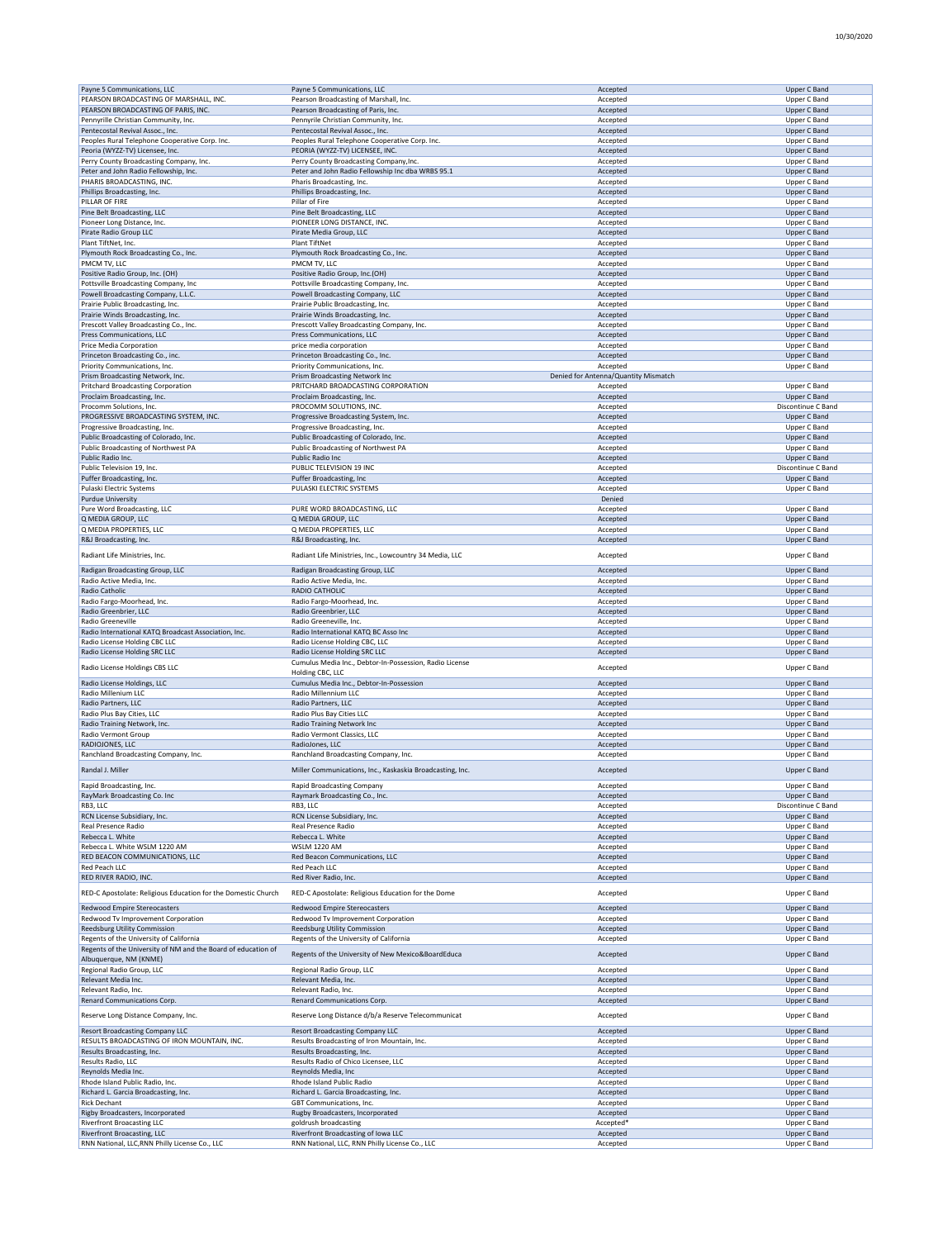| Payne 5 Communications, LLC                                                   | Payne 5 Communications, LLC                                                           | Accepted                             | <b>Upper C Band</b>          |
|-------------------------------------------------------------------------------|---------------------------------------------------------------------------------------|--------------------------------------|------------------------------|
| PEARSON BROADCASTING OF MARSHALL, INC.                                        | Pearson Broadcasting of Marshall, Inc.                                                | Accepted                             | Upper C Band                 |
|                                                                               |                                                                                       |                                      |                              |
| PEARSON BROADCASTING OF PARIS, INC.                                           | Pearson Broadcasting of Paris, Inc.                                                   | Accepted                             | <b>Upper C Band</b>          |
| Pennyrille Christian Community, Inc.                                          | Pennyrile Christian Community, Inc.                                                   | Accepted                             | Upper C Band                 |
| Pentecostal Revival Assoc., Inc.                                              | Pentecostal Revival Assoc., Inc.                                                      | Accepted                             | <b>Upper C Band</b>          |
|                                                                               |                                                                                       |                                      |                              |
| Peoples Rural Telephone Cooperative Corp. Inc.                                | Peoples Rural Telephone Cooperative Corp. Inc.                                        | Accepted                             | Upper C Band                 |
| Peoria (WYZZ-TV) Licensee, Inc.                                               | PEORIA (WYZZ-TV) LICENSEE, INC.                                                       | Accepted                             | Upper C Band                 |
| Perry County Broadcasting Company, Inc.                                       | Perry County Broadcasting Company, Inc.                                               | Accepted                             | Upper C Band                 |
| Peter and John Radio Fellowship, Inc.                                         | Peter and John Radio Fellowship Inc dba WRBS 95.1                                     | Accepted                             | Upper C Band                 |
|                                                                               |                                                                                       |                                      |                              |
| PHARIS BROADCASTING, INC.                                                     | Pharis Broadcasting, Inc.                                                             | Accepted                             | Upper C Band                 |
| Phillips Broadcasting, Inc.                                                   | Phillips Broadcasting, Inc.                                                           | Accepted                             | Upper C Band                 |
| PILLAR OF FIRE                                                                | Pillar of Fire                                                                        | Accepted                             | Upper C Band                 |
|                                                                               |                                                                                       |                                      |                              |
| Pine Belt Broadcasting, LLC                                                   | Pine Belt Broadcasting, LLC                                                           | Accepted                             | Upper C Band                 |
| Pioneer Long Distance, Inc.                                                   | PIONEER LONG DISTANCE, INC.                                                           | Accepted                             | Upper C Band                 |
| Pirate Radio Group LLC                                                        | Pirate Media Group, LLC                                                               | Accepted                             | <b>Upper C Band</b>          |
| Plant TiftNet, Inc.                                                           | Plant TiftNet                                                                         |                                      |                              |
|                                                                               |                                                                                       | Accepted                             | Upper C Band                 |
| Plymouth Rock Broadcasting Co., Inc.                                          | Plymouth Rock Broadcasting Co., Inc.                                                  | Accepted                             | <b>Upper C Band</b>          |
| PMCM TV, LLC                                                                  | PMCM TV, LLC                                                                          | Accepted                             | Upper C Band                 |
| Positive Radio Group, Inc. (OH)                                               | Positive Radio Group, Inc.(OH)                                                        | Accepted                             | Upper C Band                 |
|                                                                               |                                                                                       |                                      |                              |
| Pottsville Broadcasting Company, Inc                                          | Pottsville Broadcasting Company, Inc.                                                 | Accepted                             | Upper C Band                 |
| Powell Broadcasting Company, L.L.C.                                           | Powell Broadcasting Company, LLC                                                      | Accepted                             | Upper C Band                 |
| Prairie Public Broadcasting, Inc.                                             | Prairie Public Broadcasting, Inc.                                                     | Accepted                             | Upper C Band                 |
|                                                                               |                                                                                       |                                      |                              |
| Prairie Winds Broadcasting, Inc.                                              | Prairie Winds Broadcasting, Inc.                                                      | Accepted                             | <b>Upper C Band</b>          |
| Prescott Valley Broadcasting Co., Inc.                                        | Prescott Valley Broadcasting Company, Inc.                                            | Accepted                             | Upper C Band                 |
| Press Communications, LLC                                                     | Press Communications, LLC                                                             | Accepted                             | <b>Upper C Band</b>          |
| Price Media Corporation                                                       | price media corporation                                                               | Accepted                             | Upper C Band                 |
|                                                                               |                                                                                       |                                      |                              |
| Princeton Broadcasting Co., inc.                                              | Princeton Broadcasting Co., Inc.                                                      | Accepted                             | Upper C Band                 |
| Priority Communications, Inc.                                                 | Priority Communications, Inc.                                                         | Accepted                             | Upper C Band                 |
| Prism Broadcasting Network, Inc.                                              | Prism Broadcasting Network Inc                                                        | Denied for Antenna/Quantity Mismatch |                              |
|                                                                               |                                                                                       |                                      |                              |
| Pritchard Broadcasting Corporation                                            | PRITCHARD BROADCASTING CORPORATION                                                    | Accepted                             | Upper C Band                 |
| Proclaim Broadcasting, Inc.                                                   | Proclaim Broadcasting, Inc.                                                           | Accepted                             | <b>Upper C Band</b>          |
| Procomm Solutions, Inc.                                                       | PROCOMM SOLUTIONS, INC.                                                               | Accepted                             | Discontinue C Band           |
| PROGRESSIVE BROADCASTING SYSTEM, INC.                                         | Progressive Broadcasting System, Inc.                                                 | Accepted                             | Upper C Band                 |
|                                                                               |                                                                                       |                                      |                              |
| Progressive Broadcasting, Inc.                                                | Progressive Broadcasting, Inc.                                                        | Accepted                             | Upper C Band                 |
| Public Broadcasting of Colorado, Inc.                                         | Public Broadcasting of Colorado, Inc.                                                 | Accepted                             | <b>Upper C Band</b>          |
| Public Broadcasting of Northwest PA                                           | Public Broadcasting of Northwest PA                                                   | Accepted                             | Upper C Band                 |
|                                                                               |                                                                                       |                                      |                              |
| Public Radio Inc.                                                             | Public Radio Inc                                                                      | Accepted                             | <b>Upper C Band</b>          |
| Public Television 19, Inc.                                                    | PUBLIC TELEVISION 19 INC                                                              | Accepted                             | Discontinue C Band           |
| Puffer Broadcasting, Inc.                                                     | Puffer Broadcasting, Inc.                                                             | Accepted                             | <b>Upper C Band</b>          |
|                                                                               | PULASKI ELECTRIC SYSTEMS                                                              |                                      |                              |
| Pulaski Electric Systems                                                      |                                                                                       | Accepted                             | Upper C Band                 |
| <b>Purdue University</b>                                                      |                                                                                       | Denied                               |                              |
| Pure Word Broadcasting, LLC                                                   | PURE WORD BROADCASTING, LLC                                                           | Accepted                             | Upper C Band                 |
|                                                                               |                                                                                       |                                      |                              |
| Q MEDIA GROUP, LLC                                                            | Q MEDIA GROUP, LLC                                                                    | Accepted                             | <b>Upper C Band</b>          |
| Q MEDIA PROPERTIES, LLC                                                       | Q MEDIA PROPERTIES, LLC                                                               | Accepted                             | Upper C Band                 |
| R&J Broadcasting, Inc.                                                        | R&J Broadcasting, Inc.                                                                | Accepted                             | <b>Upper C Band</b>          |
|                                                                               |                                                                                       |                                      |                              |
| Radiant Life Ministries, Inc.                                                 | Radiant Life Ministries, Inc., Lowcountry 34 Media, LLC                               | Accepted                             | Upper C Band                 |
|                                                                               |                                                                                       |                                      |                              |
| Radigan Broadcasting Group, LLC                                               | Radigan Broadcasting Group, LLC                                                       | Accepted                             | <b>Upper C Band</b>          |
| Radio Active Media, Inc.                                                      | Radio Active Media, Inc.                                                              | Accepted                             | Upper C Band                 |
|                                                                               |                                                                                       |                                      |                              |
| Radio Catholic                                                                | RADIO CATHOLIC                                                                        | Accepted                             | <b>Upper C Band</b>          |
| Radio Fargo-Moorhead, Inc.                                                    | Radio Fargo-Moorhead, Inc.                                                            | Accepted                             | Upper C Band                 |
| Radio Greenbrier, LLC                                                         | Radio Greenbrier, LLC                                                                 |                                      | Upper C Band                 |
|                                                                               |                                                                                       |                                      |                              |
|                                                                               |                                                                                       | Accepted                             |                              |
| Radio Greeneville                                                             | Radio Greeneville, Inc                                                                | Accepted                             | Upper C Band                 |
| Radio International KATQ Broadcast Association, Inc.                          | Radio International KATQ BC Asso Inc                                                  | Accepted                             | <b>Upper C Band</b>          |
|                                                                               |                                                                                       |                                      |                              |
| Radio License Holding CBC LLC                                                 | Radio License Holding CBC, LLC                                                        | Accepted                             | Upper C Band                 |
| Radio License Holding SRC LLC                                                 | Radio License Holding SRC LLC                                                         | Accepted                             | <b>Upper C Band</b>          |
|                                                                               | Cumulus Media Inc., Debtor-In-Possession, Radio License                               |                                      |                              |
| Radio License Holdings CBS LLC                                                | Holding CBC, LLC                                                                      | Accepted                             | Upper C Band                 |
|                                                                               |                                                                                       |                                      |                              |
| Radio License Holdings, LLC                                                   | Cumulus Media Inc., Debtor-In-Possession                                              | Accepted                             | <b>Upper C Band</b>          |
| Radio Millenium LLC                                                           | Radio Millennium LLC                                                                  | Accepted                             | Upper C Band                 |
| Radio Partners, LLC                                                           | Radio Partners, LLC                                                                   | Accepted                             | <b>Upper C Band</b>          |
|                                                                               |                                                                                       |                                      |                              |
| Radio Plus Bay Cities, LLC                                                    | Radio Plus Bay Cities LLC                                                             | Accepted                             | Upper C Band                 |
| Radio Training Network, Inc.                                                  | Radio Training Network Inc                                                            | Accepted                             | <b>Upper C Band</b>          |
| Radio Vermont Group                                                           | Radio Vermont Classics, LLC                                                           | Accepted                             | Upper C Band                 |
|                                                                               |                                                                                       |                                      |                              |
| RADIOJONES, LLC                                                               | RadioJones, LLC                                                                       | Accepted                             | <b>Upper C Band</b>          |
| Ranchland Broadcasting Company, Inc.                                          | Ranchland Broadcasting Company, Inc.                                                  | Accepted                             | Upper C Band                 |
|                                                                               |                                                                                       |                                      |                              |
| Randal J. Miller                                                              | Miller Communications, Inc., Kaskaskia Broadcasting, Inc.                             | Accepted                             | <b>Upper C Band</b>          |
|                                                                               |                                                                                       |                                      |                              |
| Rapid Broadcasting, Inc.                                                      | Rapid Broadcasting Company                                                            |                                      | Upper C Band                 |
| RayMark Broadcasting Co. Inc                                                  | Raymark Broadcasting Co., Inc.                                                        | Accepted                             | Upper C Band                 |
| RB3, LLC                                                                      | RB3, LLC                                                                              | Accepted                             | Discontinue C Band           |
|                                                                               | RCN License Subsidiary, Inc.                                                          |                                      |                              |
| RCN License Subsidiary, Inc.                                                  |                                                                                       | Accepted                             | <b>Upper C Band</b>          |
| Real Presence Radio                                                           | Real Presence Radio                                                                   | Accepted                             | Upper C Band                 |
| Rebecca L. White                                                              | Rebecca L. White                                                                      | Accepted                             | Upper C Band                 |
| Rebecca L. White WSLM 1220 AM                                                 | <b>WSLM 1220 AM</b>                                                                   | Accepted                             | Upper C Band                 |
| RED BEACON COMMUNICATIONS, LLC                                                |                                                                                       |                                      |                              |
|                                                                               | Red Beacon Communications, LLC                                                        | Accepted                             | Upper C Band                 |
| Red Peach LLC                                                                 | Red Peach LLC                                                                         | Accepted                             | Upper C Band                 |
| RED RIVER RADIO, INC.                                                         | Red River Radio, Inc.                                                                 | Accepted                             | Upper C Band                 |
|                                                                               |                                                                                       |                                      |                              |
| RED-C Apostolate: Religious Education for the Domestic Church                 | RED-C Apostolate: Religious Education for the Dome                                    | Accepted                             | Upper C Band                 |
|                                                                               |                                                                                       |                                      |                              |
| Redwood Empire Stereocasters                                                  | Redwood Empire Stereocasters                                                          | Accepted                             | Upper C Band                 |
| Redwood Tv Improvement Corporation                                            | Redwood Tv Improvement Corporation                                                    | Accepted                             | Upper C Band                 |
|                                                                               |                                                                                       |                                      |                              |
| Reedsburg Utility Commission                                                  | <b>Reedsburg Utility Commission</b>                                                   | Accepted                             | <b>Upper C Band</b>          |
| Regents of the University of California                                       | Regents of the University of California                                               | Accepted                             | Upper C Band                 |
| Regents of the University of NM and the Board of education of                 |                                                                                       |                                      |                              |
| Albuquerque, NM (KNME)                                                        | Regents of the University of New Mexico&BoardEduca                                    | Accepted                             | <b>Upper C Band</b>          |
|                                                                               |                                                                                       |                                      |                              |
| Regional Radio Group, LLC                                                     | Regional Radio Group, LLC                                                             | Accepted                             | Upper C Band                 |
| Relevant Media Inc.                                                           | Relevant Media, Inc.                                                                  | Accepted                             | <b>Upper C Band</b>          |
| Relevant Radio, Inc.                                                          | Relevant Radio, Inc.                                                                  | Accepted                             | Upper C Band                 |
|                                                                               |                                                                                       |                                      |                              |
| Renard Communications Corp.                                                   | Renard Communications Corp.                                                           | Accepted                             | Upper C Band                 |
|                                                                               |                                                                                       |                                      |                              |
| Reserve Long Distance Company, Inc.                                           | Reserve Long Distance d/b/a Reserve Telecommunicat                                    | Accepted                             | Upper C Band                 |
|                                                                               |                                                                                       |                                      |                              |
| <b>Resort Broadcasting Company LLC</b>                                        | <b>Resort Broadcasting Company LLC</b>                                                | Accepted                             | <b>Upper C Band</b>          |
| RESULTS BROADCASTING OF IRON MOUNTAIN, INC.                                   | Results Broadcasting of Iron Mountain, Inc.                                           | Accepted                             | Upper C Band                 |
| Results Broadcasting, Inc.                                                    | Results Broadcasting, Inc.                                                            | Accepted                             | Upper C Band                 |
|                                                                               |                                                                                       |                                      |                              |
| Results Radio, LLC                                                            | Results Radio of Chico Licensee, LLC                                                  | Accepted                             | Upper C Band                 |
| Reynolds Media Inc.                                                           | Reynolds Media, Inc                                                                   | Accepted                             | <b>Upper C Band</b>          |
| Rhode Island Public Radio, Inc.                                               | Rhode Island Public Radio                                                             | Accepted                             | Upper C Band                 |
|                                                                               |                                                                                       |                                      |                              |
| Richard L. Garcia Broadcasting, Inc.                                          | Richard L. Garcia Broadcasting, Inc.                                                  | Accepted                             | Upper C Band                 |
| <b>Rick Dechant</b>                                                           | GBT Communications, Inc.                                                              | Accepted                             | Upper C Band                 |
| Rigby Broadcasters, Incorporated                                              | Rugby Broadcasters, Incorporated                                                      | Accepted                             | Upper C Band                 |
|                                                                               |                                                                                       | Accepted*                            |                              |
| Riverfront Broacasting LLC                                                    | goldrush broadcasting                                                                 |                                      | Upper C Band                 |
| Riverfront Broacasting, LLC<br>RNN National, LLC, RNN Philly License Co., LLC | Riverfront Broadcasting of Iowa LLC<br>RNN National, LLC, RNN Philly License Co., LLC | Accepted<br>Accepted                 | Upper C Band<br>Upper C Band |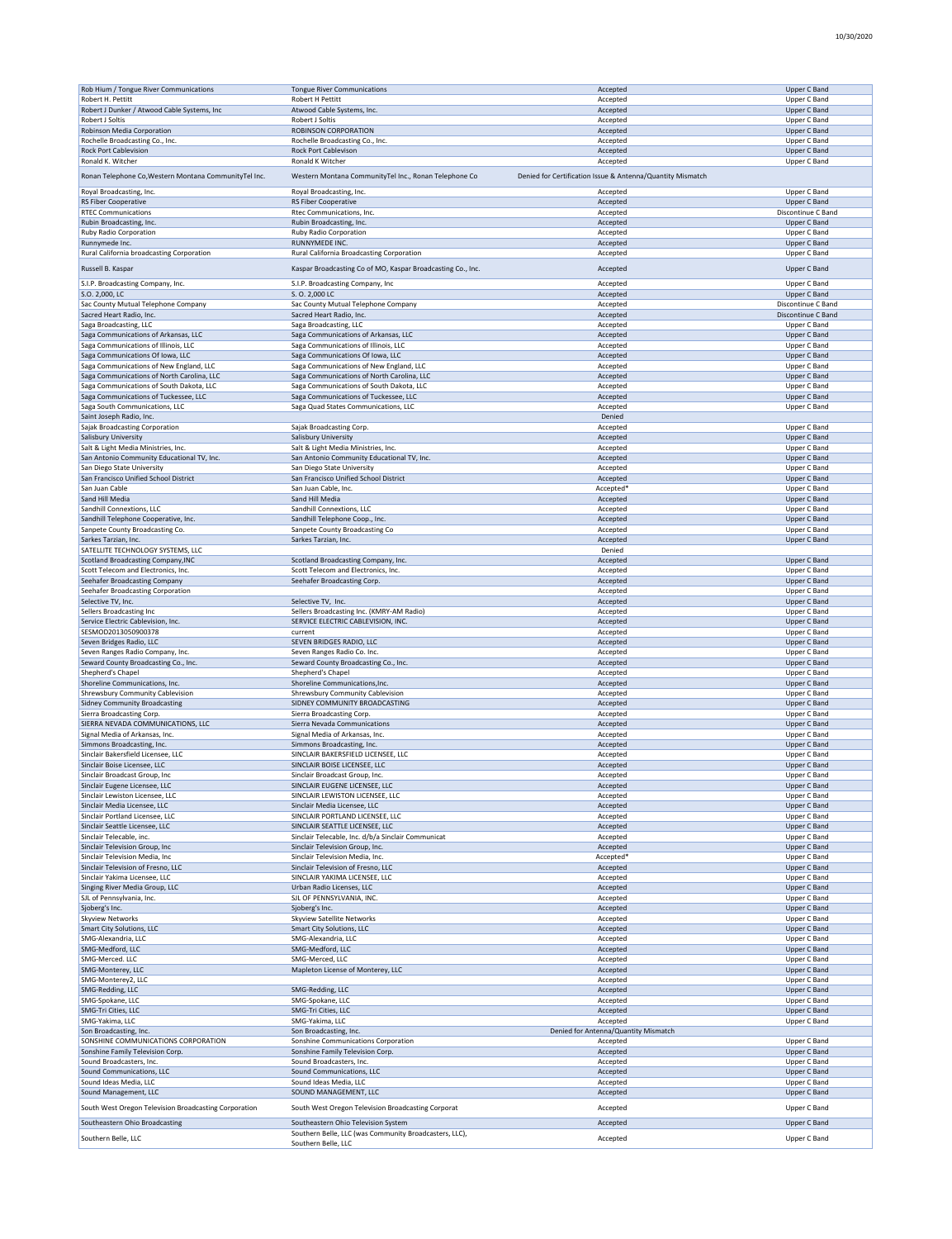| Rob Hium / Tongue River Communications                | <b>Tongue River Communications</b>                          | Accepted                                                   | Upper C Band        |
|-------------------------------------------------------|-------------------------------------------------------------|------------------------------------------------------------|---------------------|
| Robert H. Pettitt                                     | Robert H Pettitt                                            | Accepted                                                   | Upper C Band        |
| Robert J Dunker / Atwood Cable Systems, Inc           | Atwood Cable Systems, Inc.                                  | Accepted                                                   | <b>Upper C Band</b> |
| Robert J Soltis                                       | Robert J Soltis                                             | Accepted                                                   | Upper C Band        |
| Robinson Media Corporation                            | ROBINSON CORPORATION                                        | Accepted                                                   | Upper C Band        |
| Rochelle Broadcasting Co., Inc.                       | Rochelle Broadcasting Co., Inc.                             | Accepted                                                   | Upper C Band        |
| <b>Rock Port Cablevision</b>                          | Rock Port Cablevison                                        | Accepted                                                   | Upper C Band        |
| Ronald K. Witcher                                     | Ronald K Witcher                                            | Accepted                                                   | Upper C Band        |
| Ronan Telephone Co, Western Montana CommunityTel Inc. | Western Montana CommunityTel Inc., Ronan Telephone Co       | Denied for Certification Issue & Antenna/Quantity Mismatch |                     |
|                                                       |                                                             |                                                            |                     |
| Royal Broadcasting, Inc.                              | Royal Broadcasting, Inc.                                    | Accepted                                                   | Upper C Band        |
| <b>RS Fiber Cooperative</b>                           | <b>RS Fiber Cooperative</b>                                 | Accepted                                                   | Upper C Band        |
| <b>RTEC Communications</b>                            | Rtec Communications, Inc.                                   | Accepted                                                   | Discontinue C Band  |
| Rubin Broadcasting, Inc.                              | Rubin Broadcasting, Inc.                                    | Accepted                                                   | Upper C Band        |
| <b>Ruby Radio Corporation</b>                         | Ruby Radio Corporation                                      | Accepted                                                   | Upper C Band        |
| Runnymede Inc.                                        | <b>RUNNYMEDE INC.</b>                                       | Accepted                                                   | Upper C Band        |
| Rural California broadcasting Corporation             | Rural California Broadcasting Corporation                   | Accepted                                                   | Upper C Band        |
| Russell B. Kaspar                                     | Kaspar Broadcasting Co of MO, Kaspar Broadcasting Co., Inc. | Accepted                                                   | Upper C Band        |
|                                                       |                                                             |                                                            |                     |
| S.I.P. Broadcasting Company, Inc.                     | S.I.P. Broadcasting Company, Inc                            | Accepted                                                   | Upper C Band        |
| S.O. 2,000, LC                                        | S. O. 2,000 LC                                              | Accepted                                                   | Upper C Band        |
| Sac County Mutual Telephone Company                   | Sac County Mutual Telephone Company                         | Accepted                                                   | Discontinue C Band  |
| Sacred Heart Radio, Inc.                              | Sacred Heart Radio, Inc.                                    | Accepted                                                   | Discontinue C Band  |
| Saga Broadcasting, LLC                                | Saga Broadcasting, LLC                                      | Accepted                                                   | Upper C Band        |
| Saga Communications of Arkansas, LLC                  | Saga Communications of Arkansas, LLC                        | Accepted                                                   | Upper C Band        |
| Saga Communications of Illinois, LLC                  | Saga Communications of Illinois, LLC                        | Accepted                                                   | Upper C Band        |
| Saga Communications Of Iowa, LLC                      | Saga Communications Of Iowa, LLC                            | Accepted                                                   | Upper C Band        |
| Saga Communications of New England, LLC               | Saga Communications of New England, LLC                     | Accepted                                                   | Upper C Band        |
| Saga Communications of North Carolina, LLC            | Saga Communications of North Carolina, LLC                  | Accepted                                                   | Upper C Band        |
| Saga Communications of South Dakota, LLC              | Saga Communications of South Dakota, LLC                    | Accepted                                                   | Upper C Band        |
| Saga Communications of Tuckessee, LLC                 | Saga Communications of Tuckessee, LLC                       | Accepted                                                   | Upper C Band        |
| Saga South Communications, LLC                        | Saga Quad States Communications, LLC                        | Accepted                                                   | Upper C Band        |
| Saint Joseph Radio, Inc.                              |                                                             | Denied                                                     |                     |
| Sajak Broadcasting Corporation                        | Sajak Broadcasting Corp.                                    | Accepted                                                   | Upper C Band        |
| Salisbury University                                  | Salisbury University                                        | Accepted                                                   | Upper C Band        |
| Salt & Light Media Ministries, Inc.                   | Salt & Light Media Ministries, Inc.                         | Accepted                                                   | Upper C Band        |
| San Antonio Community Educational TV, Inc.            | San Antonio Community Educational TV, Inc.                  | Accepted                                                   | Upper C Band        |
| San Diego State University                            | San Diego State University                                  | Accepted                                                   | Upper C Band        |
| San Francisco Unified School District                 | San Francisco Unified School District                       | Accepted                                                   | Upper C Band        |
| San Juan Cable                                        | San Juan Cable, Inc.                                        | Accepted'                                                  | Upper C Band        |
| Sand Hill Media                                       | Sand Hill Media                                             | Accepted                                                   | Upper C Band        |
| Sandhill Connextions, LLC                             | Sandhill Connextions, LLC                                   | Accepted                                                   | Upper C Band        |
| Sandhill Telephone Cooperative, Inc.                  | Sandhill Telephone Coop., Inc.                              | Accepted                                                   | Upper C Band        |
| Sanpete County Broadcasting Co.                       | Sanpete County Broadcasting Co                              | Accepted                                                   | Upper C Band        |
| Sarkes Tarzian, Inc.                                  | Sarkes Tarzian, Inc.                                        | Accepted                                                   | Upper C Band        |
| SATELLITE TECHNOLOGY SYSTEMS, LLC                     |                                                             | Denied                                                     |                     |
| Scotland Broadcasting Company, INC                    | Scotland Broadcasting Company, Inc.                         | Accepted                                                   | Upper C Band        |
| Scott Telecom and Electronics, Inc.                   | Scott Telecom and Electronics, Inc.                         | Accepted                                                   | Upper C Band        |
|                                                       |                                                             |                                                            |                     |
| Seehafer Broadcasting Company                         | Seehafer Broadcasting Corp.                                 | Accepted                                                   | Upper C Band        |
| Seehafer Broadcasting Corporation                     |                                                             | Accepted                                                   | Upper C Band        |
| Selective TV, Inc.                                    | Selective TV, Inc.                                          | Accepted                                                   | Upper C Band        |
| Sellers Broadcasting Inc                              | Sellers Broadcasting Inc. (KMRY-AM Radio)                   | Accepted                                                   | Upper C Band        |
| Service Electric Cablevision, Inc.                    | SERVICE ELECTRIC CABLEVISION, INC.                          | Accepted                                                   | Upper C Band        |
| SESMOD2013050900378                                   | current                                                     | Accepted                                                   | Upper C Band        |
| Seven Bridges Radio, LLC                              | SEVEN BRIDGES RADIO, LLC                                    | Accepted                                                   | Upper C Band        |
| Seven Ranges Radio Company, Inc.                      | Seven Ranges Radio Co. Inc.                                 | Accepted                                                   | Upper C Band        |
| Seward County Broadcasting Co., Inc.                  | Seward County Broadcasting Co., Inc.                        | Accepted                                                   | Upper C Band        |
| Shepherd's Chapel                                     | Shepherd's Chapel                                           | Accepted                                                   | Upper C Band        |
| Shoreline Communications, Inc.                        | Shoreline Communications, Inc.                              | Accepted                                                   | Upper C Band        |
| Shrewsbury Community Cablevision                      | Shrewsbury Community Cablevision                            | Accepted                                                   | Upper C Band        |
| <b>Sidney Community Broadcasting</b>                  | SIDNEY COMMUNITY BROADCASTING                               | Accepted                                                   | Upper C Band        |
| Sierra Broadcasting Corp.                             | Sierra Broadcasting Corp.                                   | Accepted                                                   | Upper C Band        |
| SIERRA NEVADA COMMUNICATIONS, LLC                     | Sierra Nevada Communications                                | Accepted                                                   | <b>Upper C Band</b> |
| Signal Media of Arkansas, Inc.                        | Signal Media of Arkansas, Inc.                              | Accepted                                                   | Upper C Band        |
| Simmons Broadcasting, Inc.                            | Simmons Broadcasting, Inc.                                  | Accepted                                                   | Upper C Band        |
| Sinclair Bakersfield Licensee, LLC                    | SINCLAIR BAKERSFIELD LICENSEE, LLC                          | Accepted                                                   | Upper C Band        |
| Sinclair Boise Licensee, LLC                          | SINCLAIR BOISE LICENSEE, LLC                                | Accepted                                                   | Upper C Band        |
| Sinclair Broadcast Group, Inc                         | Sinclair Broadcast Group, Inc.                              | Accepted                                                   | Upper C Band        |
| Sinclair Eugene Licensee, LLC                         | SINCLAIR EUGENE LICENSEE, LLC                               | Accepted                                                   | Upper C Band        |
| Sinclair Lewiston Licensee, LLC                       | SINCLAIR LEWISTON LICENSEE, LLC                             | Accepted                                                   | Upper C Band        |
| Sinclair Media Licensee, LLC                          | Sinclair Media Licensee, LLC                                | Accepted                                                   | Upper C Band        |
| Sinclair Portland Licensee, LLC                       | SINCLAIR PORTLAND LICENSEE, LLC                             | Accepted                                                   | Upper C Band        |
| Sinclair Seattle Licensee, LLC                        | SINCLAIR SEATTLE LICENSEE, LLC                              | Accepted                                                   | Upper C Band        |
| Sinclair Telecable, inc.                              | Sinclair Telecable, Inc. d/b/a Sinclair Communicat          | Accepted                                                   | Upper C Band        |
| Sinclair Television Group, Inc.                       | Sinclair Television Group, Inc.                             | Accepted                                                   | Upper C Band        |
| Sinclair Television Media, Inc.                       | Sinclair Television Media, Inc.                             | Accepted*                                                  | Upper C Band        |
| Sinclair Television of Fresno, LLC                    | Sinclair Television of Fresno, LLC                          | Accepted                                                   | Upper C Band        |
| Sinclair Yakima Licensee, LLC                         | SINCLAIR YAKIMA LICENSEE, LLC                               | Accepted                                                   | Upper C Band        |
| Singing River Media Group, LLC                        | Urban Radio Licenses, LLC                                   | Accepted                                                   | Upper C Band        |
| SJL of Pennsylvania, Inc.                             | SJL OF PENNSYLVANIA, INC.                                   | Accepted                                                   | Upper C Band        |
| Sjoberg's Inc.                                        | Sjoberg's Inc.                                              | Accepted                                                   | Upper C Band        |
| Skyview Networks                                      | Skyview Satellite Networks                                  | Accepted                                                   | Upper C Band        |
| Smart City Solutions, LLC                             | Smart City Solutions, LLC                                   | Accepted                                                   | Upper C Band        |
| SMG-Alexandria, LLC                                   | SMG-Alexandria, LLC                                         | Accepted                                                   | Upper C Band        |
| SMG-Medford, LLC                                      | SMG-Medford, LLC                                            | Accepted                                                   | Upper C Band        |
| SMG-Merced. LLC                                       | SMG-Merced, LLC                                             | Accepted                                                   | Upper C Band        |
| SMG-Monterey, LLC                                     | Mapleton License of Monterey, LLC                           | Accepted                                                   | Upper C Band        |
| SMG-Monterey2, LLC                                    |                                                             | Accepted                                                   | Upper C Band        |
| SMG-Redding, LLC                                      | SMG-Redding, LLC                                            | Accepted                                                   | Upper C Band        |
| SMG-Spokane, LLC                                      | SMG-Spokane, LLC                                            | Accepted                                                   | Upper C Band        |
| SMG-Tri Cities, LLC                                   | SMG-Tri Cities, LLC                                         | Accepted                                                   | Upper C Band        |
| SMG-Yakima, LLC                                       | SMG-Yakima, LLC                                             | Accepted                                                   | Upper C Band        |
| Son Broadcasting, Inc.                                | Son Broadcasting, Inc.                                      | Denied for Antenna/Quantity Mismatch                       |                     |
| SONSHINE COMMUNICATIONS CORPORATION                   | Sonshine Communications Corporation                         | Accepted                                                   | Upper C Band        |
| Sonshine Family Television Corp.                      | Sonshine Family Television Corp.                            | Accepted                                                   | Upper C Band        |
| Sound Broadcasters, Inc.                              | Sound Broadcasters, Inc.                                    | Accepted                                                   | Upper C Band        |
| Sound Communications, LLC                             | Sound Communications, LLC                                   | Accepted                                                   | Upper C Band        |
| Sound Ideas Media, LLC                                | Sound Ideas Media, LLC                                      | Accepted                                                   | Upper C Band        |
| Sound Management, LLC                                 | SOUND MANAGEMENT, LLC                                       | Accepted                                                   | Upper C Band        |
|                                                       |                                                             |                                                            |                     |
| South West Oregon Television Broadcasting Corporation | South West Oregon Television Broadcasting Corporat          | Accepted                                                   | Upper C Band        |
| Southeastern Ohio Broadcasting                        | Southeastern Ohio Television System                         | Accepted                                                   | Upper C Band        |
| Southern Belle, LLC                                   | Southern Belle, LLC (was Community Broadcasters, LLC),      | Accepted                                                   | Upper C Band        |
|                                                       | Southern Belle, LLC                                         |                                                            |                     |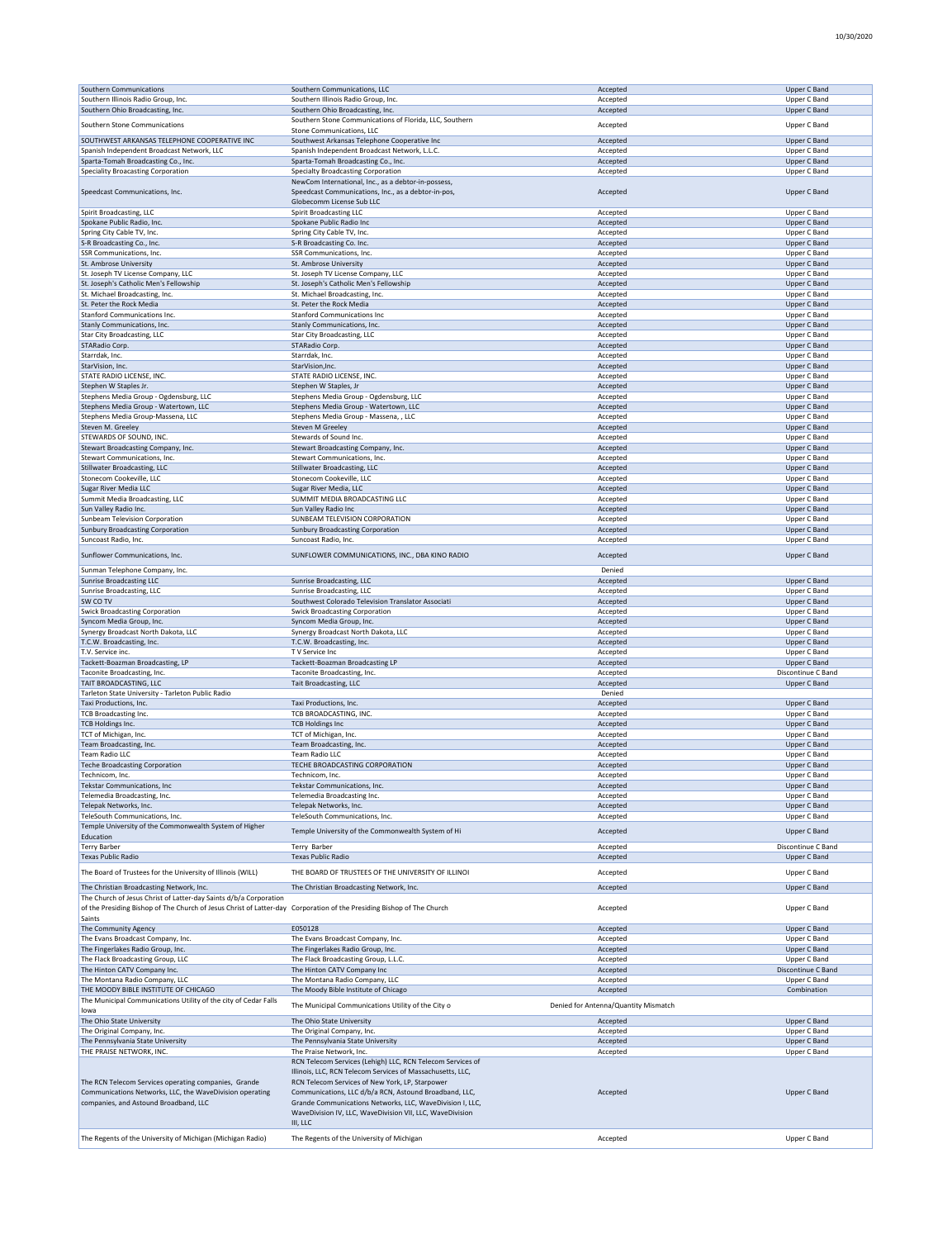| Southern Communications                                                                                               |                                                            |                                      |
|-----------------------------------------------------------------------------------------------------------------------|------------------------------------------------------------|--------------------------------------|
|                                                                                                                       | Southern Communications, LLC                               | Accepted                             |
| Southern Illinois Radio Group, Inc.                                                                                   | Southern Illinois Radio Group, Inc.                        | Accepted                             |
|                                                                                                                       |                                                            |                                      |
| Southern Ohio Broadcasting, Inc.                                                                                      | Southern Ohio Broadcasting, Inc.                           | Accepted                             |
|                                                                                                                       | Southern Stone Communications of Florida, LLC, Southern    |                                      |
| Southern Stone Communications                                                                                         | Stone Communications, LLC                                  | Accepted                             |
|                                                                                                                       |                                                            |                                      |
| SOUTHWEST ARKANSAS TELEPHONE COOPERATIVE INC                                                                          | Southwest Arkansas Telephone Cooperative Inc               | Accepted                             |
| Spanish Independent Broadcast Network, LLC                                                                            | Spanish Independent Broadcast Network, L.L.C.              | Accepted                             |
| Sparta-Tomah Broadcasting Co., Inc.                                                                                   | Sparta-Tomah Broadcasting Co., Inc.                        | Accepted                             |
|                                                                                                                       |                                                            |                                      |
| Speciality Broacasting Corporation                                                                                    | Specialty Broadcasting Corporation                         | Accepted                             |
|                                                                                                                       | NewCom International, Inc., as a debtor-in-possess,        |                                      |
| Speedcast Communications, Inc.                                                                                        | Speedcast Communications, Inc., as a debtor-in-pos,        |                                      |
|                                                                                                                       |                                                            | Accepted                             |
|                                                                                                                       | Globecomm License Sub LLC                                  |                                      |
| Spirit Broadcasting, LLC                                                                                              | <b>Spirit Broadcasting LLC</b>                             | Accepted                             |
|                                                                                                                       |                                                            |                                      |
| Spokane Public Radio, Inc.                                                                                            | Spokane Public Radio Inc                                   | Accepted                             |
| Spring City Cable TV, Inc.                                                                                            | Spring City Cable TV, Inc.                                 | Accepted                             |
| S-R Broadcasting Co., Inc.                                                                                            | S-R Broadcasting Co. Inc.                                  | Accepted                             |
|                                                                                                                       |                                                            |                                      |
| SSR Communications, Inc.                                                                                              | SSR Communications, Inc.                                   | Accepted                             |
| St. Ambrose University                                                                                                | St. Ambrose University                                     | Accepted                             |
| St. Joseph TV License Company, LLC                                                                                    | St. Joseph TV License Company, LLC                         | Accepted                             |
|                                                                                                                       |                                                            |                                      |
| St. Joseph's Catholic Men's Fellowship                                                                                | St. Joseph's Catholic Men's Fellowship                     | Accepted                             |
| St. Michael Broadcasting, Inc.                                                                                        | St. Michael Broadcasting, Inc.                             | Accepted                             |
| St. Peter the Rock Media                                                                                              | St. Peter the Rock Media                                   |                                      |
|                                                                                                                       |                                                            | Accepted                             |
| Stanford Communications Inc.                                                                                          | <b>Stanford Communications Inc</b>                         | Accepted                             |
| Stanly Communications, Inc.                                                                                           | Stanly Communications, Inc.                                | Accepted                             |
|                                                                                                                       |                                                            |                                      |
| Star City Broadcasting, LLC                                                                                           | Star City Broadcasting, LLC                                | Accepted                             |
| <b>STARadio Corp</b>                                                                                                  | STARadio Corp                                              | Accepted                             |
| Starrdak, Inc.                                                                                                        | Starrdak, Inc.                                             | Accepted                             |
|                                                                                                                       |                                                            |                                      |
| StarVision, Inc.                                                                                                      | StarVision, Inc.                                           | Accepted                             |
| STATE RADIO LICENSE, INC.                                                                                             | STATE RADIO LICENSE, INC.                                  | Accepted                             |
|                                                                                                                       |                                                            |                                      |
| Stephen W Staples Jr.                                                                                                 | Stephen W Staples, Jr                                      | Accepted                             |
| Stephens Media Group - Ogdensburg, LLC                                                                                | Stephens Media Group - Ogdensburg, LLC                     | Accepted                             |
| Stephens Media Group - Watertown, LLC                                                                                 | Stephens Media Group - Watertown, LLC                      | Accepted                             |
|                                                                                                                       |                                                            |                                      |
| Stephens Media Group-Massena, LLC                                                                                     | Stephens Media Group - Massena, , LLC                      | Accepted                             |
| Steven M. Greeley                                                                                                     | Steven M Greeley                                           | Accepted                             |
| STEWARDS OF SOUND, INC.                                                                                               | Stewards of Sound Inc.                                     |                                      |
|                                                                                                                       |                                                            | Accepted                             |
| Stewart Broadcasting Company, Inc.                                                                                    | Stewart Broadcasting Company, Inc.                         | Accepted                             |
| Stewart Communications, Inc.                                                                                          | Stewart Communications, Inc.                               | Accepted                             |
|                                                                                                                       |                                                            |                                      |
| Stillwater Broadcasting, LLC                                                                                          | Stillwater Broadcasting, LLC                               | Accepted                             |
| Stonecom Cookeville, LLC                                                                                              | Stonecom Cookeville, LLC                                   | Accepted                             |
| Sugar River Media LLC                                                                                                 | Sugar River Media, LLC                                     | Accepted                             |
|                                                                                                                       |                                                            |                                      |
| Summit Media Broadcasting, LLC                                                                                        | SUMMIT MEDIA BROADCASTING LLC                              | Accepted                             |
| Sun Valley Radio Inc.                                                                                                 | Sun Valley Radio Inc                                       | Accepted                             |
|                                                                                                                       |                                                            |                                      |
| Sunbeam Television Corporation                                                                                        | SUNBEAM TELEVISION CORPORATION                             | Accepted                             |
| <b>Sunbury Broadcasting Corporation</b>                                                                               | <b>Sunbury Broadcasting Corporation</b>                    | Accepted                             |
| Suncoast Radio, Inc.                                                                                                  | Suncoast Radio, Inc.                                       |                                      |
|                                                                                                                       |                                                            | Accepted                             |
| Sunflower Communications, Inc.                                                                                        | SUNFLOWER COMMUNICATIONS, INC., DBA KINO RADIO             | Accepted                             |
|                                                                                                                       |                                                            |                                      |
|                                                                                                                       |                                                            |                                      |
| Sunman Telephone Company, Inc.                                                                                        |                                                            | Denied                               |
| Sunrise Broadcasting LLC                                                                                              | Sunrise Broadcasting, LLC                                  | Accepted                             |
| Sunrise Broadcasting, LLC                                                                                             | Sunrise Broadcasting, LLC                                  | Accepted                             |
|                                                                                                                       |                                                            |                                      |
| SW CO TV                                                                                                              | Southwest Colorado Television Translator Associati         | Accepted                             |
| <b>Swick Broadcasting Corporation</b>                                                                                 | <b>Swick Broadcasting Corporation</b>                      | Accepted                             |
|                                                                                                                       |                                                            |                                      |
| Syncom Media Group, Inc.                                                                                              | Syncom Media Group, Inc.                                   | Accepted                             |
| Synergy Broadcast North Dakota, LLC                                                                                   | Synergy Broadcast North Dakota, LLC                        | Accepted                             |
| T.C.W. Broadcasting, Inc.                                                                                             | T.C.W. Broadcasting, Inc.                                  |                                      |
|                                                                                                                       |                                                            |                                      |
|                                                                                                                       |                                                            | Accepted                             |
| T.V. Service inc.                                                                                                     | TV Service Inc                                             | Accepted                             |
|                                                                                                                       |                                                            |                                      |
| Tackett-Boazman Broadcasting, LP                                                                                      | Tackett-Boazman Broadcasting LP                            | Accepted                             |
| Taconite Broadcasting, Inc.                                                                                           | Taconite Broadcasting, Inc.                                | Accepted                             |
| TAIT BROADCASTING, LLC                                                                                                | <b>Tait Broadcasting, LLC</b>                              | Accepted                             |
|                                                                                                                       |                                                            |                                      |
| Tarleton State University - Tarleton Public Radio                                                                     |                                                            | Denied                               |
| Taxi Productions, Inc.                                                                                                | Taxi Productions, Inc.                                     | Accepted                             |
| <b>TCB Broadcasting Inc.</b>                                                                                          | TCB BROADCASTING, INC.                                     |                                      |
|                                                                                                                       |                                                            | Accepted                             |
| TCB Holdings Inc.                                                                                                     | <b>TCB Holdings Inc</b>                                    | Accepted                             |
| TCT of Michigan, Inc.                                                                                                 | TCT of Michigan, Inc.                                      | Accepted                             |
|                                                                                                                       |                                                            |                                      |
| Team Broadcasting, Inc.                                                                                               | Team Broadcasting, Inc.                                    | Accepted                             |
| <b>Team Radio LLC</b>                                                                                                 | <b>Team Radio LLC</b>                                      | Accepted                             |
|                                                                                                                       | TECHE BROADCASTING CORPORATION                             | Accepted                             |
| <b>Teche Broadcasting Corporation</b>                                                                                 |                                                            |                                      |
| Technicom, Inc.                                                                                                       | Technicom, Inc.                                            | Accepted                             |
| Tekstar Communications, Inc                                                                                           | Tekstar Communications, Inc.                               | Accepted                             |
|                                                                                                                       |                                                            |                                      |
| Telemedia Broadcasting, Inc.                                                                                          | Telemedia Broadcasting Inc.                                | Accepted                             |
| Telepak Networks, Inc.                                                                                                | Telepak Networks, Inc.                                     | Accepted                             |
| TeleSouth Communications, Inc.                                                                                        | TeleSouth Communications, Inc.                             | Accepted                             |
|                                                                                                                       |                                                            |                                      |
| Temple University of the Commonwealth System of Higher                                                                | Temple University of the Commonwealth System of Hi         | Accepted                             |
| Education                                                                                                             |                                                            |                                      |
| <b>Terry Barber</b>                                                                                                   | Terry Barber                                               | Accepted                             |
|                                                                                                                       |                                                            |                                      |
| <b>Texas Public Radio</b>                                                                                             | <b>Texas Public Radio</b>                                  | Accepted                             |
|                                                                                                                       |                                                            |                                      |
| The Board of Trustees for the University of Illinois (WILL)                                                           | THE BOARD OF TRUSTEES OF THE UNIVERSITY OF ILLINOI         | Accepted                             |
|                                                                                                                       |                                                            |                                      |
| The Christian Broadcasting Network, Inc.                                                                              | The Christian Broadcasting Network, Inc.                   | Accepted                             |
| The Church of Jesus Christ of Latter-day Saints d/b/a Corporation                                                     |                                                            |                                      |
|                                                                                                                       |                                                            |                                      |
| of the Presiding Bishop of The Church of Jesus Christ of Latter-day Corporation of the Presiding Bishop of The Church |                                                            | Accepted                             |
| Saints                                                                                                                |                                                            |                                      |
| The Community Agency                                                                                                  | E050128                                                    | Accepted                             |
|                                                                                                                       |                                                            |                                      |
| The Evans Broadcast Company, Inc.                                                                                     | The Evans Broadcast Company, Inc.                          | Accepted                             |
| The Fingerlakes Radio Group, Inc.                                                                                     | The Fingerlakes Radio Group, Inc.                          | Accepted                             |
| The Flack Broadcasting Group, LLC                                                                                     | The Flack Broadcasting Group, L.L.C.                       | Accepted                             |
|                                                                                                                       |                                                            |                                      |
| The Hinton CATV Company Inc.                                                                                          | The Hinton CATV Company Inc                                | Accepted                             |
| The Montana Radio Company, LLC                                                                                        | The Montana Radio Company, LLC                             | Accepted                             |
|                                                                                                                       |                                                            |                                      |
| THE MOODY BIBLE INSTITUTE OF CHICAGO                                                                                  | The Moody Bible Institute of Chicago                       | Accepted                             |
| The Municipal Communications Utility of the city of Cedar Falls                                                       |                                                            |                                      |
| lowa                                                                                                                  | The Municipal Communications Utility of the City o         | Denied for Antenna/Quantity Mismatch |
|                                                                                                                       |                                                            |                                      |
| The Ohio State University                                                                                             | The Ohio State University                                  | Accepted                             |
| The Original Company, Inc.                                                                                            | The Original Company, Inc.                                 | Accepted                             |
| The Pennsylvania State University                                                                                     | The Pennsylvania State University                          | Accepted                             |
|                                                                                                                       |                                                            |                                      |
| THE PRAISE NETWORK, INC.                                                                                              | The Praise Network, Inc.                                   | Accepted                             |
|                                                                                                                       | RCN Telecom Services (Lehigh) LLC, RCN Telecom Services of |                                      |
|                                                                                                                       |                                                            |                                      |
|                                                                                                                       | Illinois, LLC, RCN Telecom Services of Massachusetts, LLC, |                                      |
| The RCN Telecom Services operating companies, Grande                                                                  | RCN Telecom Services of New York, LP, Starpower            |                                      |
| Communications Networks, LLC, the WaveDivision operating                                                              | Communications, LLC d/b/a RCN, Astound Broadband, LLC,     | Accepted                             |
|                                                                                                                       |                                                            |                                      |
| companies, and Astound Broadband, LLC                                                                                 | Grande Communications Networks, LLC, WaveDivision I, LLC,  |                                      |
|                                                                                                                       | WaveDivision IV, LLC, WaveDivision VII, LLC, WaveDivision  |                                      |
|                                                                                                                       | III, LLC                                                   |                                      |
|                                                                                                                       |                                                            |                                      |
| The Regents of the University of Michigan (Michigan Radio)                                                            | The Regents of the University of Michigan                  | Accepted                             |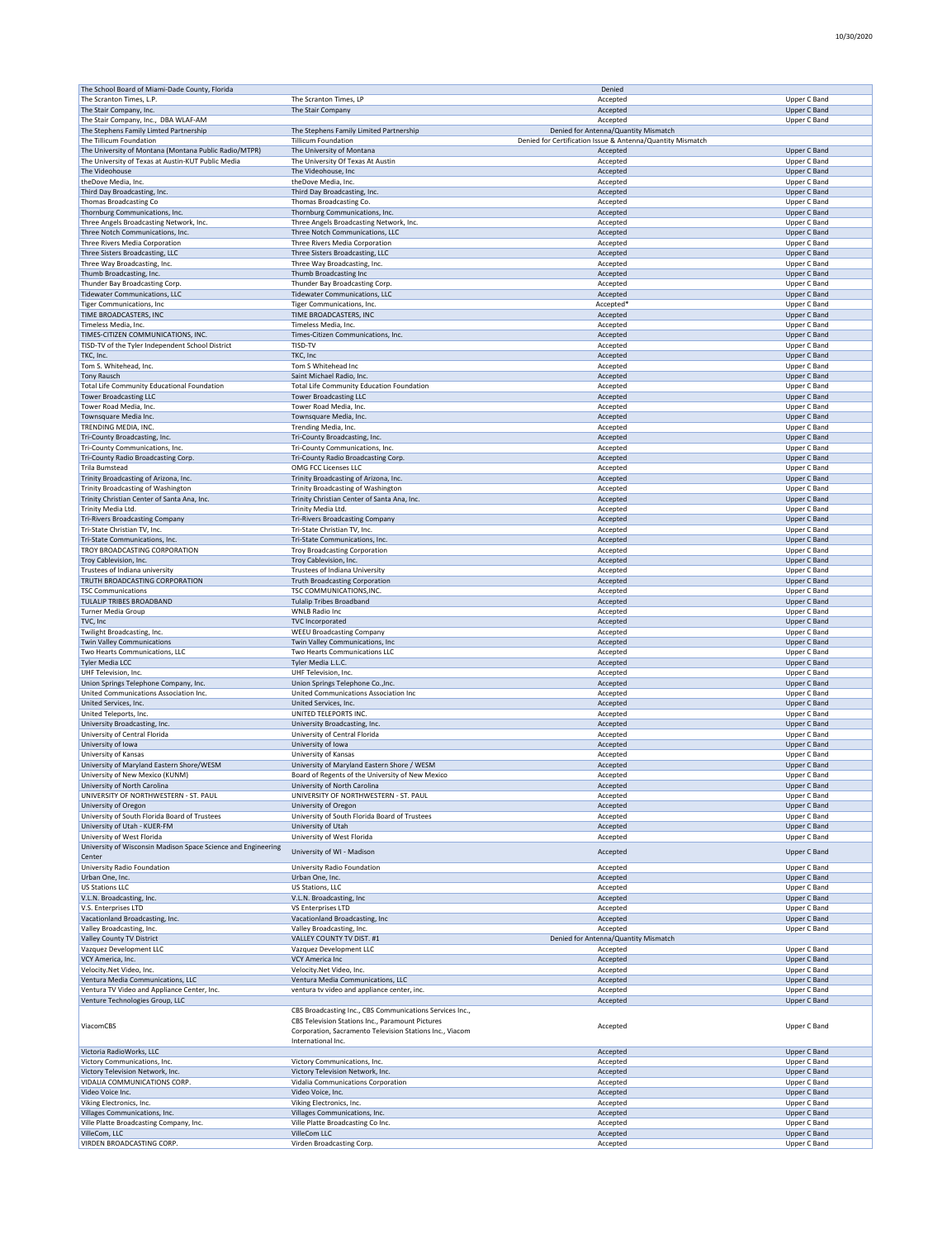|                                                                                |                                                                         | Denied                                                     |                                     |
|--------------------------------------------------------------------------------|-------------------------------------------------------------------------|------------------------------------------------------------|-------------------------------------|
| The Scranton Times, L.P.                                                       | The Scranton Times, LP                                                  | Accepted                                                   | Upper C Band                        |
| The Stair Company, Inc.<br>The Stair Company, Inc., DBA WLAF-AM                | The Stair Company                                                       | Accepted<br>Accepted                                       | Upper C Band<br>Upper C Band        |
| The Stephens Family Limted Partnership                                         | The Stephens Family Limited Partnership                                 | Denied for Antenna/Quantity Mismatch                       |                                     |
| The Tillicum Foundation                                                        | <b>Tillicum Foundation</b>                                              | Denied for Certification Issue & Antenna/Quantity Mismatch |                                     |
| The University of Montana (Montana Public Radio/MTPR)                          | The University of Montana                                               | Accepted                                                   | <b>Upper C Band</b>                 |
| The University of Texas at Austin-KUT Public Media<br>The Videohouse           | The University Of Texas At Austin<br>The Videohouse, Inc                | Accepted<br>Accepted                                       | Upper C Band<br>Upper C Band        |
| theDove Media, Inc.                                                            | theDove Media, Inc.                                                     | Accepted                                                   | Upper C Band                        |
| Third Day Broadcasting, Inc.                                                   | Third Day Broadcasting, Inc.                                            | Accepted                                                   | Upper C Band                        |
| Thomas Broadcasting Co                                                         | Thomas Broadcasting Co.                                                 | Accepted                                                   | Upper C Band                        |
| Thornburg Communications, Inc.                                                 | Thornburg Communications, Inc.                                          | Accepted                                                   | <b>Upper C Band</b>                 |
| Three Angels Broadcasting Network, Inc.                                        | Three Angels Broadcasting Network, Inc.                                 | Accepted                                                   | Upper C Band                        |
| Three Notch Communications, Inc.<br>Three Rivers Media Corporation             | Three Notch Communications, LLC<br>Three Rivers Media Corporation       | Accepted<br>Accepted                                       | Upper C Band<br>Upper C Band        |
| Three Sisters Broadcasting, LLC                                                | Three Sisters Broadcasting, LLC                                         | Accepted                                                   | Upper C Band                        |
| Three Way Broadcasting, Inc.                                                   | Three Way Broadcasting, Inc.                                            | Accepted                                                   | Upper C Band                        |
| Thumb Broadcasting, Inc.                                                       | Thumb Broadcasting Inc                                                  | Accepted                                                   | Upper C Band                        |
| Thunder Bay Broadcasting Corp.                                                 | Thunder Bay Broadcasting Corp.                                          | Accepted                                                   | Upper C Band                        |
| <b>Tidewater Communications, LLC</b><br><b>Tiger Communications, Inc</b>       | <b>Tidewater Communications, LLC</b><br>Tiger Communications, Inc.      | Accepted<br>Accepted'                                      | <b>Upper C Band</b><br>Upper C Band |
| TIME BROADCASTERS, INC                                                         | TIME BROADCASTERS, INC                                                  | Accepted                                                   | <b>Upper C Band</b>                 |
| Timeless Media, Inc.                                                           | Timeless Media, Inc.                                                    | Accepted                                                   | Upper C Band                        |
| TIMES-CITIZEN COMMUNICATIONS, INC.                                             | Times-Citizen Communications, Inc.                                      | Accepted                                                   | Upper C Band                        |
| TISD-TV of the Tyler Independent School District                               | TISD-TV                                                                 | Accepted                                                   | Upper C Band                        |
| TKC. Inc.                                                                      | TKC, Inc<br>Tom S Whitehead Inc                                         | Accepted                                                   | Upper C Band<br>Upper C Band        |
| Tom S. Whitehead, Inc.<br><b>Tony Rausch</b>                                   | Saint Michael Radio, Inc.                                               | Accepted<br>Accepted                                       | Upper C Band                        |
| Total Life Community Educational Foundation                                    | Total Life Community Education Foundation                               | Accepted                                                   | Upper C Band                        |
| <b>Tower Broadcasting LLC</b>                                                  | <b>Tower Broadcasting LLC</b>                                           | Accepted                                                   | Upper C Band                        |
| Tower Road Media, Inc.                                                         | Tower Road Media, Inc.                                                  | Accepted                                                   | Upper C Band                        |
| Townsquare Media Inc.                                                          | Townsquare Media, Inc.                                                  | Accepted                                                   | Upper C Band                        |
| TRENDING MEDIA, INC<br>Tri-County Broadcasting, Inc.                           | Trending Media, Inc<br>Tri-County Broadcasting, Inc.                    | Accepted<br>Accepted                                       | Upper C Band<br><b>Upper C Band</b> |
| Tri-County Communications, Inc.                                                | Tri-County Communications, Inc.                                         | Accepted                                                   | Upper C Band                        |
| Tri-County Radio Broadcasting Corp.                                            | Tri-County Radio Broadcasting Corp.                                     | Accepted                                                   | Upper C Band                        |
| Trila Bumstead                                                                 | OMG FCC Licenses LLC                                                    | Accepted                                                   | Upper C Band                        |
| Trinity Broadcasting of Arizona, Inc.                                          | Trinity Broadcasting of Arizona, Inc.                                   | Accepted                                                   | Upper C Band                        |
| Trinity Broadcasting of Washington                                             | Trinity Broadcasting of Washington                                      | Accepted                                                   | Upper C Band                        |
| Trinity Christian Center of Santa Ana, Inc.<br>Trinity Media Ltd               | Trinity Christian Center of Santa Ana, Inc.<br>Trinity Media Ltd.       | Accepted<br>Accepted                                       | <b>Upper C Band</b><br>Upper C Band |
| <b>Tri-Rivers Broadcasting Company</b>                                         | <b>Tri-Rivers Broadcasting Company</b>                                  | Accepted                                                   | <b>Upper C Band</b>                 |
| Tri-State Christian TV, Inc.                                                   | Tri-State Christian TV, Inc.                                            | Accepted                                                   | Upper C Band                        |
| Tri-State Communications, Inc.                                                 | Tri-State Communications, Inc.                                          | Accepted                                                   | <b>Upper C Band</b>                 |
| TROY BROADCASTING CORPORATION                                                  | <b>Troy Broadcasting Corporation</b>                                    | Accepted                                                   | Upper C Band                        |
| Troy Cablevision, Inc.                                                         | Troy Cablevision, Inc.                                                  | Accepted                                                   | Upper C Band                        |
| Trustees of Indiana university<br>TRUTH BROADCASTING CORPORATION               | Trustees of Indiana University<br><b>Truth Broadcasting Corporation</b> | Accepted<br>Accepted                                       | Upper C Band<br>Upper C Band        |
| <b>TSC Communications</b>                                                      | TSC COMMUNICATIONS, INC.                                                | Accepted                                                   | Upper C Band                        |
| TULALIP TRIBES BROADBAND                                                       | <b>Tulalip Tribes Broadband</b>                                         | Accepted                                                   | <b>Upper C Band</b>                 |
| Turner Media Group                                                             | <b>WNLB Radio Inc</b>                                                   | Accepted                                                   | Upper C Band                        |
| TVC, Inc                                                                       | TVC Incorporated                                                        | Accepted                                                   | Upper C Band                        |
| Twilight Broadcasting, Inc.<br><b>Twin Valley Communications</b>               | <b>WEEU Broadcasting Company</b><br>Twin Valley Communications, Inc     | Accepted<br>Accepted                                       | Upper C Band<br>Upper C Band        |
| Two Hearts Communications, LLC                                                 | Two Hearts Communications LLC                                           | Accepted                                                   | Upper C Band                        |
| Tyler Media LCC                                                                | Tyler Media L.L.C.                                                      | Accepted                                                   | <b>Upper C Band</b>                 |
| UHF Television, Inc.                                                           | UHF Television, Inc.                                                    | Accepted                                                   | Upper C Band                        |
| Union Springs Telephone Company, Inc.                                          | Union Springs Telephone Co., Inc.                                       | Accepted                                                   | Upper C Band                        |
| United Communications Association Inc.                                         | United Communications Association Inc                                   | Accepted                                                   | Upper C Band                        |
|                                                                                | United Services, Inc.                                                   | Accepted                                                   |                                     |
| United Services, Inc.                                                          |                                                                         |                                                            | Upper C Band                        |
| United Teleports, Inc.                                                         | UNITED TELEPORTS INC.                                                   | Accepted                                                   | Upper C Band                        |
| University Broadcasting, Inc.<br>University of Central Florida                 | University Broadcasting, Inc.<br>University of Central Florida          | Accepted<br>Accepted                                       | <b>Upper C Band</b><br>Upper C Band |
| University of Iowa                                                             | University of Iowa                                                      | Accepted                                                   | <b>Upper C Band</b>                 |
| University of Kansas                                                           | University of Kansas                                                    | Accepted                                                   | Upper C Band                        |
| University of Maryland Eastern Shore/WESM                                      | University of Maryland Eastern Shore / WESM                             | Accepted                                                   | Upper C Band                        |
| University of New Mexico (KUNM)                                                | Board of Regents of the University of New Mexico                        | Accepted<br>Accented                                       | Upper C Band                        |
| University of North Carolina<br>UNIVERSITY OF NORTHWESTERN - ST. PAUL          | University of North Carolina<br>UNIVERSITY OF NORTHWESTERN - ST. PAUL   | Accepted                                                   | Upper C Band<br>Upper C Band        |
| University of Oregon                                                           | University of Oregon                                                    | Accepted                                                   | Upper C Band                        |
| University of South Florida Board of Trustees                                  | University of South Florida Board of Trustees                           | Accepted                                                   | Upper C Band                        |
| University of Utah - KUER-FM                                                   | University of Utah                                                      | Accepted                                                   | Upper C Band                        |
| University of West Florida                                                     | University of West Florida                                              | Accepted                                                   | Upper C Band                        |
| University of Wisconsin Madison Space Science and Engineering<br>Center        | University of WI - Madison                                              | Accepted                                                   | Upper C Band                        |
| University Radio Foundation                                                    | University Radio Foundation                                             | Accepted                                                   | Upper C Band                        |
| Urban One, Inc.                                                                | Urban One, Inc.                                                         | Accepted                                                   | Upper C Band                        |
| <b>US Stations LLC</b>                                                         | US Stations, LLC                                                        | Accepted                                                   | Upper C Band                        |
| V.L.N. Broadcasting, Inc.                                                      | V.L.N. Broadcasting, Inc                                                | Accepted                                                   | Upper C Band                        |
| V.S. Enterprises LTD                                                           | VS Enterprises LTD                                                      | Accepted                                                   | Upper C Band<br>Upper C Band        |
| Vacationland Broadcasting, Inc.<br>Valley Broadcasting, Inc.                   | Vacationland Broadcasting, Inc<br>Valley Broadcasting, Inc.             | Accepted<br>Accepted                                       | Upper C Band                        |
| Valley County TV District                                                      | VALLEY COUNTY TV DIST. #1                                               | Denied for Antenna/Quantity Mismatch                       |                                     |
| Vazquez Development LLC                                                        | Vazquez Development LLC                                                 | Accepted                                                   | Upper C Band                        |
| VCY America, Inc.                                                              | <b>VCY America Inc</b>                                                  | Accepted                                                   | Upper C Band                        |
| Velocity.Net Video, Inc.                                                       | Velocity.Net Video, Inc.                                                | Accepted                                                   | Upper C Band                        |
| Ventura Media Communications, LLC                                              | Ventura Media Communications, LLC                                       | Accepted                                                   | Upper C Band<br>Upper C Band        |
| Ventura TV Video and Appliance Center, Inc.<br>Venture Technologies Group, LLC | ventura tv video and appliance center, inc.                             | Accepted<br>Accepted                                       | Upper C Band                        |
|                                                                                | CBS Broadcasting Inc., CBS Communications Services Inc.,                |                                                            |                                     |
| ViacomCBS                                                                      | CBS Television Stations Inc., Paramount Pictures                        | Accepted                                                   | Upper C Band                        |
|                                                                                | Corporation, Sacramento Television Stations Inc., Viacom                |                                                            |                                     |
| Victoria RadioWorks, LLC                                                       | International Inc.                                                      | Accepted                                                   | Upper C Band                        |
| Victory Communications, Inc.                                                   | Victory Communications, Inc.                                            | Accepted                                                   | Upper C Band                        |
| Victory Television Network, Inc.                                               | Victory Television Network, Inc.                                        | Accepted                                                   | Upper C Band                        |
| VIDALIA COMMUNICATIONS CORP.                                                   | Vidalia Communications Corporation                                      | Accepted                                                   | Upper C Band                        |
| Video Voice Inc.                                                               | Video Voice, Inc.                                                       | Accepted                                                   | Upper C Band                        |
| Viking Electronics, Inc.                                                       | Viking Electronics, Inc.                                                | Accepted                                                   | Upper C Band                        |
| Villages Communications, Inc.<br>Ville Platte Broadcasting Company, Inc.       | Villages Communications, Inc.<br>Ville Platte Broadcasting Co Inc.      | Accepted<br>Accepted                                       | Upper C Band<br>Upper C Band        |
| VilleCom, LLC<br>VIRDEN BROADCASTING CORP.                                     | VilleCom LLC<br>Virden Broadcasting Corp.                               | Accepted<br>Accepted                                       | Upper C Band<br>Upper C Band        |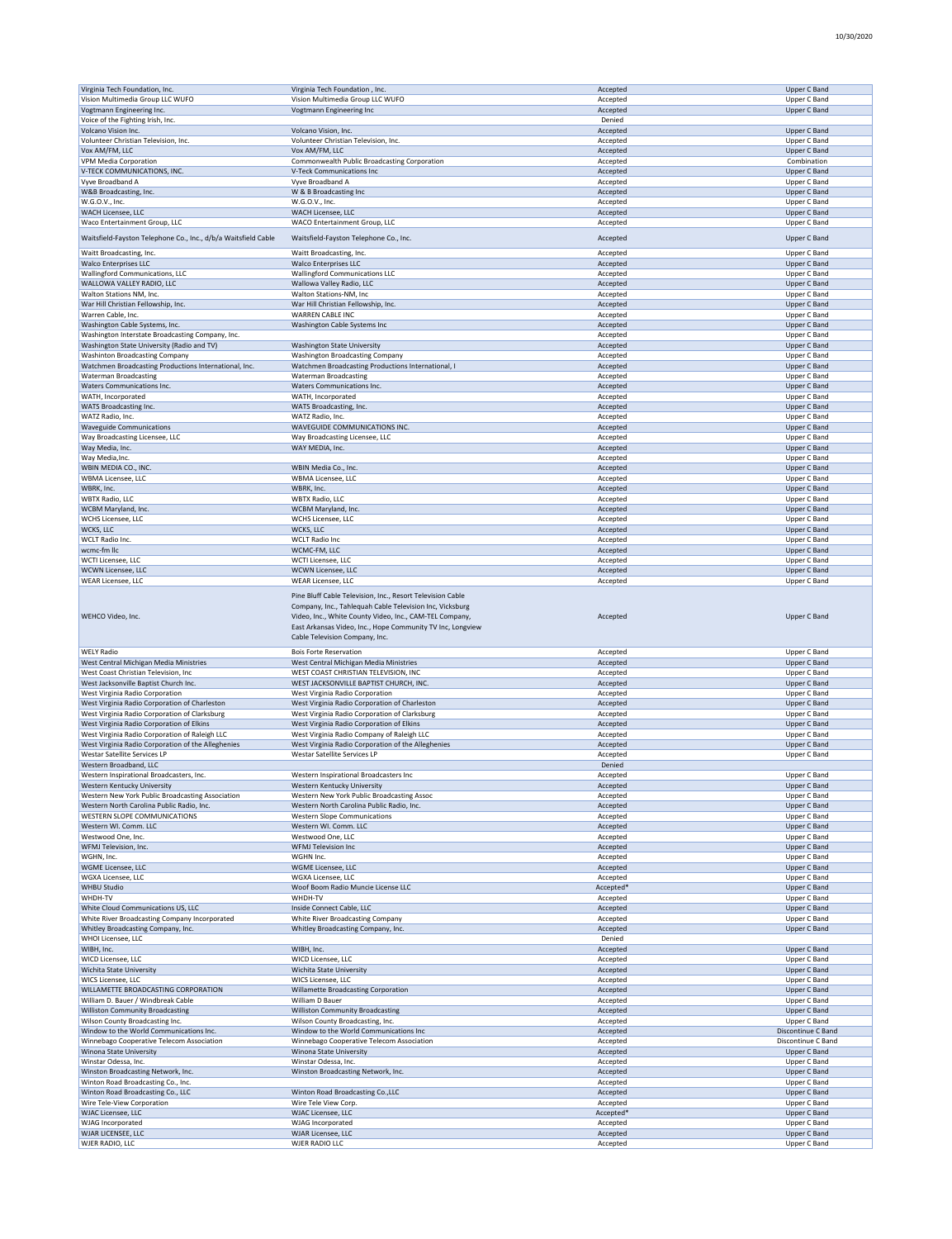10/30/2020

| Virginia Tech Foundation, Inc.                                 | Virginia Tech Foundation, Inc.                                                               | Accepted             | Upper C Band                 |
|----------------------------------------------------------------|----------------------------------------------------------------------------------------------|----------------------|------------------------------|
| Vision Multimedia Group LLC WUFO                               | Vision Multimedia Group LLC WUFO                                                             | Accepted             | Upper C Band                 |
| Vogtmann Engineering Inc.                                      | Vogtmann Engineering Inc                                                                     | Accepted             | <b>Upper C Band</b>          |
| Voice of the Fighting Irish, Inc.                              |                                                                                              | Denied               |                              |
| Volcano Vision Inc.                                            | Volcano Vision, Inc.                                                                         | Accepted             | Upper C Band                 |
| Volunteer Christian Television, Inc.                           | Volunteer Christian Television, Inc.                                                         | Accepted             | Upper C Band                 |
| Vox AM/FM, LLC                                                 | Vox AM/FM, LLC                                                                               | Accepted             | Upper C Band                 |
| VPM Media Corporation                                          | Commonwealth Public Broadcasting Corporation                                                 | Accepted             | Combination                  |
|                                                                | V-Teck Communications Inc                                                                    |                      |                              |
| V-TECK COMMUNICATIONS, INC.                                    |                                                                                              | Accepted             | <b>Upper C Band</b>          |
| Vyve Broadband A                                               | Vyve Broadband A                                                                             | Accepted             | Upper C Band                 |
| W&B Broadcasting, Inc.                                         | W & B Broadcasting Inc                                                                       | Accepted             | Upper C Band                 |
| W.G.O.V., Inc.                                                 | W.G.O.V., Inc.                                                                               | Accepted             | Upper C Band                 |
| WACH Licensee, LLC                                             | WACH Licensee, LLC                                                                           | Accepted             | Upper C Band                 |
| Waco Entertainment Group, LLC                                  | WACO Entertainment Group, LLC                                                                | Accepted             | Upper C Band                 |
|                                                                |                                                                                              |                      |                              |
| Waitsfield-Fayston Telephone Co., Inc., d/b/a Waitsfield Cable | Waitsfield-Fayston Telephone Co., Inc.                                                       | Accepted             | <b>Upper C Band</b>          |
| Waitt Broadcasting, Inc.                                       | Waitt Broadcasting, Inc.                                                                     | Accepted             | Upper C Band                 |
| <b>Walco Enterprises LLC</b>                                   | <b>Walco Enterprises LLC</b>                                                                 | Accepted             | <b>Upper C Band</b>          |
| Wallingford Communications, LLC                                | <b>Wallingford Communications LLC</b>                                                        | Accepted             | Upper C Band                 |
| WALLOWA VALLEY RADIO, LLC                                      |                                                                                              |                      |                              |
|                                                                | Wallowa Valley Radio, LLC                                                                    | Accepted             | Upper C Band                 |
| Walton Stations NM, Inc.                                       | Walton Stations-NM, Inc                                                                      | Accepted             | Upper C Band                 |
| War Hill Christian Fellowship, Inc.                            | War Hill Christian Fellowship, Inc.                                                          | Accepted             | Upper C Band                 |
| Warren Cable, Inc.                                             | WARREN CABLE INC                                                                             | Accepted             | Upper C Band                 |
| Washington Cable Systems, Inc.                                 | Washington Cable Systems Inc                                                                 | Accepted             | Upper C Band                 |
| Washington Interstate Broadcasting Company, Inc.               |                                                                                              | Accepted             | Upper C Band                 |
| Washington State University (Radio and TV)                     | Washington State University                                                                  | Accepted             | Upper C Band                 |
| <b>Washinton Broadcasting Company</b>                          | <b>Washington Broadcasting Company</b>                                                       | Accepted             | Upper C Band                 |
|                                                                |                                                                                              |                      |                              |
| Watchmen Broadcasting Productions International, Inc.          | Watchmen Broadcasting Productions International, I                                           | Accepted             | Upper C Band                 |
| <b>Waterman Broadcasting</b>                                   | <b>Waterman Broadcasting</b>                                                                 | Accepted             | Upper C Band                 |
| Waters Communications Inc.                                     | Waters Communications Inc.                                                                   | Accepted             | Upper C Band                 |
| WATH, Incorporated                                             | WATH, Incorporated                                                                           | Accepted             | Upper C Band                 |
| WATS Broadcasting Inc.                                         | WATS Broadcasting, Inc.                                                                      | Accepted             | <b>Upper C Band</b>          |
| WATZ Radio, Inc.                                               | WATZ Radio, Inc.                                                                             | Accepted             | Upper C Band                 |
| <b>Waveguide Communications</b>                                | WAVEGUIDE COMMUNICATIONS INC.                                                                | Accepted             | Upper C Band                 |
| Way Broadcasting Licensee, LLC                                 | Way Broadcasting Licensee, LLC                                                               | Accepted             | Upper C Band                 |
| Way Media, Inc.                                                | WAY MEDIA, Inc.                                                                              |                      | Upper C Band                 |
|                                                                |                                                                                              | Accepted             |                              |
| Way Media, Inc.                                                |                                                                                              | Accepted             | Upper C Band                 |
| WBIN MEDIA CO., INC.                                           | WBIN Media Co., Inc.                                                                         | Accepted             | <b>Upper C Band</b>          |
| WBMA Licensee, LLC                                             | WBMA Licensee, LLC                                                                           | Accepted             | Upper C Band                 |
| WBRK, Inc.                                                     | WBRK, Inc.                                                                                   | Accepted             | Upper C Band                 |
| <b>WBTX Radio, LLC</b>                                         | <b>WBTX Radio, LLC</b>                                                                       | Accepted             | Upper C Band                 |
| WCBM Maryland, Inc.                                            | WCBM Maryland, Inc.                                                                          | Accepted             | Upper C Band                 |
| WCHS Licensee, LLC                                             | WCHS Licensee, LLC                                                                           | Accepted             | Upper C Band                 |
| WCKS, LLC                                                      |                                                                                              |                      |                              |
|                                                                | WCKS, LLC                                                                                    | Accepted             | Upper C Band                 |
| WCLT Radio Inc.                                                | <b>WCLT Radio Inc</b>                                                                        | Accepted             | Upper C Band                 |
| wcmc-fm llc                                                    | WCMC-FM, LLC                                                                                 | Accepted             | Upper C Band                 |
| WCTI Licensee, LLC                                             | WCTI Licensee, LLC                                                                           | Accepted             | Upper C Band                 |
| WCWN Licensee, LLC                                             | WCWN Licensee, LLC                                                                           | Accepted             | Upper C Band                 |
| <b>WEAR Licensee, LLC</b>                                      | WEAR Licensee, LLC                                                                           | Accepted             | Upper C Band                 |
| WEHCO Video, Inc.                                              | Video, Inc., White County Video, Inc., CAM-TEL Company,                                      | Accepted             | <b>Upper C Band</b>          |
|                                                                | East Arkansas Video, Inc., Hope Community TV Inc, Longview<br>Cable Television Company, Inc. |                      |                              |
| <b>WELY Radio</b>                                              | <b>Bois Forte Reservation</b>                                                                | Accepted             | Upper C Band                 |
| West Central Michigan Media Ministries                         | West Central Michigan Media Ministries                                                       | Accepted             | <b>Upper C Band</b>          |
| West Coast Christian Television, Inc                           | WEST COAST CHRISTIAN TELEVISION, INC                                                         | Accepted             | Upper C Band                 |
| West Jacksonville Baptist Church Inc.                          | WEST JACKSONVILLE BAPTIST CHURCH, INC.                                                       | Accepted             | Upper C Band                 |
| West Virginia Radio Corporation                                | West Virginia Radio Corporation                                                              | Accepted             | Upper C Band                 |
| West Virginia Radio Corporation of Charleston                  | West Virginia Radio Corporation of Charleston                                                | Accepted             | Upper C Band                 |
| West Virginia Radio Corporation of Clarksburg                  | West Virginia Radio Corporation of Clarksburg                                                | Accepted             | Upper C Band                 |
| West Virginia Radio Corporation of Elkins                      | West Virginia Radio Corporation of Elkins                                                    | Accepted             | Upper C Band                 |
| West Virginia Radio Corporation of Raleigh LLC                 | West Virginia Radio Company of Raleigh LLC                                                   | Accepted             | Upper C Band                 |
|                                                                |                                                                                              |                      |                              |
| West Virginia Radio Corporation of the Alleghenies             | West Virginia Radio Corporation of the Alleghenies                                           | Accepted             | <b>Upper C Band</b>          |
| <b>Westar Satellite Services LP</b>                            | <b>Westar Satellite Services LP</b>                                                          | Accepted             | Upper C Band                 |
| Western Broadband, LLC                                         |                                                                                              | Denied               |                              |
| Western Inspirational Broadcasters, Inc.                       | Western Inspirational Broadcasters Inc                                                       | Accepted             | Upper C Band                 |
| Western Kentucky University                                    | Western Kentucky University                                                                  | Accepted             | <b>Upper C Band</b>          |
| Western New York Public Broadcasting Association               | Western New York Public Broadcasting Assoc                                                   | Accepted             | Upper C Band                 |
| Western North Carolina Public Radio, Inc.                      | Western North Carolina Public Radio, Inc.                                                    | Accepted             | Upper C Band                 |
| WESTERN SLOPE COMMUNICATIONS                                   | <b>Western Slope Communications</b>                                                          | Accepted             | Upper C Band                 |
| Western WI. Comm. LLC                                          | Western WI. Comm. LLC                                                                        | Accepted             | Upper C Band                 |
| Westwood One, Inc.                                             | Westwood One, LLC                                                                            | Accepted             | Upper C Band                 |
| WFMJ Television, Inc.                                          | WFMJ Television Inc                                                                          | Accepted             | Upper C Band                 |
| WGHN, Inc.                                                     | WGHN Inc.                                                                                    | Accepted             | Upper C Band                 |
|                                                                | WGME Licensee, LLC                                                                           |                      |                              |
| WGME Licensee, LLC                                             |                                                                                              | Accepted             | Upper C Band                 |
| WGXA Licensee, LLC                                             | WGXA Licensee, LLC                                                                           | Accepted             | Upper C Band                 |
| <b>WHBU Studio</b>                                             | Woof Boom Radio Muncie License LLC                                                           | Accepted*            | Upper C Band                 |
| WHDH-TV                                                        | WHDH-TV                                                                                      | Accepted             | Upper C Band                 |
| White Cloud Communications US, LLC                             | Inside Connect Cable, LLC                                                                    | Accepted             | Upper C Band                 |
| White River Broadcasting Company Incorporated                  | White River Broadcasting Company                                                             | Accepted             | Upper C Band                 |
| Whitley Broadcasting Company, Inc.                             | Whitley Broadcasting Company, Inc.                                                           | Accepted             | Upper C Band                 |
| WHOI Licensee, LLC                                             |                                                                                              | Denied               |                              |
| WIBH, Inc.                                                     | WIBH, Inc.                                                                                   | Accepted             | Upper C Band                 |
| WICD Licensee, LLC                                             | WICD Licensee, LLC                                                                           | Accepted             | Upper C Band                 |
|                                                                |                                                                                              |                      | Upper C Band                 |
| Wichita State University                                       | Wichita State University                                                                     | Accepted             |                              |
| WICS Licensee, LLC                                             | WICS Licensee, LLC                                                                           | Accepted             | Upper C Band                 |
| WILLAMETTE BROADCASTING CORPORATION                            | Willamette Broadcasting Corporation                                                          | Accepted             | Upper C Band                 |
| William D. Bauer / Windbreak Cable                             | William D Bauer                                                                              | Accepted             | Upper C Band                 |
| <b>Williston Community Broadcasting</b>                        | <b>Williston Community Broadcasting</b>                                                      | Accepted             | Upper C Band                 |
| Wilson County Broadcasting Inc.                                | Wilson County Broadcasting, Inc.                                                             | Accepted             | Upper C Band                 |
| Window to the World Communications Inc.                        | Window to the World Communications Inc                                                       | Accepted             | Discontinue C Band           |
| Winnebago Cooperative Telecom Association                      | Winnebago Cooperative Telecom Association                                                    | Accepted             | Discontinue C Band           |
| Winona State University                                        | Winona State University                                                                      | Accepted             | Upper C Band                 |
| Winstar Odessa, Inc.                                           | Winstar Odessa, Inc.                                                                         | Accepted             | Upper C Band                 |
|                                                                |                                                                                              |                      |                              |
| Winston Broadcasting Network, Inc.                             | Winston Broadcasting Network, Inc.                                                           | Accepted             | Upper C Band                 |
| Winton Road Broadcasting Co., Inc.                             |                                                                                              | Accepted             | Upper C Band                 |
| Winton Road Broadcasting Co., LLC                              | Winton Road Broadcasting Co., LLC                                                            | Accepted             | Upper C Band                 |
| Wire Tele-View Corporation                                     | Wire Tele View Corp.                                                                         | Accepted             | Upper C Band                 |
| WJAC Licensee, LLC                                             | WJAC Licensee, LLC                                                                           | Accepted*            | Upper C Band                 |
| <b>WJAG Incorporated</b>                                       | WJAG Incorporated                                                                            | Accepted             | Upper C Band                 |
| WJAR LICENSEE, LLC<br>WJER RADIO, LLC                          | WJAR Licensee, LLC<br>WJER RADIO LLC                                                         | Accepted<br>Accepted | Upper C Band<br>Upper C Band |